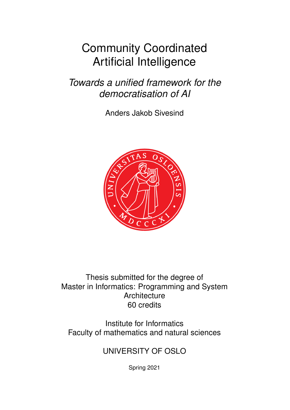# <span id="page-0-0"></span>Community Coordinated Artificial Intelligence

*Towards a unified framework for the democratisation of AI*

Anders Jakob Sivesind



Thesis submitted for the degree of Master in Informatics: Programming and System **Architecture** 60 credits

Institute for Informatics Faculty of mathematics and natural sciences

UNIVERSITY OF OSLO

Spring 2021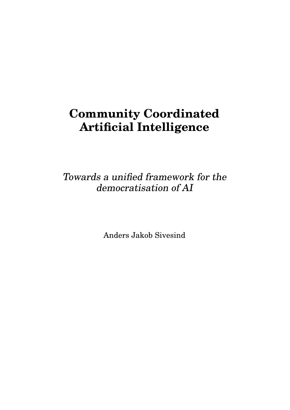# **Community Coordinated Artificial Intelligence**

Towards a unified framework for the democratisation of AI

Anders Jakob Sivesind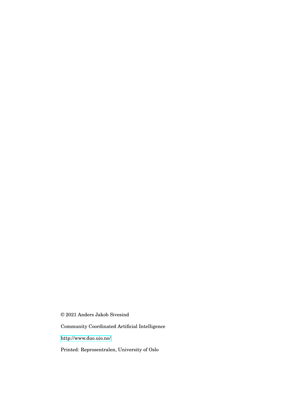© 2021 Anders Jakob Sivesind

Community Coordinated Artificial Intelligence

<http://www.duo.uio.no/>

Printed: Reprosentralen, University of Oslo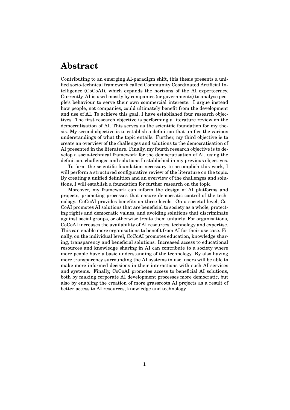### **Abstract**

Contributing to an emerging AI-paradigm shift, this thesis presents a unified socio-technical framework called Community Coordinated Artificial Intelligence (CoCoAI), which expands the horizons of the AI expertocracy. Currently, AI is used mostly by companies (or governments) to analyse people's behaviour to serve their own commercial interests. I argue instead how people, not companies, could ultimately benefit from the development and use of AI. To achieve this goal, I have established four research objectives. The first research objective is performing a literature review on the democratisation of AI. This serves as the scientific foundation for my thesis. My second objective is to establish a definition that unifies the various understandings of what the topic entails. Further, my third objective is to create an overview of the challenges and solutions to the democratisation of AI presented in the literature. Finally, my fourth research objective is to develop a socio-technical framework for the democratisation of AI, using the definition, challenges and solutions I established in my previous objectives.

To form the scientific foundation necessary to accomplish this work, I will perform a structured configurative review of the literature on the topic. By creating a unified definition and an overview of the challenges and solutions, I will establish a foundation for further research on the topic.

Moreover, my framework can inform the design of AI platforms and projects, promoting processes that ensure democratic control of the technology. CoCoAI provides benefits on three levels. On a societal level, Co-CoAI promotes AI solutions that are beneficial to society as a whole, protecting rights and democratic values, and avoiding solutions that discriminate against social groups, or otherwise treats them unfairly. For organisations, CoCoAI increases the availability of AI resources, technology and expertise. This can enable more organisations to benefit from AI for their use case. Finally, on the individual level, CoCoAI promotes education, knowledge sharing, transparency and beneficial solutions. Increased access to educational resources and knowledge sharing in AI can contribute to a society where more people have a basic understanding of the technology. By also having more transparency surrounding the AI systems in use, users will be able to make more informed decisions in their interactions with such AI services and systems. Finally, CoCoAI promotes access to beneficial AI solutions, both by making corporate AI development processes more democratic, but also by enabling the creation of more grassroots AI projects as a result of better access to AI resources, knowledge and technology.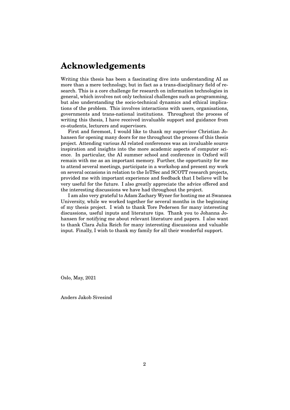### **Acknowledgements**

Writing this thesis has been a fascinating dive into understanding AI as more than a mere technology, but in fact as a trans-disciplinary field of research. This is a core challenge for research on information technologies in general, which involves not only technical challenges such as programming, but also understanding the socio-technical dynamics and ethical implications of the problem. This involves interactions with users, organisations, governments and trans-national institutions. Throughout the process of writing this thesis, I have received invaluable support and guidance from co-students, lecturers and supervisors.

First and foremost, I would like to thank my supervisor Christian Johansen for opening many doors for me throughout the process of this thesis project. Attending various AI related conferences was an invaluable source inspiration and insights into the more academic aspects of computer science. In particular, the AI summer school and conference in Oxford will remain with me as an important memory. Further, the opportunity for me to attend several meetings, participate in a workshop and present my work on several occasions in relation to the IoTSec and SCOTT research projects, provided me with important experience and feedback that I believe will be very useful for the future. I also greatly appreciate the advice offered and the interesting discussions we have had throughout the project.

I am also very grateful to Adam Zachary Wyner for hosting me at Swansea University, while we worked together for several months in the beginning of my thesis project. I wish to thank Tore Pedersen for many interesting discussions, useful inputs and literature tips. Thank you to Johanna Johansen for notifying me about relevant literature and papers. I also want to thank Clara Julia Reich for many interesting discussions and valuable input. Finally, I wish to thank my family for all their wonderful support.

Oslo, May, 2021

Anders Jakob Sivesind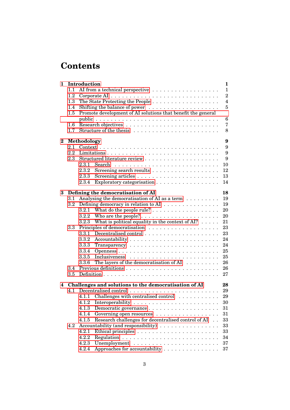## **Contents**

| 1        |             | Introduction<br>$\mathbf{1}$                                                         |                |  |  |
|----------|-------------|--------------------------------------------------------------------------------------|----------------|--|--|
| $1.1\,$  |             |                                                                                      | $\mathbf{1}$   |  |  |
|          | 1.2         | Corporate AI $\ldots \ldots \ldots \ldots \ldots \ldots \ldots \ldots \ldots \ldots$ |                |  |  |
| 1.3      |             |                                                                                      | $\overline{4}$ |  |  |
|          | 1.4         |                                                                                      | 5              |  |  |
|          | $1.5\,$     | Promote development of AI solutions that benefit the general                         |                |  |  |
|          |             |                                                                                      | 6              |  |  |
|          | 1.6         |                                                                                      | 7              |  |  |
|          | 1.7         |                                                                                      | 8              |  |  |
|          |             |                                                                                      | 9              |  |  |
| $\bf{2}$ | Methodology |                                                                                      |                |  |  |
|          | 2.1         |                                                                                      | 9              |  |  |
|          | 2.2         |                                                                                      | 9              |  |  |
|          | 2.3         |                                                                                      | 9              |  |  |
|          |             | 2.3.1                                                                                | 10             |  |  |
|          |             | 2.3.2                                                                                | 12             |  |  |
|          |             | 2.3.3                                                                                | 13             |  |  |
|          |             | Exploratory categorisation<br>2.3.4                                                  | 14             |  |  |
|          |             |                                                                                      |                |  |  |
| 3        |             | Defining the democratisation of AI                                                   | 18             |  |  |
|          | 3.1         | Analysing the democratisation of AI as a term                                        | 19<br>19       |  |  |
|          | 3.2         | Defining democracy in relation to AI<br>3.2.1                                        | 20             |  |  |
|          |             |                                                                                      |                |  |  |
|          |             | 3.2.2                                                                                | 20             |  |  |
|          |             | What is political equality in the context of AI? $\dots$ .<br>3.2.3                  | 21             |  |  |
|          | $3.3\,$     |                                                                                      | 23             |  |  |
|          |             | 3.3.1                                                                                | 23             |  |  |
|          |             | 3.3.2                                                                                | 24             |  |  |
|          |             | 3.3.3                                                                                | 24             |  |  |
|          |             | 3.3.4                                                                                | 25             |  |  |
|          |             | 3.3.5                                                                                | 25             |  |  |
|          |             | The layers of the democratisation of AI<br>3.3.6                                     | 26             |  |  |
|          | 3.4         |                                                                                      | 26             |  |  |
|          | 3.5         |                                                                                      | 27             |  |  |
| 4        |             | Challenges and solutions to the democratisation of AI                                | 28             |  |  |
|          | 4.1         |                                                                                      | 29             |  |  |
|          |             | 4.1.1 Challenges with centralised control                                            | 29             |  |  |
|          |             | 4.1.2                                                                                | 30             |  |  |
|          |             | 4.1.3                                                                                | 31             |  |  |
|          |             | 4.1.4<br>Governing open resources                                                    | 31             |  |  |
|          |             | 4.1.5<br>Research challenges for decentralised control of AI                         | 33             |  |  |
|          | 4.2         | Accountability (and responsibility)                                                  | 33             |  |  |
|          |             | 4.2.1                                                                                | 33             |  |  |
|          |             | 4.2.2                                                                                | 34             |  |  |
|          |             | 4.2.3                                                                                | 37             |  |  |
|          |             | Approaches for accountability<br>4.2.4                                               | 37             |  |  |
|          |             |                                                                                      |                |  |  |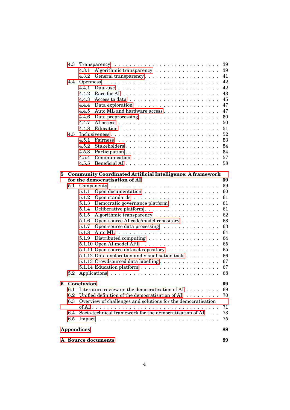|   | 4.3     | 39                |                                                                                                    |    |
|---|---------|-------------------|----------------------------------------------------------------------------------------------------|----|
|   |         | 4.3.1             | Algorithmic transparency                                                                           | 39 |
|   |         | 4.3.2             |                                                                                                    | 41 |
|   | 4.4     |                   |                                                                                                    | 42 |
|   |         | 4.4.1             |                                                                                                    | 42 |
|   |         | 4.4.2             |                                                                                                    | 43 |
|   |         | 4.4.3             |                                                                                                    | 45 |
|   |         | 4.4.4             |                                                                                                    | 47 |
|   |         | 4.4.5             | Auto ML and hardware access                                                                        | 47 |
|   |         | 4.4.6             |                                                                                                    | 50 |
|   |         | 4.4.7             |                                                                                                    | 50 |
|   |         | 4.4.8             |                                                                                                    | 51 |
|   | 4.5     |                   |                                                                                                    | 52 |
|   |         | 4.5.1             |                                                                                                    | 53 |
|   |         | 4.5.2             |                                                                                                    | 54 |
|   |         | 4.5.3             |                                                                                                    | 54 |
|   |         | 4.5.4             |                                                                                                    | 57 |
|   |         | 4.5.5             |                                                                                                    | 58 |
|   |         |                   |                                                                                                    |    |
| 5 |         |                   | <b>Community Coordinated Artificial Intelligence: A framework</b><br>for the democratisation of AI | 59 |
|   | 5.1     |                   |                                                                                                    | 59 |
|   |         | 5.1.1             |                                                                                                    | 60 |
|   |         | 5.1.2             |                                                                                                    | 61 |
|   |         | 5.1.3             | Democratic governance platform                                                                     | 61 |
|   |         | 5.1.4             |                                                                                                    | 61 |
|   |         | 5.1.5             | Algorithmic transparency                                                                           | 62 |
|   |         | 5.1.6             | Open-source AI code/model repository                                                               | 63 |
|   |         | 5.1.7             | Open-source data processing                                                                        | 63 |
|   |         | 5.1.8             |                                                                                                    | 64 |
|   |         | 5.1.9             |                                                                                                    | 64 |
|   |         |                   |                                                                                                    | 65 |
|   |         |                   | 5.1.11 Open-source dataset repository                                                              | 65 |
|   |         |                   | 5.1.12 Data exploration and visualisation tools                                                    | 66 |
|   |         |                   | 5.1.13 Crowdsourced data labelling                                                                 | 67 |
|   |         |                   |                                                                                                    | 67 |
|   | 5.2     |                   |                                                                                                    | 68 |
|   |         |                   |                                                                                                    |    |
| 6 |         | Conclusion        |                                                                                                    | 69 |
|   | 6.1     |                   | Literature review on the democratisation of AI $\dots \dots$                                       | 69 |
|   | $6.2\,$ |                   | Unified definition of the democratisation of AI                                                    | 70 |
|   | 6.3     |                   | Overview of challenges and solutions for the democratisation                                       |    |
|   |         |                   |                                                                                                    | 71 |
|   | 6.4     |                   | Socio-technical framework for the democratisation of AI                                            | 73 |
|   | 6.5     |                   |                                                                                                    | 75 |
|   |         |                   |                                                                                                    |    |
|   |         | <b>Appendices</b> |                                                                                                    | 88 |
|   |         |                   |                                                                                                    |    |
|   |         |                   | A Source documents                                                                                 | 89 |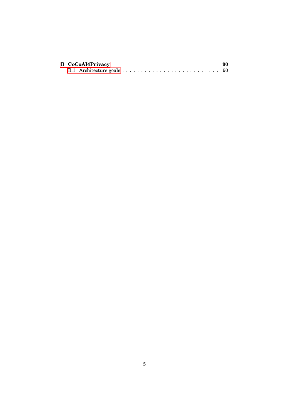|  | <b>B</b> CoCoAI4Privacy | 90 |
|--|-------------------------|----|
|  |                         |    |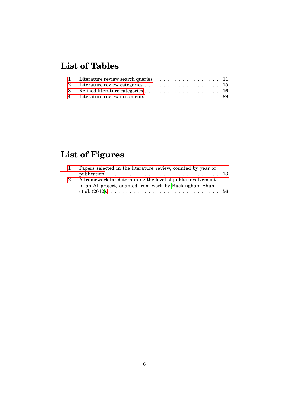## **List of Tables**

| 1 Literature review search queries 11 |  |
|---------------------------------------|--|
|                                       |  |
|                                       |  |
|                                       |  |

## **List of Figures**

| $\mathbf{1}$ | Papers selected in the literature review, counted by year of |  |
|--------------|--------------------------------------------------------------|--|
|              |                                                              |  |
| 2            | A framework for determining the level of public involvement  |  |
|              | in an AI project, adapted from work by Buckingham Shum       |  |
|              |                                                              |  |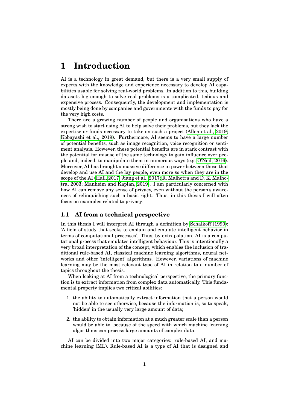## <span id="page-10-0"></span>**1 Introduction**

AI is a technology in great demand, but there is a very small supply of experts with the knowledge and experience necessary to develop AI capabilities usable for solving real-world problems. In addition to this, building datasets big enough to solve real problems is a complicated, tedious and expensive process. Consequently, the development and implementation is mostly being done by companies and governments with the funds to pay for the very high costs.

There are a growing number of people and organisations who have a strong wish to start using AI to help solve their problems, but they lack the expertise or funds necessary to take on such a project [\(Allen et al., 2019;](#page-88-0) [Kobayashi et al., 2019\)](#page-92-0). Furthermore, AI seems to have a large number of potential benefits, such as image recognition, voice recognition or sentiment analysis. However, these potential benefits are in stark contrast with the potential for misuse of the same technology to gain influence over people and, indeed, to manipulate them in numerous ways (e.g. [O'Neil, 2016\)](#page-94-0). Moreover, AI has brought a massive difference in power between those that develop and use AI and the lay people, even more so when they are in the scope of the AI [\(Hall, 2017;](#page-91-0) [Jiang et al., 2017;](#page-92-1) [R. Malhotra and D. K. Malho](#page-93-0)[tra, 2003;](#page-93-0) [Manheim and Kaplan, 2019\)](#page-93-1). I am particularly concerned with how AI can remove any sense of privacy, even without the person's awareness of relinquishing such a basic right. Thus, in this thesis I will often focus on examples related to privacy.

#### <span id="page-10-1"></span>**1.1 AI from a technical perspective**

In this thesis I will interpret AI through a definition by [Schalkoff \(1990\)](#page-95-0): 'A field of study that seeks to explain and emulate intelligent behavior in terms of computational processes'. Thus, by extrapolation, AI is a computational process that emulates intelligent behaviour. This is intentionally a very broad interpretation of the concept, which enables the inclusion of traditional rule-based AI, classical machine learning algorithms, neural networks and other 'intelligent' algorithms. However, variations of machine learning may be the most relevant type of AI in relation to a number of topics throughout the thesis.

When looking at AI from a technological perspective, the primary function is to extract information from complex data automatically. This fundamental property implies two critical abilities:

- 1. the ability to automatically extract information that a person would not be able to see otherwise, because the information is, so to speak, 'hidden' in the usually very large amount of data;
- 2. the ability to obtain information at a much greater scale than a person would be able to, because of the speed with which machine learning algorithms can process large amounts of complex data.

AI can be divided into two major categories: rule-based AI, and machine learning (ML). Rule-based AI is a type of AI that is designed and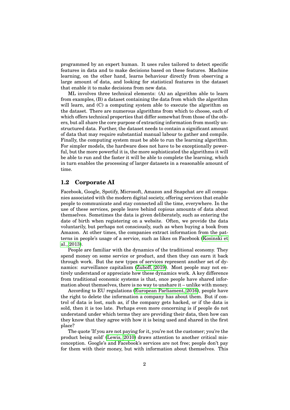programmed by an expert human. It uses rules tailored to detect specific features in data and to make decisions based on these features. Machine learning, on the other hand, learns behaviour directly from observing a large amount of data, and looking for statistical features in the dataset that enable it to make decisions from new data.

ML involves three technical elements: (A) an algorithm able to learn from examples, (B) a dataset containing the data from which the algorithm will learn, and (C) a computing system able to execute the algorithm on the dataset. There are numerous algorithms from which to choose, each of which offers technical properties that differ somewhat from those of the others, but all share the core purpose of extracting information from mostly unstructured data. Further, the dataset needs to contain a significant amount of data that may require substantial manual labour to gather and compile. Finally, the computing system must be able to run the learning algorithm. For simpler models, the hardware does not have to be exceptionally powerful, but the more powerful it is, the more sophisticated the algorithms it will be able to run and the faster it will be able to complete the learning, which in turn enables the processing of larger datasets in a reasonable amount of time.

#### <span id="page-11-0"></span>**1.2 Corporate AI**

Facebook, Google, Spotify, Microsoft, Amazon and Snapchat are all companies associated with the modern digital society, offering services that enable people to communicate and stay connected all the time, everywhere. In the use of these services, people leave behind copious amounts of data about themselves. Sometimes the data is given deliberately, such as entering the date of birth when registering on a website. Often, we provide the data voluntarily, but perhaps not consciously, such as when buying a book from Amazon. At other times, the companies extract information from the patterns in people's usage of a service, such as likes on Facebook [\(Kosinski et](#page-92-2) [al., 2013\)](#page-92-2).

People are familiar with the dynamics of the traditional economy. They spend money on some service or product, and then they can earn it back through work. But the new types of services represent another set of dynamics: surveillance capitalism [\(Zuboff, 2019\)](#page-97-1). Most people may not entirely understand or appreciate how these dynamics work. A key difference from traditional economic systems is that, once people have shared information about themselves, there is no way to unshare it – unlike with money.

According to EU regulations [\(European Parliament, 2016\)](#page-90-0), people have the right to delete the information a company has about them. But if control of data is lost, such as, if the company gets hacked, or if the data is sold, then it is too late. Perhaps even more concerning is if people do not understand under which terms they are providing their data, then how can they know that they agree with how it is being used and shared in the first place?

The quote 'If you are not paying for it, you're not the customer; you're the product being sold' [\(Lewis, 2010\)](#page-93-2) draws attention to another critical misconception. Google's and Facebook's services are not free; people don't pay for them with their money, but with information about themselves. This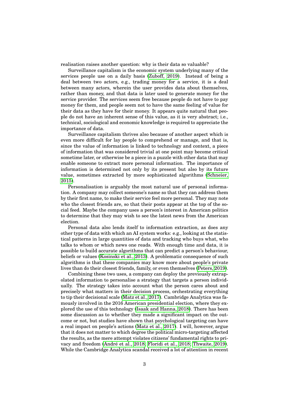realisation raises another question: why is their data so valuable?

Surveillance capitalism is the economic system underlying many of the services people use on a daily basis [\(Zuboff, 2019\)](#page-97-1). Instead of being a deal between two actors, e.g., trading money for a service, it is a deal between many actors, wherein the user provides data about themselves, rather than money, and that data is later used to generate money for the service provider. The services seem free because people do not have to pay money for them, and people seem not to have the same feeling of value for their data as they have for their money. It appears quite natural that people do not have an inherent sense of this value, as it is very abstract; i.e., technical, sociological and economic knowledge is required to appreciate the importance of data.

Surveillance capitalism thrives also because of another aspect which is even more difficult for lay people to comprehend or manage, and that is, since the value of information is linked to technology and context, a piece of information that was considered trivial at one point may become critical sometime later, or otherwise be a piece in a puzzle with other data that may enable someone to extract more personal information. The importance of information is determined not only by its present but also by its future value, sometimes extracted by more sophisticated algorithms [\(Schneier,](#page-95-1) [2015\)](#page-95-1).

Personalisation is arguably the most natural use of personal information. A company may collect someone's name so that they can address them by their first name, to make their service feel more personal. They may note who the closest friends are, so that their posts appear at the top of the social feed. Maybe the company uses a person's interest in American politics to determine that they may wish to see the latest news from the American election.

Personal data also lends itself to information extraction, as does any other type of data with which an AI system works: e.g., looking at the statistical patterns in large quantities of data and tracking who buys what, who talks to whom or which news one reads. With enough time and data, it is possible to build accurate algorithms that can predict a person's behaviour, beliefs or values [\(Kosinski et al., 2013\)](#page-92-2). A problematic consequence of such algorithms is that these companies may know more about people's private lives than do their closest friends, family, or even themselves [\(Peters, 2019\)](#page-95-2).

Combining these two uses, a company can deploy the previously extrapolated information to personalise a strategy that targets a person individually. The strategy takes into account what the person cares about and precisely what matters in their decision process, orchestrating everything to tip their decisional scale [\(Matz et al., 2017\)](#page-93-3). Cambridge Analytica was famously involved in the 2016 American presidential election, where they explored the use of this technology [\(Isaak and Hanna, 2018\)](#page-92-3). There has been some discussion as to whether they made a significant impact on the outcome or not, but studies have shown that psychological targeting can have a real impact on people's actions [\(Matz et al., 2017\)](#page-93-3). I will, however, argue that it does not matter to which degree the political micro-targeting affected the results, as the mere attempt violates citizens' fundamental rights to pri-vacy and freedom (André et al., 2018; [Floridi et al., 2018;](#page-90-1) [Thwaite, 2019\)](#page-96-0). While the Cambridge Analytica scandal received a lot of attention in recent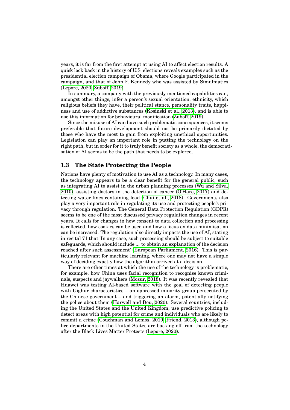years, it is far from the first attempt at using AI to affect election results. A quick look back in the history of U.S. elections reveals examples such as the presidential election campaign of Obama, where Google participated in the campaign, and that of John F. Kennedy who was assisted by Simulmatics [\(Lepore, 2020;](#page-93-4) [Zuboff, 2019\)](#page-97-1).

In summary, a company with the previously mentioned capabilities can, amongst other things, infer a person's sexual orientation, ethnicity, which religious beliefs they have, their political stance, personality traits, happiness and use of addictive substances [\(Kosinski et al., 2013\)](#page-92-2), and is able to use this information for behavioural modification [\(Zuboff, 2019\)](#page-97-1).

Since the misuse of AI can have such problematic consequences, it seems preferable that future development should not be primarily dictated by those who have the most to gain from exploiting unethical opportunities. Legislation can play an important role in putting the technology on the right path, but in order for it to truly benefit society as a whole, the democratisation of AI seems to be the path that needs to be explored.

#### <span id="page-13-0"></span>**1.3 The State Protecting the People**

Nations have plenty of motivation to use AI as a technology. In many cases, the technology appears to be a clear benefit for the general public, such as integrating AI to assist in the urban planning processes [\(Wu and Silva,](#page-97-2) [2010\)](#page-97-2), assisting doctors in the detection of cancer [\(O'Hare, 2017\)](#page-94-1) and detecting water lines containing lead [\(Chui et al., 2018\)](#page-89-1). Governments also play a very important role in regulating its use and protecting people's privacy through regulation. The General Data Protection Regulation (GDPR) seems to be one of the most discussed privacy regulation changes in recent years. It calls for changes in how consent to data collection and processing is collected, how cookies can be used and how a focus on data minimisation can be increased. The regulation also directly impacts the use of AI, stating in recital 71 that 'In any case, such processing should be subject to suitable safeguards, which should include ... to obtain an explanation of the decision reached after such assessment' [\(European Parliament, 2016\)](#page-90-0). This is particularly relevant for machine learning, where one may not have a simple way of deciding exactly how the algorithm arrived at a decision.

<span id="page-13-1"></span>There are other times at which the use of the technology is problematic, for example, how China uses facial recognition to recognise known criminals, suspects and jaywalkers [\(Mozur, 2018\)](#page-94-2). It was recently revealed that Huawei was testing AI-based software with the goal of detecting people with Uighur characteristics – an oppressed minority group persecuted by the Chinese government – and triggering an alarm, potentially notifying the police about them [\(Harwell and Dou, 2020\)](#page-91-1). Several countries, including the United States and the United Kingdom, use predictive policing to detect areas with high potential for crime and individuals who are likely to commit a crime [\(Couchman and Lemos, 2019;](#page-89-2) [Friend, 2013\)](#page-90-2), although police departments in the United States are backing off from the technology after the Black Lives Matter Protests [\(Lepore, 2020\)](#page-93-4).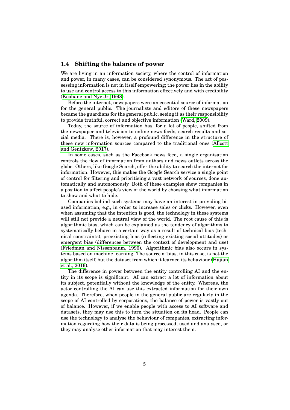#### **1.4 Shifting the balance of power**

We are living in an information society, where the control of information and power, in many cases, can be considered synonymous. The act of possessing information is not in itself empowering; the power lies in the ability to use and control access to this information effectively and with credibility [\(Keohane and Nye Jr, 1998\)](#page-92-4).

Before the internet, newspapers were an essential source of information for the general public. The journalists and editors of these newspapers became the guardians for the general public, seeing it as their responsibility to provide truthful, correct and objective information [\(Ward, 2009\)](#page-96-1).

Today, the source of information has, for a lot of people, shifted from the newspaper and television to online news-feeds, search results and social media. There is, however, a profound difference in the structure of these new information sources compared to the traditional ones [\(Allcott](#page-88-2) [and Gentzkow, 2017\)](#page-88-2).

In some cases, such as the Facebook news feed, a single organisation controls the flow of information from authors and news outlets across the globe. Others, like Google Search, offer the ability to search the internet for information. However, this makes the Google Search service a single point of control for filtering and prioritising a vast network of sources, done automatically and autonomously. Both of these examples show companies in a position to affect people's view of the world by choosing what information to show and what to hide.

Companies behind such systems may have an interest in providing biased information, e.g., in order to increase sales or clicks. However, even when assuming that the intention is good, the technology in these systems will still not provide a neutral view of the world. The root cause of this is algorithmic bias, which can be explained as the tendency of algorithms to systematically behave in a certain way as a result of technical bias (technical constraints), preexisting bias (reflecting existing social attitudes) or emergent bias (differences between the context of development and use) [\(Friedman and Nissenbaum, 1996\)](#page-90-3). Algorithmic bias also occurs in systems based on machine learning. The source of bias, in this case, is not the algorithm itself, but the dataset from which it learned its behaviour [\(Hajian](#page-91-2) [et al., 2016\)](#page-91-2).

<span id="page-14-0"></span>The difference in power between the entity controlling AI and the entity in its scope is significant. AI can extract a lot of information about its subject, potentially without the knowledge of the entity. Whereas, the actor controlling the AI can use this extracted information for their own agenda. Therefore, when people in the general public are regularly in the scope of AI controlled by corporations, the balance of power is vastly out of balance. However, if we enable people with access to AI software and datasets, they may use this to turn the situation on its head. People can use the technology to analyse the behaviour of companies, extracting information regarding how their data is being processed, used and analysed, or they may analyse other information that may interest them.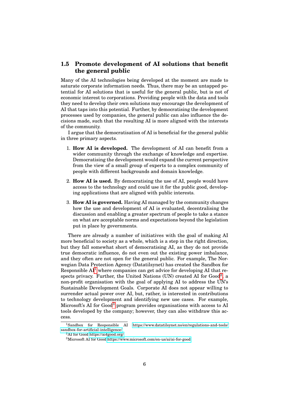#### **1.5 Promote development of AI solutions that benefit the general public**

Many of the AI technologies being developed at the moment are made to saturate corporate information needs. Thus, there may be an untapped potential for AI solutions that is useful for the general public, but is not of economic interest to corporations. Providing people with the data and tools they need to develop their own solutions may encourage the development of AI that taps into this potential. Further, by democratising the development processes used by companies, the general public can also influence the decisions made, such that the resulting AI is more aligned with the interests of the community.

I argue that the democratisation of AI is beneficial for the general public in three primary aspects.

- 1. **How AI is developed.** The development of AI can benefit from a wider community through the exchange of knowledge and expertise. Democratising the development would expand the current perspective from the view of a small group of experts to a complex community of people with different backgrounds and domain knowledge.
- 2. **How AI is used.** By democratising the use of AI, people would have access to the technology and could use it for the public good, developing applications that are aligned with public interests.
- 3. **How AI is governed.** Having AI managed by the community changes how the use and development of AI is evaluated, decentralising the discussion and enabling a greater spectrum of people to take a stance on what are acceptable norms and expectations beyond the legislation put in place by governments.

There are already a number of initiatives with the goal of making AI more beneficial to society as a whole, which is a step in the right direction, but they fall somewhat short of democratising AI, as they do not provide true democratic influence, do not even out the existing power imbalance, and they often are not open for the general public. For example, The Norwegian Data Protection Agency (Datatilsynet) has created the Sandbox for Responsible  $Al^1$  $Al^1$  where companies can get advice for developing AI that re-spects privacy. Further, the United Nations (UN) created AI for Good<sup>[2](#page-0-0)</sup>, a non-profit organisation with the goal of applying AI to address the UN's Sustainable Development Goals. Corporate AI does not appear willing to surrender actual power over AI, but, rather, is interested in contributions to technology development and identifying new use cases. For example, Microsoft's AI for Good<sup>[3](#page-0-0)</sup> program provides organisations with access to AI tools developed by the company; however, they can also withdraw this access.

<sup>1</sup>Sandbox for Responsible AI [https://www.datatilsynet.no/en/regulations-and-tools/](https://www.datatilsynet.no/en/regulations-and-tools/sandbox-for-artificial-intelligence/) [sandbox-for-artificial-intelligence/](https://www.datatilsynet.no/en/regulations-and-tools/sandbox-for-artificial-intelligence/)

<sup>2</sup>AI for Good<https://ai4good.org/>

<sup>3</sup>Microsoft AI for Good<https://www.microsoft.com/en-us/ai/ai-for-good>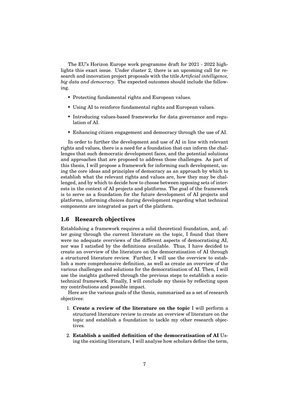The EU's Horizon Europe work programme draft for 2021 - 2022 highlights this exact issue. Under cluster 2, there is an upcoming call for research and innovation project proposals with the title *Artificial intelligence, big data and democracy*. The expected outcomes should include the following.

- Protecting fundamental rights and European values.
- Using AI to reinforce fundamental rights and European values.
- Introducing values-based frameworks for data governance and regulation of AI.
- Enhancing citizen engagement and democracy through the use of AI.

In order to further the development and use of AI in line with relevant rights and values, there is a need for a foundation that can inform the challenges that such democratic development faces, and the potential solutions and approaches that are proposed to address those challenges. As part of this thesis, I will propose a framework for informing such development, using the core ideas and principles of democracy as an approach by which to establish what the relevant rights and values are, how they may be challenged, and by which to decide how to choose between opposing sets of interests in the context of AI projects and platforms. The goal of the framework is to serve as a foundation for the future development of AI projects and platforms, informing choices during development regarding what technical components are integrated as part of the platform.

#### <span id="page-16-0"></span>**1.6 Research objectives**

Establishing a framework requires a solid theoretical foundation, and, after going through the current literature on the topic, I found that there were no adequate overviews of the different aspects of democratising AI, nor was I satisfied by the definitions available. Thus, I have decided to create an overview of the literature on the democratisation of AI through a structured literature review. Further, I will use the overview to establish a more comprehensive definition, as well as create an overview of the various challenges and solutions for the democratisation of AI. Then, I will use the insights gathered through the previous steps to establish a sociotechnical framework. Finally, I will conclude my thesis by reflecting upon my contributions and possible impact.

Here are the various goals of the thesis, summarised as a set of research objectives:

- 1. **Create a review of the literature on the topic** I will perform a structured literature review to create an overview of literature on the topic and establish a foundation to tackle my other research objectives.
- 2. **Establish a unified definition of the democratisation of AI** Using the existing literature, I will analyse how scholars define the term,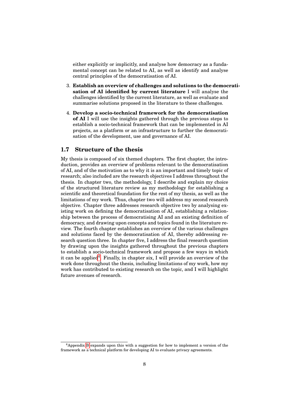either explicitly or implicitly, and analyse how democracy as a fundamental concept can be related to AI, as well as identify and analyse central principles of the democratisation of AI.

- 3. **Establish an overview of challenges and solutions to the democratisation of AI identified by current literature** I will analyse the challenges identified by the current literature, as well as evaluate and summarise solutions proposed in the literature to these challenges.
- 4. **Develop a socio-technical framework for the democratisation of AI** I will use the insights gathered through the previous steps to establish a socio-technical framework that can be implemented in AI projects, as a platform or an infrastructure to further the democratisation of the development, use and governance of AI.

#### <span id="page-17-0"></span>**1.7 Structure of the thesis**

My thesis is composed of six themed chapters. The first chapter, the introduction, provides an overview of problems relevant to the democratisation of AI, and of the motivation as to why it is an important and timely topic of research; also included are the research objectives I address throughout the thesis. In chapter two, the methodology, I describe and explain my choice of the structured literature review as my methodology for establishing a scientific and theoretical foundation for the rest of my thesis, as well as the limitations of my work. Thus, chapter two will address my second research objective. Chapter three addresses research objective two by analysing existing work on defining the democratisation of AI, establishing a relationship between the process of democratising AI and an existing definition of democracy, and drawing upon concepts and topics found in the literature review. The fourth chapter establishes an overview of the various challenges and solutions faced by the democratisation of AI, thereby addressing research question three. In chapter five, I address the final research question by drawing upon the insights gathered throughout the previous chapters to establish a socio-technical framework and propose a few ways in which it can be applied<sup>[4](#page-0-0)</sup>. Finally, in chapter six, I will provide an overview of the work done throughout the thesis, including limitations of my work, how my work has contributed to existing research on the topic, and I will highlight future avenues of research.

<sup>4</sup>Appendix [B](#page-99-0) expands upon this with a suggestion for how to implement a version of the framework as a technical platform for developing AI to evaluate privacy agreements.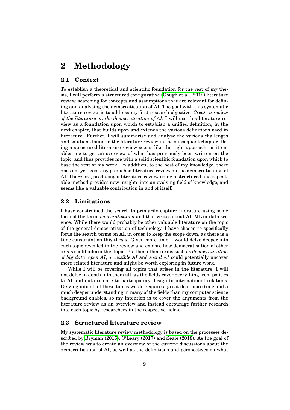## <span id="page-18-0"></span>**2 Methodology**

#### <span id="page-18-1"></span>**2.1 Context**

To establish a theoretical and scientific foundation for the rest of my thesis, I will perform a structured configurative [\(Gough et al., 2012\)](#page-91-3) literature review, searching for concepts and assumptions that are relevant for defining and analysing the democratisation of AI. The goal with this systematic literature review is to address my first research objective, *Create a review of the literature on the democratisation of AI*. I will use this literature review as a foundation upon which to establish a unified definition, in the next chapter, that builds upon and extends the various definitions used in literature. Further, I will summarise and analyse the various challenges and solutions found in the literature review in the subsequent chapter. Doing a structured literature review seems like the right approach, as it enables me to get an overview of what has previously been written on the topic, and thus provides me with a solid scientific foundation upon which to base the rest of my work. In addition, to the best of my knowledge, there does not yet exist any published literature review on the democratisation of AI. Therefore, producing a literature review using a structured and repeatable method provides new insights into an evolving field of knowledge, and seems like a valuable contribution in and of itself.

#### <span id="page-18-2"></span>**2.2 Limitations**

I have constrained the search to primarily capture literature using some form of the term *democratisation* and that writes about AI, ML or data science. While there would probably be other valuable literature on the topic of the general democratisation of technology, I have chosen to specifically focus the search terms on AI, in order to keep the scope down, as there is a time constraint on this thesis. Given more time, I would delve deeper into each topic revealed in the review and explore how democratisation of other areas could inform this topic. Further, other terms such as *democratisation of big data*, *open AI*, *accessible AI* and *social AI* could potentially uncover more related literature and might be worth exploring in future work.

While I will be covering all topics that arises in the literature, I will not delve in depth into them all, as the fields cover everything from politics to AI and data science to participatory design to international relations. Delving into all of these topics would require a great deal more time and a much deeper understanding in many of the fields than my computer science background enables, so my intention is to cover the arguments from the literature review as an overview and instead encourage further research into each topic by researchers in the respective fields.

#### <span id="page-18-3"></span>**2.3 Structured literature review**

My systematic literature review methodology is based on the processes described by [Bryman \(2016\)](#page-89-3), [O'Leary \(2017\)](#page-94-3) and [Seale \(2018\)](#page-95-3). As the goal of the review was to create an overview of the current discussions about the democratisation of AI, as well as the definitions and perspectives on what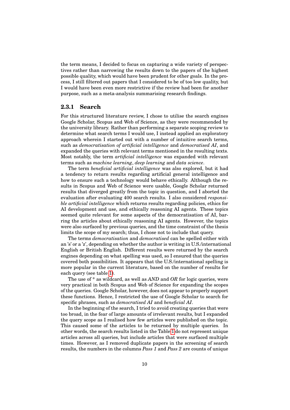the term means, I decided to focus on capturing a wide variety of perspectives rather than narrowing the results down to the papers of the highest possible quality, which would have been prudent for other goals. In the process, I still filtered out papers that I considered to be of too low quality, but I would have been even more restrictive if the review had been for another purpose, such as a meta-analysis summarising research findings.

#### <span id="page-19-0"></span>**2.3.1 Search**

For this structured literature review, I chose to utilise the search engines Google Scholar, Scopus and Web of Science, as they were recommended by the university library. Rather than performing a separate scoping review to determine what search terms I would use, I instead applied an exploratory approach wherein I started out with a number of intuitive search terms, such as *democratisation of artificial intelligence* and *democratised AI*, and expanded the queries with relevant terms mentioned in the resulting texts. Most notably, the term *artificial intelligence* was expanded with relevant terms such as *machine learning*, *deep learning* and *data science*.

The term *beneficial artificial intelligence* was also explored, but it had a tendency to return results regarding artificial general intelligence and how to ensure such a technology would behave ethically. Although the results in Scopus and Web of Science were usable, Google Scholar returned results that diverged greatly from the topic in question, and I aborted the evaluation after evaluating 400 search results. I also considered *responsible artificial intelligence* which returns results regarding policies, ethics for AI development and use, and ethically reasoning AI agents. These topics seemed quite relevant for some aspects of the democratisation of AI, barring the articles about ethically reasoning AI agents. However, the topics were also surfaced by previous queries, and the time constraint of the thesis limits the scope of my search; thus, I chose not to include that query.

The terms *democratisation* and *democratised* can be spelled either with an 's' or a 'z', depending on whether the author is writing in U.S./international English or British English. Different results were returned by the search engines depending on what spelling was used, so I ensured that the queries covered both possibilities. It appears that the U.S./international spelling is more popular in the current literature, based on the number of results for each query (see table [1\)](#page-20-0).

The use of \* as wildcard, as well as *AND* and *OR* for logic queries, were very practical in both Scopus and Web of Science for expanding the scopes of the queries. Google Scholar, however, does not appear to properly support these functions. Hence, I restricted the use of Google Scholar to search for specific phrases, such as *democratised AI* and *beneficial AI*.

In the beginning of the search, I tried to avoid creating queries that were too broad, in the fear of large amounts of irrelevant results, but I expanded the query scope as I realised how few articles were published on the topic. This caused some of the articles to be returned by multiple queries. In other words, the search results listed in the Table [1](#page-20-0) do not represent unique articles across all queries, but include articles that were surfaced multiple times. However, as I removed duplicate papers in the screening of search results, the numbers in the columns *Pass 1* and *Pass 2* are counts of unique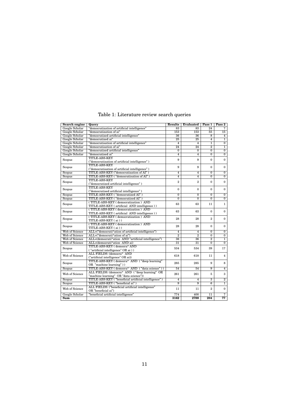<span id="page-20-0"></span>

| <b>Search engine</b>      | Query                                                | <b>Results</b>  | <b>Evaluated</b>        | Pass <sub>1</sub> | Pass 2          |
|---------------------------|------------------------------------------------------|-----------------|-------------------------|-------------------|-----------------|
| Google Scholar            | "democratization of artificial intelligence"         | $\overline{83}$ | 83                      | $\overline{24}$   | 7               |
| Google Scholar            | "democratization of ai"                              | 153             | 153                     | $55\overline{5}$  | 15              |
| Google Scholar            | "democratized artificial intelligence"               | $\overline{36}$ | 36                      | $\overline{8}$    | $\overline{4}$  |
| Google Scholar            | "democratized ai"                                    | 25              | 25                      | $\overline{4}$    | $\overline{1}$  |
| Google Scholar            | "democratisation of artificial intelligence"         | $\overline{4}$  | $\overline{4}$          | $\overline{1}$    | $\overline{0}$  |
| Google Scholar            | "democratisation of ai"                              | $\overline{24}$ | $\overline{24}$         | $\overline{2}$    | $\overline{1}$  |
| Google Scholar            | "democratised artificial intelligence"               | $\overline{0}$  | $\overline{0}$          | $\overline{0}$    | $\overline{0}$  |
| Google Scholar            | "democratised ai"                                    | $\overline{4}$  | $\overline{4}$          | $\overline{0}$    | $\overline{0}$  |
|                           | <b>TITLE-ABS-KEY</b>                                 | 9               | 9                       | $\theta$          | $\mathbf{0}$    |
| Scopus                    | ("democratization of artificial intelligence")       |                 |                         |                   |                 |
|                           | <b>TITLE-ABS-KEY</b>                                 | 9               | 9                       | $\theta$          | $\mathbf{0}$    |
| Scopus                    | ("democratisation of artificial intelligence")       |                 |                         |                   |                 |
| Scopus                    | TITLE-ABS-KEY ("democratization of AI")              | $\overline{4}$  | $\overline{4}$          | $\overline{0}$    | $\overline{0}$  |
| Scopus                    | TITLE-ABS-KEY ("democratisation of AI")              | $\overline{4}$  | $\overline{\mathbf{4}}$ | $\overline{0}$    | $\overline{0}$  |
| Scopus                    | <b>TITLE-ABS-KEY</b>                                 | $\overline{2}$  | $\overline{2}$          | $\Omega$          | $\mathbf{0}$    |
|                           | ("democratized artificial intelligence")             |                 |                         |                   |                 |
| Scopus                    | <b>TITLE-ABS-KEY</b>                                 | $\mathbf{0}$    | $\mathbf{0}$            | $\mathbf{0}$      | $\mathbf{0}$    |
|                           | ("democratised artificial intelligence")             |                 |                         |                   |                 |
| Scopus                    | TITLE-ABS-KEY ("democratized AI")                    | $\overline{0}$  | $\overline{0}$          | $\overline{0}$    | $\overline{0}$  |
| Scopus                    | TITLE-ABS-KEY ("democratised AI")                    | $\overline{0}$  | $\overline{0}$          | $\overline{0}$    | $\overline{0}$  |
| Scopus                    | (TITLE-ABS-KEY (democratization) AND                 | 63              | 63                      | 11                | $\mathbf{1}$    |
|                           | TITLE-ABS-KEY (artificial AND intelligence))         |                 |                         |                   |                 |
| Scopus                    | (TITLE-ABS-KEY (democratisation) AND                 | 63              | 63                      | $\Omega$          | $\mathbf{0}$    |
|                           | TITLE-ABS-KEY (artificial AND intelligence))         |                 |                         |                   |                 |
| Scopus                    | (TITLE-ABS-KEY (democratization) AND                 | 28              | 28                      | $\overline{2}$    | $\mathbf{0}$    |
|                           | TITLE-ABS-KEY (ai))                                  |                 |                         |                   |                 |
| Scopus                    | (TITLE-ABS-KEY (democratisation) AND                 |                 | 28<br>28                | $\bf{0}$          | $\bf{0}$        |
|                           | TITLE-ABS-KEY (ai))                                  |                 |                         |                   |                 |
| <b>Web of Science</b>     | ALL=("democrati*ation of artificial intelligence")   | 4               | $\overline{\mathbf{4}}$ | $\overline{0}$    | $\overline{0}$  |
| Web of Science            | ALL=("democrati*ation of ai")                        | $\overline{2}$  | $\overline{2}$          | $\overline{0}$    | $\overline{0}$  |
| Web of Science            | ALL=(democrati*ation AND "artificial intelligence")  | 36              | 36                      | $\overline{2}$    | $\mathbf{1}$    |
| <b>Web of Science</b>     | ALL=(democrati*ation AND ai)                         | $\overline{31}$ | $\overline{31}$         | $\overline{0}$    | $\overline{0}$  |
| Scopus                    | TITLE-ABS-KEY (democra* AND                          | 534             | 534                     | 39                | 17              |
|                           | $($ "artificial intelligence" ${\rm OR}$ ai $)$ )    |                 |                         |                   |                 |
| Web of Science            | ALL FIELDS: (democra* AND                            | 618             | 618                     | 11                | $\overline{4}$  |
|                           | ("artificial intelligence" OR ai))                   |                 |                         |                   |                 |
| Scopus                    | TITLE-ABS-KEY (democra* AND ("deep learning"         | 285             | 285                     | 9                 | 8               |
|                           | OR "machine learning"))                              |                 |                         |                   |                 |
| Scopus                    | TITLE-ABS-KEY (democra* AND ("data science"))        | 54              | 54                      | $\overline{9}$    | $\overline{4}$  |
| Web of Science            | ALL FIELDS: (democra* AND ("deep learning" OR        | 261             | 261                     | 5                 | 3               |
|                           | "machine learning" OR "data science"))               |                 |                         |                   |                 |
| Scopus                    | TITLE-ABS-KEY ("beneficial artificial intelligence") | $\overline{4}$  | 4                       | 3                 | $\overline{2}$  |
| Scopus                    | TITLE-ABS-KEY ("beneficial ai")                      | $\overline{9}$  | $\overline{9}$          | $\overline{6}$    | $\overline{1}$  |
| Web of Science            | ALL FIELDS: ("beneficial artificial intelligence"    | 11              | 11                      | $\overline{2}$    | $\mathbf{0}$    |
|                           | OR "beneficial ai")                                  |                 |                         |                   |                 |
| Google Scholar            | "beneficial artificial intelligence"                 | 774             | 400                     | 11                | 7               |
| $\overline{\mathbf{Sum}}$ |                                                      | 3162            | 2788                    | 204               | $\overline{77}$ |

Table 1: Literature review search queries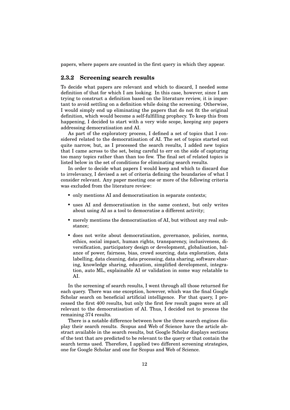<span id="page-21-0"></span>papers, where papers are counted in the first query in which they appear.

#### **2.3.2 Screening search results**

To decide what papers are relevant and which to discard, I needed some definition of that for which I am looking. In this case, however, since I am trying to construct a definition based on the literature review, it is important to avoid settling on a definition while doing the screening. Otherwise, I would simply end up eliminating the papers that do not fit the original definition, which would become a self-fulfilling prophecy. To keep this from happening, I decided to start with a very wide scope, keeping any papers addressing democratisation and AI.

As part of the exploratory process, I defined a set of topics that I considered related to the democratisation of AI. The set of topics started out quite narrow, but, as I processed the search results, I added new topics that I came across to the set, being careful to err on the side of capturing too many topics rather than than too few. The final set of related topics is listed below in the set of conditions for eliminating search results.

In order to decide what papers I would keep and which to discard due to irrelevancy, I devised a set of criteria defining the boundaries of what I consider relevant. Any paper meeting one or more of the following criteria was excluded from the literature review:

- only mentions AI and democratisation in separate contexts:
- uses AI and democratisation in the same context, but only writes about using AI as a tool to democratise a different activity;
- merely mentions the democratisation of AI, but without any real substance;
- does not write about democratisation, governance, policies, norms, ethics, social impact, human rights, transparency, inclusiveness, diversification, participatory design or development, globalisation, balance of power, fairness, bias, crowd sourcing, data exploration, data labelling, data cleaning, data processing, data sharing, software sharing, knowledge sharing, education, simplified development, integration, auto ML, explainable AI or validation in some way relatable to AI.

In the screening of search results, I went through all those returned for each query. There was one exception, however, which was the final Google Scholar search on beneficial artificial intelligence. For that query, I processed the first 400 results, but only the first few result pages were at all relevant to the democratisation of AI. Thus, I decided not to process the remaining 374 results.

There is a notable difference between how the three search engines display their search results. Scopus and Web of Science have the article abstract available in the search results, but Google Scholar displays sections of the text that are predicted to be relevant to the query or that contain the search terms used. Therefore, I applied two different screening strategies, one for Google Scholar and one for Scopus and Web of Science.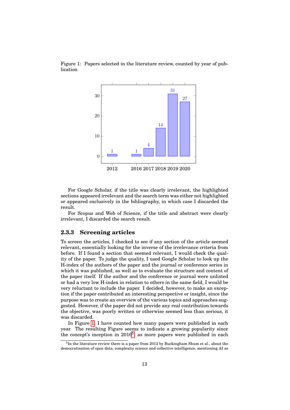<span id="page-22-1"></span>



For Google Scholar, if the title was clearly irrelevant, the highlighted sections appeared irrelevant and the search term was either not highlighted or appeared exclusively in the bibliography, in which case I discarded the result.

For Scopus and Web of Science, if the title and abstract were clearly irrelevant, I discarded the search result.

#### <span id="page-22-0"></span>**2.3.3 Screening articles**

To screen the articles, I checked to see if any section of the article seemed relevant, essentially looking for the inverse of the irrelevance criteria from before. If I found a section that seemed relevant, I would check the quality of the paper. To judge the quality, I used Google Scholar to look up the H-index of the authors of the paper and the journal or conference series in which it was published, as well as to evaluate the structure and content of the paper itself. If the author and the conference or journal were unlisted or had a very low H-index in relation to others in the same field, I would be very reluctant to include the paper. I decided, however, to make an exception if the paper contributed an interesting perspective or insight, since the purpose was to create an overview of the various topics and approaches suggested. However, if the paper did not provide any real contribution towards the objective, was poorly written or otherwise seemed less than serious, it was discarded.

In Figure [1,](#page-22-1) I have counted how many papers were published in each year. The resulting Figure seems to indicate a growing popularity since the concept's inception in 2016<sup>[5](#page-0-0)</sup>, as more papers were published in each

<sup>&</sup>lt;sup>5</sup>In the literature review there is a paper from 2012 by Buckingham Shum et al., about the democratisation of open data, complexity science and collective intelligence, mentioning AI as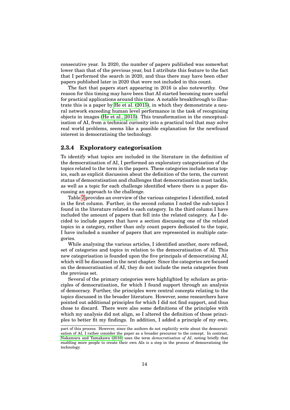consecutive year. In 2020, the number of papers published was somewhat lower than that of the previous year, but I attribute this feature to the fact that I performed the search in 2020, and thus there may have been other papers published later in 2020 that were not included in this count.

The fact that papers start appearing in 2016 is also noteworthy. One reason for this timing may have been that AI started becoming more useful for practical applications around this time. A notable breakthrough to illustrate this is a paper by [He et al. \(2015\)](#page-91-4), in which they demonstrate a neural network exceeding human level performance in the task of recognising objects in images [\(He et al., 2015\)](#page-91-4). This transformation in the conceptualisation of AI, from a technical curiosity into a practical tool that may solve real world problems, seems like a possible explanation for the newfound interest in democratising the technology.

#### <span id="page-23-0"></span>**2.3.4 Exploratory categorisation**

To identify what topics are included in the literature in the definition of the democratisation of AI, I performed an exploratory categorisation of the topics related to the term in the papers. These categories include meta topics, such as explicit discussion about the definition of the term, the current status of democratisation and challenges that democratisation must tackle, as well as a topic for each challenge identified where there is a paper discussing an approach to the challenge.

Table [2](#page-24-0) provides an overview of the various categories I identified, noted in the first column. Further, in the second column I noted the sub-topics I found in the literature related to each category. In the third column I have included the amount of papers that fell into the related category. As I decided to include papers that have a section discussing one of the related topics in a category, rather than only count papers dedicated to the topic, I have included a number of papers that are represented in multiple categories.

While analysing the various articles, I identified another, more refined, set of categories and topics in relation to the democratisation of AI. This new categorisation is founded upon the five principals of democratising AI, which will be discussed in the next chapter. Since the categories are focused on the democratisation of AI, they do not include the meta categories from the previous set.

Several of the primary categories were highlighted by scholars as principles of democratisation, for which I found support through an analysis of democracy. Further, the principles were central concepts relating to the topics discussed in the broader literature. However, some researchers have pointed out additional principles for which I did not find support, and thus chose to discard. There were also some definitions of the principles with which my analysis did not align, so I altered the definition of those principles to better fit my findings. In addition, I added a principle of my own,

part of this process. However, since the authors do not explicitly write about the democratisation of AI, I rather consider the paper as a broader precursor to the concept. In contrast, [Nakamura and Yamakawa \(2016\)](#page-94-4) uses the term *democratisation of AI*, noting briefly that enabling more people to create their own AIs is a step in the process of democratising the technology.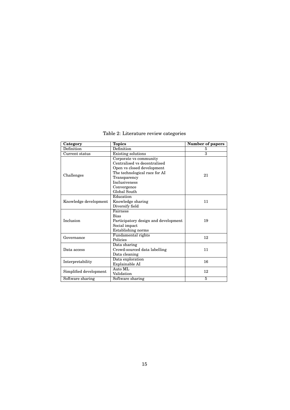<span id="page-24-0"></span>

| Category               | <b>Topics</b>                        | Number of papers        |
|------------------------|--------------------------------------|-------------------------|
| Definition             | Definition                           | 5                       |
| Current status         | <b>Existing solutions</b>            | $\overline{\mathbf{3}}$ |
|                        | Corporate vs community               |                         |
|                        | Centralised vs decentralised         |                         |
|                        | Open vs closed development           |                         |
| Challenges             | The technological race for AI        | 21                      |
|                        | Transparency                         |                         |
|                        | <b>Inclusiveness</b>                 |                         |
|                        | Convergence                          |                         |
|                        | Global South                         |                         |
|                        | Education                            |                         |
| Knowledge development  | Knowledge sharing                    | 11                      |
|                        | Diversify field                      |                         |
|                        | Fairness                             |                         |
|                        | <b>Bias</b>                          |                         |
| Inclusion              | Participatory design and development | 19                      |
|                        | Social impact                        |                         |
|                        | Establishing norms                   |                         |
| Governance             | Fundamental rights                   | 12                      |
|                        | Policies                             |                         |
|                        | Data sharing                         |                         |
| Data access            | Crowd-sourced data labelling         | 11                      |
|                        | Data cleaning                        |                         |
| Interpretability       | Data exploration                     | 16                      |
|                        | Explainable AI                       |                         |
| Simplified development | Auto ML                              | 12                      |
|                        | Validation                           |                         |
| Software sharing       | Software sharing                     | 5                       |

Table 2: Literature review categories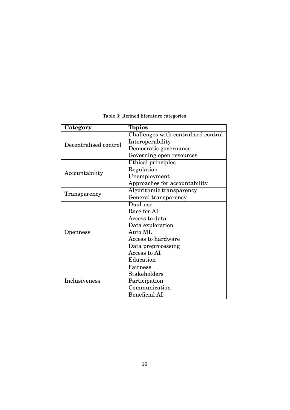<span id="page-25-0"></span>

| Category              | <b>Topics</b>                       |
|-----------------------|-------------------------------------|
|                       | Challenges with centralised control |
| Decentralised control | Interoperability                    |
|                       | Democratic governance               |
|                       | Governing open resources            |
|                       | Ethical principles                  |
| Accountability        | Regulation                          |
|                       | Unemployment                        |
|                       | Approaches for accountability       |
|                       | Algorithmic transparency            |
| Transparency          | General transparency                |
|                       | Dual-use                            |
|                       | Race for AI                         |
|                       | Access to data                      |
|                       | Data exploration                    |
| Openness              | Auto ML                             |
|                       | Access to hardware                  |
|                       | Data preprocessing                  |
|                       | Access to AI                        |
|                       | Education                           |
|                       | Fairness                            |
|                       | <b>Stakeholders</b>                 |
| Inclusiveness         | Participation                       |
|                       | Communication                       |
|                       | <b>Beneficial AI</b>                |

Table 3: Refined literature categories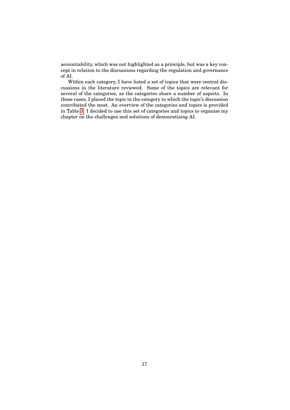accountability, which was not highlighted as a principle, but was a key concept in relation to the discussions regarding the regulation and governance of AI.

Within each category, I have listed a set of topics that were central discussions in the literature reviewed. Some of the topics are relevant for several of the categories, as the categories share a number of aspects. In those cases, I placed the topic in the category to which the topic's discussion contributed the most. An overview of the categories and topics is provided in Table [3.](#page-25-0) I decided to use this set of categories and topics to organise my chapter on the challenges and solutions of democratising AI.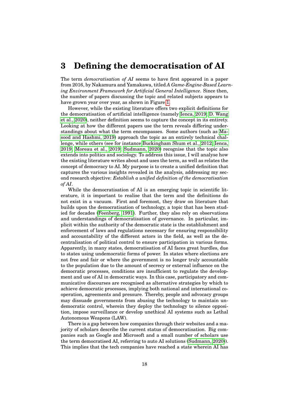### <span id="page-27-0"></span>**3 Defining the democratisation of AI**

The term *democratisation of AI* seems to have first appeared in a paper from 2016, by Nakamura and Yamakawa, titled *A Game-Engine-Based Learning Environment Framework for Artificial General Intelligence*. Since then, the number of papers discussing the topic and related subjects appears to have grown year over year, as shown in Figure [1.](#page-22-1)

However, while the existing literature offers two explicit definitions for the democratisation of artificial intelligence (namely [Ienca, 2019;](#page-92-5) [D. Wang](#page-96-2) [et al., 2020\)](#page-96-2), neither definition seems to capture the concept in its entirety. Looking at how the different papers use the term reveals differing understandings about what the term encompasses. Some authors (such as [Ma](#page-93-5)[sood and Hashmi, 2019\)](#page-93-5) approach the topic as an entirely technical challenge, while others (see for instance [Buckingham Shum et al., 2012;](#page-89-0) [Ienca,](#page-92-5) [2019;](#page-92-5) [Moreau et al., 2019;](#page-94-5) [Sudmann, 2020\)](#page-95-4) recognise that the topic also extends into politics and sociology. To address this issue, I will analyse how the existing literature writes about and uses the term, as well as relates the concept of democracy to AI. My purpose is to create a unified definition that captures the various insights revealed in the analysis, addressing my second research objective: *Establish a unified definition of the democratisation of AI*.

While the democratisation of AI is an emerging topic in scientific literature, it is important to realise that the term and the definitions do not exist in a vacuum. First and foremost, they draw on literature that builds upon the democratisation of technology, a topic that has been studied for decades [\(Feenberg, 1991\)](#page-90-4). Further, they also rely on observations and understandings of democratisation of governance. In particular, implicit within the authority of the democratic state is the establishment and enforcement of laws and regulations necessary for ensuring responsibility and accountability of the different actors in the field, as well as the decentralisation of political control to ensure participation in various forms. Apparently, in many states, democratisation of AI faces great hurdles, due to states using undemocratic forms of power. In states where elections are not free and fair or where the government is no longer truly accountable to the population due to the amount of secrecy or external influence on the democratic processes, conditions are insufficient to regulate the development and use of AI in democratic ways. In this case, participatory and communicative discourses are recognised as alternative strategies by which to achieve democratic processes, implying both national and international cooperation, agreements and pressure. Thereby, people and advocacy groups may dissuade governments from abusing the technology to maintain undemocratic control, wherein they deploy the technology to silence opposition, impose surveillance or develop unethical AI systems such as Lethal Autonomous Weapons (LAW).

There is a gap between how companies through their websites and a majority of scholars describe the current status of democratisation. Big companies such as Google and Microsoft and a small number of scholars use the term democratised AI, referring to auto AI solutions [\(Sudmann, 2020\)](#page-95-4)). This implies that the tech companies have reached a state wherein AI has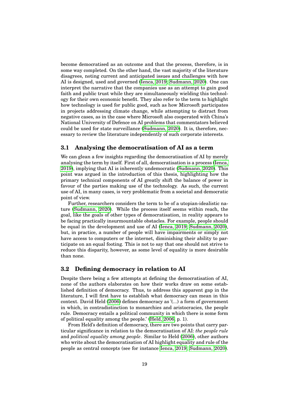become democratised as an outcome and that the process, therefore, is in some way completed. On the other hand, the vast majority of the literature disagrees, noting current and anticipated issues and challenges with how AI is designed, used and governed [\(Ienca, 2019;](#page-92-5) [Sudmann, 2020\)](#page-95-4). One can interpret the narrative that the companies use as an attempt to gain good faith and public trust while they are simultaneously wielding this technology for their own economic benefit. They also refer to the term to highlight how technology is used for public good, such as how Microsoft participates in projects addressing climate change, while attempting to distract from negative cases, as in the case where Microsoft also cooperated with China's National University of Defence on AI problems that commentators believed could be used for state surveillance [\(Sudmann, 2020\)](#page-95-4). It is, therefore, necessary to review the literature independently of such corporate interests.

#### <span id="page-28-0"></span>**3.1 Analysing the democratisation of AI as a term**

We can glean a few insights regarding the democratisation of AI by merely analysing the term by itself. First of all, democratisation is a process [\(Ienca,](#page-92-5) [2019\)](#page-92-5), implying that AI is inherently undemocratic [\(Sudmann, 2020\)](#page-95-4). This point was argued in the introduction of this thesis, highlighting how the primary technical components of AI greatly shift the balance of power in favour of the parties making use of the technology. As such, the current use of AI, in many cases, is very problematic from a societal and democratic point of view.

Further, researchers considers the term to be of a utopian-idealistic nature [\(Sudmann, 2020\)](#page-95-4). While the process itself seems within reach, the goal, like the goals of other types of democratisation, in reality appears to be facing practically insurmountable obstacles. For example, people should be equal in the development and use of AI [\(Ienca, 2019;](#page-92-5) [Sudmann, 2020\)](#page-95-4), but, in practice, a number of people will have impairments or simply not have access to computers or the internet, diminishing their ability to participate on an equal footing. This is not to say that one should not strive to reduce this disparity, however, as some level of equality is more desirable than none.

#### <span id="page-28-1"></span>**3.2 Defining democracy in relation to AI**

Despite there being a few attempts at defining the democratisation of AI, none of the authors elaborates on how their works draw on some established definition of democracy. Thus, to address this apparent gap in the literature, I will first have to establish what democracy can mean in this context. David Held [\(2006\)](#page-91-5) defines democracy as '(...) a form of government in which, in contradistinction to monarchies and aristocracies, the people rule. Democracy entails a political community in which there is some form of political equality among the people.' [\(Held, 2006,](#page-91-5) p. 1).

From Held's definition of democracy, there are two points that carry particular significance in relation to the democratisation of AI: *the people rule* and *political equality among people*. Similar to Held [\(2006\)](#page-91-5), other authors who write about the democratisation of AI highlight equality and rule of the people as central concepts (see for instance [Ienca, 2019;](#page-92-5) [Sudmann, 2020\)](#page-95-4).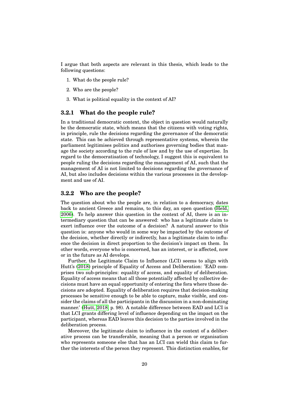I argue that both aspects are relevant in this thesis, which leads to the following questions:

- 1. What do the people rule?
- 2. Who are the people?
- 3. What is political equality in the context of AI?

#### <span id="page-29-0"></span>**3.2.1 What do the people rule?**

In a traditional democratic context, the object in question would naturally be the democratic state, which means that the citizens with voting rights, in principle, rule the decisions regarding the governance of the democratic state. This can be achieved through representative systems, wherein the parliament legitimises politics and authorises governing bodies that manage the society according to the rule of law and by the use of expertise. In regard to the democratisation of technology, I suggest this is equivalent to people ruling the decisions regarding the management of AI, such that the management of AI is not limited to decisions regarding the governance of AI, but also includes decisions within the various processes in the development and use of AI.

#### <span id="page-29-1"></span>**3.2.2 Who are the people?**

The question about who the people are, in relation to a democracy, dates back to ancient Greece and remains, to this day, an open question [\(Held,](#page-91-5) [2006\)](#page-91-5). To help answer this question in the context of AI, there is an intermediary question that can be answered: who has a legitimate claim to exert influence over the outcome of a decision? A natural answer to this question is: anyone who would in some way be impacted by the outcome of the decision, whether directly or indirectly, has a legitimate claim to influence the decision in direct proportion to the decision's impact on them. In other words, everyone who is concerned, has an interest, or is affected, now or in the future as AI develops.

Further, the Legitimate Claim to Influence (LCI) seems to align with Hutt's [\(2018\)](#page-92-6) principle of Equality of Access and Deliberation: 'EAD comprises two sub-principles: equality of access, and equality of deliberation. Equality of access means that all those potentially affected by collective decisions must have an equal opportunity of entering the fora where those decisions are adopted. Equality of deliberation requires that decision-making processes be sensitive enough to be able to capture, make visible, and consider the claims of all the participants in the discussion in a non-dominating manner.' [\(Hutt, 2018,](#page-92-6) p. 98). A notable difference between EAD and LCI is that LCI grants differing level of influence depending on the impact on the participant, whereas EAD leaves this decision to the parties involved in the deliberation process.

Moreover, the legitimate claim to influence in the context of a deliberative process can be transferable, meaning that a person or organisation who represents someone else that has an LCI can wield this claim to further the interests of the person they represent. This distinction enables, for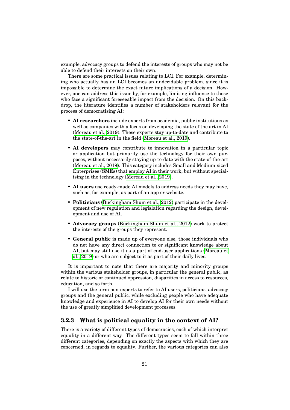example, advocacy groups to defend the interests of groups who may not be able to defend their interests on their own.

There are some practical issues relating to LCI. For example, determining who actually has an LCI becomes an undecidable problem, since it is impossible to determine the exact future implications of a decision. However, one can address this issue by, for example, limiting influence to those who face a significant foreseeable impact from the decision. On this backdrop, the literature identifies a number of stakeholders relevant for the process of democratising AI:

- **AI researchers** include experts from academia, public institutions as well as companies with a focus on developing the state of the art in AI [\(Moreau et al., 2019\)](#page-94-5). These experts stay up-to-date and contribute to the state-of-the-art in the field [\(Moreau et al., 2019\)](#page-94-5).
- **AI developers** may contribute to innovation in a particular topic or application but primarily use the technology for their own purposes, without necessarily staying up-to-date with the state-of-the-art [\(Moreau et al., 2019\)](#page-94-5). This category includes Small and Medium-sized Enterprises (SMEs) that employ AI in their work, but without specialising in the technology [\(Moreau et al., 2019\)](#page-94-5).
- **AI users** use ready-made AI models to address needs they may have, such as, for example, as part of an app or website.
- **Politicians** [\(Buckingham Shum et al., 2012\)](#page-89-0) participate in the development of new regulation and legislation regarding the design, development and use of AI.
- **Advocacy groups** [\(Buckingham Shum et al., 2012\)](#page-89-0) work to protect the interests of the groups they represent.
- **General public** is made up of everyone else, those individuals who do not have any direct connection to or significant knowledge about AI, but may still use it as a part of end-user applications [\(Moreau et](#page-94-5) [al., 2019\)](#page-94-5) or who are subject to it as part of their daily lives.

It is important to note that there are majority and minority groups within the various stakeholder groups, in particular the general public, as relate to historic or continued oppression, disparities in access to resources, education, and so forth.

I will use the term non-experts to refer to AI users, politicians, advocacy groups and the general public, while excluding people who have adequate knowledge and experience in AI to develop AI for their own needs without the use of greatly simplified development processes.

#### <span id="page-30-0"></span>**3.2.3 What is political equality in the context of AI?**

There is a variety of different types of democracies, each of which interpret equality in a different way. The different types seem to fall within three different categories, depending on exactly the aspects with which they are concerned, in regards to equality. Further, the various categories can also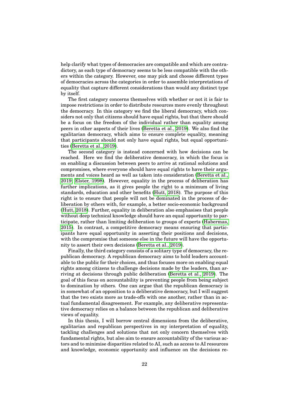help clarify what types of democracies are compatible and which are contradictory, as each type of democracy seems to be less compatible with the others within the category. However, one may pick and choose different types of democracies across the categories in order to assemble interpretations of equality that capture different considerations than would any distinct type by itself.

The first category concerns themselves with whether or not it is fair to impose restrictions in order to distribute resources more evenly throughout the democracy. In this category we find the liberal democracy, which considers not only that citizens should have equal rights, but that there should be a focus on the freedom of the individual rather than equality among peers in other aspects of their lives [\(Beretta et al., 2019\)](#page-88-3). We also find the egalitarian democracy, which aims to ensure complete equality, meaning that participants should not only have equal rights, but equal opportunities [\(Beretta et al., 2019\)](#page-88-3).

The second category is instead concerned with how decisions can be reached. Here we find the deliberative democracy, in which the focus is on enabling a discussion between peers to arrive at rational solutions and compromises, where everyone should have equal rights to have their arguments and voices heard as well as taken into consideration [\(Beretta et al.,](#page-88-3) [2019;](#page-88-3) [Elster, 1998\)](#page-90-5). However, equality in the process of deliberation has further implications, as it gives people the right to a minimum of living standards, education and other benefits [\(Hutt, 2018\)](#page-92-6). The purpose of this right is to ensure that people will not be dominated in the process of deliberation by others with, for example, a better socio-economic background [\(Hutt, 2018\)](#page-92-6). Further, equality in deliberation also emphasises that people without deep technical knowledge should have an equal opportunity to participate, rather than limiting deliberation to groups of experts [\(Habermas,](#page-91-6) [2015\)](#page-91-6). In contrast, a competitive democracy means ensuring that participants have equal opportunity in asserting their positions and decisions, with the compromise that someone else in the future will have the opportunity to assert their own decisions [\(Beretta et al., 2019\)](#page-88-3).

Finally, the third category consists of a solitary type of democracy, the republican democracy. A republican democracy aims to hold leaders accountable to the public for their choices, and thus focuses more on enabling equal rights among citizens to challenge decisions made by the leaders, than arriving at decisions through public deliberation [\(Beretta et al., 2019\)](#page-88-3). The goal of this focus on accountability is preventing people from being subject to domination by others. One can argue that the republican democracy is in somewhat of an opposition to a deliberative democracy, but I will suggest that the two exists more as trade-offs with one another, rather than in actual fundamental disagreement. For example, any deliberative representative democracy relies on a balance between the republican and deliberative views of equality.

In this thesis, I will borrow central dimensions from the deliberative, egalitarian and republican perspectives in my interpretation of equality, tackling challenges and solutions that not only concern themselves with fundamental rights, but also aim to ensure accountability of the various actors and to minimise disparities related to AI, such as access to AI resources and knowledge, economic opportunity and influence on the decisions re-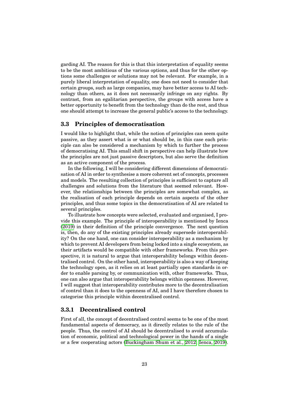garding AI. The reason for this is that this interpretation of equality seems to be the most ambitious of the various options, and thus for the other options some challenges or solutions may not be relevant. For example, in a purely liberal interpretation of equality, one does not need to consider that certain groups, such as large companies, may have better access to AI technology than others, as it does not necessarily infringe on any rights. By contrast, from an egalitarian perspective, the groups with access have a better opportunity to benefit from the technology than do the rest, and thus one should attempt to increase the general public's access to the technology.

#### <span id="page-32-0"></span>**3.3 Principles of democratisation**

I would like to highlight that, while the notion of principles can seem quite passive, as they assert what is or what should be, in this case each principle can also be considered a mechanism by which to further the process of democratising AI. This small shift in perspective can help illustrate how the principles are not just passive descriptors, but also serve the definition as an active component of the process.

In the following, I will be considering different dimensions of democratisation of AI in order to synthesise a more coherent set of concepts, processes and models. The resulting collection of principles is sufficient to capture all challenges and solutions from the literature that seemed relevant. However, the relationships between the principles are somewhat complex, as the realisation of each principle depends on certain aspects of the other principles, and thus some topics in the democratisation of AI are related to several principles.

To illustrate how concepts were selected, evaluated and organised, I provide this example. The principle of interoperability is mentioned by Ienca [\(2019\)](#page-92-5) in their definition of the principle convergence. The next question is, then, do any of the existing principles already supersede interoperability? On the one hand, one can consider interoperability as a mechanism by which to prevent AI developers from being locked into a single ecosystem, as their artifacts would be compatible with other frameworks. From this perspective, it is natural to argue that interoperability belongs within decentralised control. On the other hand, interoperability is also a way of keeping the technology open, as it relies on at least partially open standards in order to enable parsing by, or communication with, other frameworks. Thus, one can also argue that interoperability belongs within openness. However, I will suggest that interoperability contributes more to the decentralisation of control than it does to the openness of AI, and I have therefore chosen to categorise this principle within decentralised control.

#### <span id="page-32-1"></span>**3.3.1 Decentralised control**

First of all, the concept of decentralised control seems to be one of the most fundamental aspects of democracy, as it directly relates to the rule of the people. Thus, the control of AI should be decentralised to avoid accumulation of economic, political and technological power in the hands of a single or a few cooperating actors [\(Buckingham Shum et al., 2012;](#page-89-0) [Ienca, 2019\)](#page-92-5).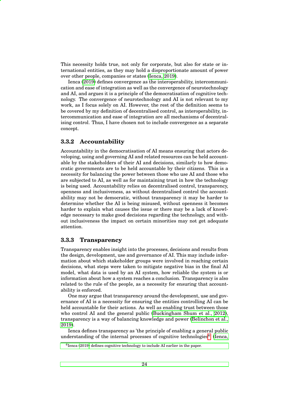This necessity holds true, not only for corporate, but also for state or international entities, as they may hold a disproportionate amount of power over other people, companies or states [\(Ienca, 2019\)](#page-92-5).

Ienca [\(2019\)](#page-92-5) defines convergence as the interoperability, intercommunication and ease of integration as well as the convergence of neurotechnology and AI, and argues it is a principle of the democratisation of cognitive technology. The convergence of neurotechnology and AI is not relevant to my work, as I focus solely on AI. However, the rest of the definition seems to be covered by my definition of decentralised control, as interoperability, intercommunication and ease of integration are all mechanisms of decentralising control. Thus, I have chosen not to include convergence as a separate concept.

#### <span id="page-33-0"></span>**3.3.2 Accountability**

Accountability in the democratisation of AI means ensuring that actors developing, using and governing AI and related resources can be held accountable by the stakeholders of their AI and decisions, similarly to how democratic governments are to be held accountable by their citizens. This is a necessity for balancing the power between those who use AI and those who are subjected to AI, as well as for maintaining trust in how the technology is being used. Accountability relies on decentralised control, transparency, openness and inclusiveness, as without decentralised control the accountability may not be democratic, without transparency it may be harder to determine whether the AI is being misused, without openness it becomes harder to explain what causes the issue or there may be a lack of knowledge necessary to make good decisions regarding the technology, and without inclusiveness the impact on certain minorities may not get adequate attention.

#### <span id="page-33-1"></span>**3.3.3 Transparency**

Transparency enables insight into the processes, decisions and results from the design, development, use and governance of AI. This may include information about which stakeholder groups were involved in reaching certain decisions, what steps were taken to mitigate negative bias in the final AI model, what data is used by an AI system, how reliable the system is or information about how a system reaches a conclusion. Transparency is also related to the rule of the people, as a necessity for ensuring that accountability is enforced.

One may argue that transparency around the development, use and governance of AI is a necessity for ensuring the entities controlling AI can be held accountable for their actions. As well as enabling trust between those who control AI and the general public [\(Buckingham Shum et al., 2012\)](#page-89-0), transparency is a way of balancing knowledge and power [\(Belinchon et al.,](#page-88-4) [2019\)](#page-88-4).

Ienca defines transparency as 'the principle of enabling a general public understanding of the internal processes of cognitive technologies<sup>[6](#page-0-0)</sup>' [\(Ienca,](#page-92-5)

<sup>6</sup> [Ienca \(2019\) defines cognitive technology to include AI earlier in the paper.](#page-92-5)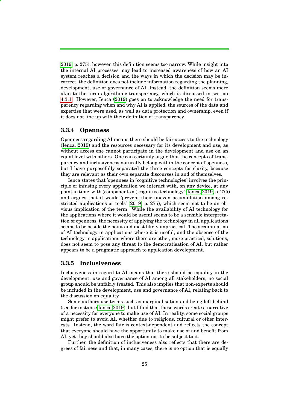[2019,](#page-92-5) p. 275), however, this definition seems too narrow. While insight into the internal AI processes may lead to increased awareness of how an AI system reaches a decision and the ways in which the decision may be incorrect, the definition does not include information regarding the planning, development, use or governance of AI. Instead, the definition seems more akin to the term algorithmic transparency, which is discussed in section [4.3.1.](#page-48-1) However, Ienca [\(2019\)](#page-92-5) goes on to acknowledge the need for transparency regarding when and why AI is applied, the sources of the data and expertise that were used, as well as data protection and ownership, even if it does not line up with their definition of transparency.

#### <span id="page-34-0"></span>**3.3.4 Openness**

Openness regarding AI means there should be fair access to the technology [\(Ienca, 2019\)](#page-92-5) and the resources necessary for its development and use, as without access one cannot participate in the development and use on an equal level with others. One can certainly argue that the concepts of transparency and inclusiveness naturally belong within the concept of openness, but I have purposefully separated the three concepts for clarity, because they are relevant as their own separate discourses in and of themselves.

Ienca states that 'openness in [cognitive technologies] involves the principle of infusing every application we interact with, on any device, at any point in time, with (components of) cognitive technology' [\(Ienca, 2019,](#page-92-5) p. 275) and argues that it would 'prevent their uneven accumulation among restricted applications or tools' [\(2019,](#page-92-5) p. 275), which seem not to be an obvious implication of the term. While the availability of AI technology for the applications where it would be useful seems to be a sensible interpretation of openness, the necessity of applying the technology in all applications seems to be beside the point and most likely impractical. The accumulation of AI technology in applications where it is useful, and the absence of the technology in applications where there are other, more practical, solutions, does not seem to pose any threat to the democratisation of AI, but rather appears to be a pragmatic approach to application development.

#### <span id="page-34-1"></span>**3.3.5 Inclusiveness**

Inclusiveness in regard to AI means that there should be equality in the development, use and governance of AI among all stakeholders; no social group should be unfairly treated. This also implies that non-experts should be included in the development, use and governance of AI, relating back to the discussion on equality.

Some authors use terms such as marginalisation and being left behind (see for instance [Ienca, 2019\)](#page-92-5), but I find that these words create a narrative of a necessity for everyone to make use of AI. In reality, some social groups might prefer to avoid AI, whether due to religious, cultural or other interests. Instead, the word fair is context-dependent and reflects the concept that everyone should have the opportunity to make use of and benefit from AI, yet they should also have the option not to be subject to it.

Further, the definition of inclusiveness also reflects that there are degrees of fairness and that, in many cases, there is no option that is equally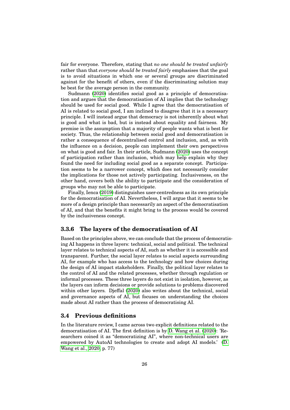fair for everyone. Therefore, stating that *no one should be treated unfairly* rather than that *everyone should be treated fairly* emphasises that the goal is to avoid situations in which one or several groups are discriminated against for the benefit of others, even if the discriminating solution may be best for the average person in the community.

Sudmann [\(2020\)](#page-95-4) identifies social good as a principle of democratisation and argues that the democratisation of AI implies that the technology should be used for social good. While I agree that the democratisation of AI is related to social good, I am inclined to disagree that it is a necessary principle. I will instead argue that democracy is not inherently about what is good and what is bad, but is instead about equality and fairness. My premise is the assumption that a majority of people wants what is best for society. Thus, the relationship between social good and democratisation is rather a consequence of decentralised control and inclusion, and, as with the influence on a decision, people can implement their own perspectives on what is good and fair. In their article, Sudmann [\(2020\)](#page-95-4) uses the concept of participation rather than inclusion, which may help explain why they found the need for including social good as a separate concept. Participation seems to be a narrower concept, which does not necessarily consider the implications for those not actively participating. Inclusiveness, on the other hand, covers both the ability to participate and the consideration of groups who may not be able to participate.

Finally, Ienca [\(2019\)](#page-92-5) distinguishes user-centredness as its own principle for the democratisation of AI. Nevertheless, I will argue that it seems to be more of a design principle than necessarily an aspect of the democratisation of AI, and that the benefits it might bring to the process would be covered by the inclusiveness concept.

#### <span id="page-35-0"></span>**3.3.6 The layers of the democratisation of AI**

Based on the principles above, we can conclude that the process of democratising AI happens in three layers: technical, social and political. The technical layer relates to technical aspects of AI, such as whether it is accessible and transparent. Further, the social layer relates to social aspects surrounding AI, for example who has access to the technology and how choices during the design of AI impact stakeholders. Finally, the political layer relates to the control of AI and the related processes, whether through regulation or informal processes. These three layers do not exist in isolation, however, as the layers can inform decisions or provide solutions to problems discovered within other layers. Djeffal [\(2020\)](#page-90-6) also writes about the technical, social and governance aspects of AI, but focuses on understanding the choices made about AI rather than the process of democratising AI.

#### <span id="page-35-1"></span>**3.4 Previous definitions**

In the literature review, I came across two explicit definitions related to the democratisation of AI. The first definition is by [D. Wang et al. \(2020\)](#page-96-2): 'Researchers coined it as "democratizing AI", where non-technical users are empowered by AutoAI technologies to create and adopt AI models.' [\(D.](#page-96-2) [Wang et al., 2020,](#page-96-2) p. 77)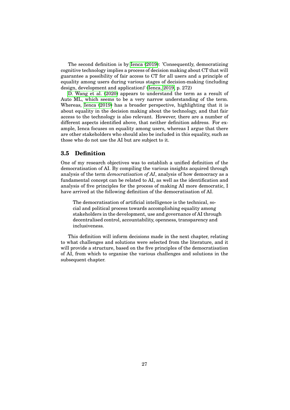The second definition is by [Ienca \(2019\)](#page-92-0): 'Consequently, democratizing cognitive technology implies a process of decision making about CT that will guarantee a possibility of fair access to CT for all users and a principle of equality among users during various stages of decision-making (including design, development and application)' [\(Ienca, 2019,](#page-92-0) p. 272)

[D. Wang et al. \(2020\)](#page-96-0) appears to understand the term as a result of Auto ML, which seems to be a very narrow understanding of the term. Whereas, [Ienca \(2019\)](#page-92-0) has a broader perspective, highlighting that it is about equality in the decision making about the technology, and that fair access to the technology is also relevant. However, there are a number of different aspects identified above, that neither definition address. For example, Ienca focuses on equality among users, whereas I argue that there are other stakeholders who should also be included in this equality, such as those who do not use the AI but are subject to it.

## **3.5 Definition**

One of my research objectives was to establish a unified definition of the democratisation of AI. By compiling the various insights acquired through analysis of the term *democratisation of AI*, analysis of how democracy as a fundamental concept can be related to AI, as well as the identification and analysis of five principles for the process of making AI more democratic, I have arrived at the following definition of the democratisation of AI.

The democratisation of artificial intelligence is the technical, social and political process towards accomplishing equality among stakeholders in the development, use and governance of AI through decentralised control, accountability, openness, transparency and inclusiveness.

This definition will inform decisions made in the next chapter, relating to what challenges and solutions were selected from the literature, and it will provide a structure, based on the five principles of the democratisation of AI, from which to organise the various challenges and solutions in the subsequent chapter.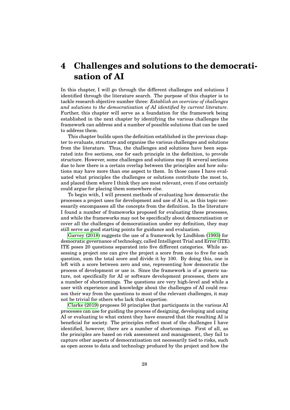# <span id="page-37-0"></span>**4 Challenges and solutions to the democratisation of AI**

In this chapter, I will go through the different challenges and solutions I identified through the literature search. The purpose of this chapter is to tackle research objective number three: *Establish an overview of challenges and solutions to the democratisation of AI identified by current literature*. Further, this chapter will serve as a foundation for the framework being established in the next chapter by identifying the various challenges the framework can address and a number of possible solutions that can be used to address them.

This chapter builds upon the definition established in the previous chapter to evaluate, structure and organise the various challenges and solutions from the literature. Thus, the challenges and solutions have been separated into five sections, one for each principle in the definition, to provide structure. However, some challenges and solutions may fit several sections due to how there is a certain overlap between the principles and how solutions may have more than one aspect to them. In those cases I have evaluated what principles the challenges or solutions contribute the most to, and placed them where I think they are most relevant, even if one certainly could argue for placing them somewhere else.

To begin with, I will present methods of evaluating how democratic the processes a project uses for development and use of AI is, as this topic necessarily encompasses all the concepts from the definition. In the literature I found a number of frameworks proposed for evaluating these processes, and while the frameworks may not be specifically about democratisation or cover all the challenges of democratisation under my definition, they may still serve as good starting points for guidance and evaluation.

[Garvey \(2018\)](#page-91-0) suggests the use of a framework by Lindblom [\(1993\)](#page-93-0) for democratic governance of technology, called Intelligent Trial and Error (ITE). ITE poses 20 questions separated into five different categories. While assessing a project one can give the project a score from one to five for each question, sum the total score and divide it by 100. By doing this, one is left with a score between zero and one, representing how democratic the process of development or use is. Since the framework is of a generic nature, not specifically for AI or software development processes, there are a number of shortcomings. The questions are very high-level and while a user with experience and knowledge about the challenges of AI could reason their way from the questions to most of the relevant challenges, it may not be trivial for others who lack that expertise.

[Clarke \(2019\)](#page-89-0) proposes 50 principles that participants in the various AI processes can use for guiding the process of designing, developing and using AI or evaluating to what extent they have ensured that the resulting AI is beneficial for society. The principles reflect most of the challenges I have identified, however, there are a number of shortcomings. First of all, as the principles are based on risk assessment and management, they fail to capture other aspects of democratisation not necessarily tied to risks, such as open access to data and technology produced by the project and how the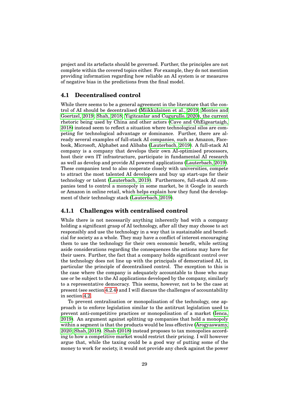project and its artefacts should be governed. Further, the principles are not complete within the covered topics either. For example, they do not mention providing information regarding how reliable an AI system is or measures of negative bias in the predictions from the final model.

### **4.1 Decentralised control**

While there seems to be a general agreement in the literature that the control of AI should be decentralised [\(Miikkulainen et al., 2019;](#page-93-1) [Montes and](#page-93-2) [Goertzel, 2019;](#page-93-2) [Shah, 2018;](#page-95-0) [Yigitcanlar and Cugurullo, 2020\)](#page-97-0), the current rhetoric being used by China and other actors (Cave and Óh $\hat{E}$ igeartaigh, [2018\)](#page-89-1) instead seem to reflect a situation where technological silos are competing for technological advantage or dominance. Further, there are already several examples of full-stack AI companies, such as Amazon, Facebook, Microsoft, Alphabet and Alibaba [\(Lauterbach, 2019\)](#page-92-1). A full-stack AI company is a company that develops their own AI-optimised processors, host their own IT infrastructure, participate in fundamental AI research as well as develop and provide AI powered applications [\(Lauterbach, 2019\)](#page-92-1). These companies tend to also cooperate closely with universities, compete to attract the most talented AI developers and buy up start-ups for their technology or talent [\(Lauterbach, 2019\)](#page-92-1). Furthermore, full-stack AI companies tend to control a monopoly in some market, be it Google in search or Amazon in online retail, which helps explain how they fund the development of their technology stack [\(Lauterbach, 2019\)](#page-92-1).

## **4.1.1 Challenges with centralised control**

While there is not necessarily anything inherently bad with a company holding a significant grasp of AI technology, after all they may choose to act responsibly and use the technology in a way that is sustainable and beneficial for society as a whole. They may have a conflict of interest encouraging them to use the technology for their own economic benefit, while setting aside considerations regarding the consequences the actions may have for their users. Further, the fact that a company holds significant control over the technology does not line up with the principals of democratised AI, in particular the principle of decentralised control. The exception to this is the case where the company is adequately accountable to those who may use or be subject to the AI applications developed by the company, similarly to a representative democracy. This seems, however, not to be the case at present (see section [4.2.4\)](#page-46-0) and I will discuss the challenges of accountability in section [4.2.](#page-42-0)

To prevent centralisation or monopolisation of the technology, one approach is to enforce legislation similar to the antitrust legislation used to prevent anti-competitive practices or monopolisation of a market [\(Ienca,](#page-92-0) [2019\)](#page-92-0). An argument against splitting up companies that hold a monopoly within a segment is that the products would be less effective [\(Arogyaswamy,](#page-88-0) [2020;](#page-88-0) [Shah, 2018\)](#page-95-0). [Shah \(2018\)](#page-95-0) instead proposes to tax monopolies according to how a competitive market would restrict their pricing. I will however argue that, while the taxing could be a good way of putting some of the money to work for society, it would not provide any check against the power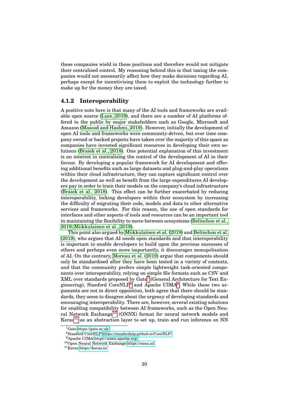these companies wield in these positions and therefore would not mitigate their centralised control. My reasoning behind this is that taxing the companies would not necessarily affect how they make decisions regarding AI, perhaps except for incentivising them to exploit the technology further to make up for the money they are taxed.

## <span id="page-39-0"></span>**4.1.2 Interoperability**

A positive note here is that many of the AI tools and frameworks are available open source [\(Luce, 2019\)](#page-93-3), and there are a number of AI platforms offered to the public by major stakeholders such as Google, Microsoft and Amazon [\(Masood and Hashmi, 2019\)](#page-93-4). However, initially the development of open AI tools and frameworks were community-driven, but over time company owned or backed projects have taken over the majority of this space as companies have invested significant resources in developing their own solutions [\(Braiek et al., 2018\)](#page-88-1). One potential explanation of this investment is an interest in centralising the control of the development of AI in their favour. By developing a popular framework for AI development and offering additional benefits such as large datasets and plug-and-play operations within their cloud infrastructure, they can capture significant control over the development as well as benefit from the large expenditures AI developers pay in order to train their models on the company's cloud infrastructure [\(Braiek et al., 2018\)](#page-88-1). This effect can be further exacerbated by reducing interoperability, locking developers within their ecosystem by increasing the difficulty of migrating their code, models and data to other alternative services and frameworks. For this reason, the use of open standards for interfaces and other aspects of tools and resources can be an important tool in maintaining the flexibility to move between ecosystems [\(Belinchon et al.,](#page-88-2) [2019;](#page-88-2) [Miikkulainen et al., 2019\)](#page-93-1).

This point also argued by [Miikkulainen et al. \(2019\)](#page-93-1) and [Belinchon et al.](#page-88-2) [\(2019\)](#page-88-2), who argues that AI needs open standards and that interoperability is important to enable developers to build upon the previous successes of others and perhaps even more importantly, it discourages monopolisation of AI. On the contrary, [Moreau et al. \(2019\)](#page-94-0) argue that components should only be standardised after they have been tested in a variety of contexts, and that the community prefers simple lightweight task-oriented components over interoperability, relying on simple file formats such as CSV and XML over standards proposed by Gate<sup>[7](#page-0-0)</sup> (General Architecture for Text En-gineering), Stanford CoreNLP<sup>[8](#page-0-0)</sup> and Apache UIMA<sup>[9](#page-0-0)</sup>. While these two arguments are not in direct opposition, both agree that there should be standards, they seem to disagree about the urgency of developing standards and encouraging interoperability. There are, however, several existing solutions for enabling compatibility between AI frameworks, such as the Open Neu-ral Network Exchange<sup>[10](#page-0-0)</sup> (ONNX) format for neural network models and  $Keras<sup>11</sup>$  $Keras<sup>11</sup>$  $Keras<sup>11</sup>$  as an abstraction layer to set up, train and run inference on NN

<sup>7</sup>Gate<https://gate.ac.uk/>

<sup>8</sup>Stanford CoreNLP<https://stanfordnlp.github.io/CoreNLP/>

<sup>9</sup>Apache UIMA<https://uima.apache.org/>

<sup>10</sup>Open Neural Network Exchange<https://onnx.ai/>

<sup>11</sup>Keras<https://keras.io/>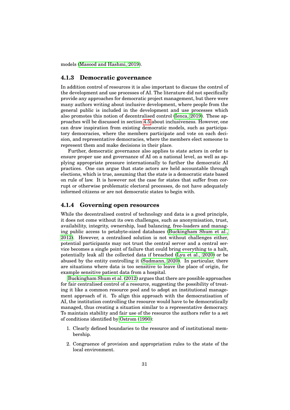<span id="page-40-0"></span>models [\(Masood and Hashmi, 2019\)](#page-93-4).

#### **4.1.3 Democratic governance**

In addition control of resources it is also important to discuss the control of the development and use processes of AI. The literature did not specifically provide any approaches for democratic project management, but there were many authors writing about inclusive development, where people from the general public is included in the development and use processes which also promotes this notion of decentralised control [\(Ienca, 2019\)](#page-92-0). These approaches will be discussed in section [4.5](#page-61-0) about inclusiveness. However, one can draw inspiration from existing democratic models, such as participatory democracies, where the members participate and vote on each decision, and representative democracies, where the members elect someone to represent them and make decisions in their place.

Further, democratic governance also applies to state actors in order to ensure proper use and governance of AI on a national level, as well as applying appropriate pressure internationally to further the democratic AI practices. One can argue that state actors are held accountable through elections, which is true, assuming that the state is a democratic state based on rule of law. It is however not the case for states that suffer from corrupt or otherwise problematic electoral processes, do not have adequately informed citizens or are not democratic states to begin with.

## **4.1.4 Governing open resources**

While the decentralised control of technology and data is a good principle, it does not come without its own challenges, such as anonymisation, trust, availability, integrity, ownership, load balancing, free-loaders and managing public access to petabyte-sized databases [\(Buckingham Shum et al.,](#page-89-2) [2012\)](#page-89-2). However, a centralised solution is not without challenges either, potential participants may not trust the central server and a central service becomes a single point of failure that could bring everything to a halt, potentially leak all the collected data if breached [\(Lyu et al., 2020\)](#page-93-5) or be abused by the entity controlling it [\(Sudmann, 2020\)](#page-95-1). In particular, there are situations where data is too sensitive to leave the place of origin, for example sensitive patient data from a hospital.

[Buckingham Shum et al. \(2012\)](#page-89-2) argues that there are possible approaches for fair centralised control of a resource, suggesting the possibility of treating it like a common resource pool and to adopt an institutional management approach of it. To align this approach with the democratisation of AI, the institution controlling the resource would have to be democratically managed, thus creating a situation similar to a representative democracy. To maintain stability and fair use of the resource the authors refer to a set of conditions identified by [Ostrom \(1990\)](#page-94-1):

- 1. Clearly defined boundaries to the resource and of institutional membership.
- 2. Congruence of provision and appropriation rules to the state of the local environment.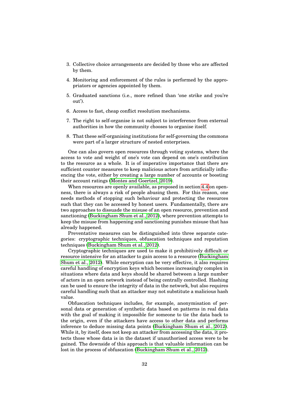- 3. Collective choice arrangements are decided by those who are affected by them.
- 4. Monitoring and enforcement of the rules is performed by the appropriators or agencies appointed by them.
- 5. Graduated sanctions (i.e., more refined than 'one strike and you're out').
- 6. Access to fast, cheap conflict resolution mechanisms.
- 7. The right to self-organise is not subject to interference from external authorities in how the community chooses to organise itself.
- 8. That these self-organising institutions for self-governing the commons were part of a larger structure of nested enterprises.

One can also govern open resources through voting systems, where the access to vote and weight of one's vote can depend on one's contribution to the resource as a whole. It is of imperative importance that there are sufficient counter measures to keep malicious actors from artificially influencing the vote, either by creating a large number of accounts or boosting their account ratings [\(Montes and Goertzel, 2019\)](#page-93-2).

When resources are openly available, as proposed in section [4.4](#page-51-0) on openness, there is always a risk of people abusing them. For this reason, one needs methods of stopping such behaviour and protecting the resources such that they can be accessed by honest users. Fundamentally, there are two approaches to dissuade the misuse of an open resource, prevention and sanctioning [\(Buckingham Shum et al., 2012\)](#page-89-2), where prevention attempts to keep the misuse from happening and sanctioning punishes misuse that has already happened.

Preventative measures can be distinguished into three separate categories: cryptographic techniques, obfuscation techniques and reputation techniques [\(Buckingham Shum et al., 2012\)](#page-89-2).

Cryptographic techniques are used to make it prohibitively difficult or resource intensive for an attacker to gain access to a resource [\(Buckingham](#page-89-2) [Shum et al., 2012\)](#page-89-2). While encryption can be very effective, it also requires careful handling of encryption keys which becomes increasingly complex in situations where data and keys should be shared between a large number of actors in an open network instead of being centrally controlled. Hashing can be used to ensure the integrity of data in the network, but also requires careful handling such that an attacker may not substitute a malicious hash value.

Obfuscation techniques includes, for example, anonymisation of personal data or generation of synthetic data based on patterns in real data with the goal of making it impossible for someone to tie the data back to the origin, even if the attackers have access to other data and performs inference to deduce missing data points [\(Buckingham Shum et al., 2012\)](#page-89-2). While it, by itself, does not keep an attacker from accessing the data, it protects those whose data is in the dataset if unauthorised access were to be gained. The downside of this approach is that valuable information can be lost in the process of obfuscation [\(Buckingham Shum et al., 2012\)](#page-89-2).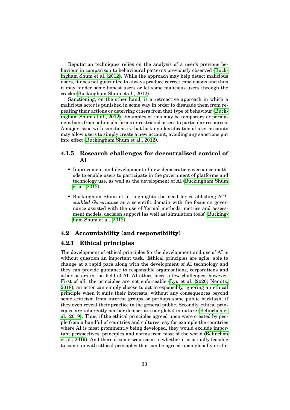Reputation techniques relies on the analysis of a user's previous behaviour in comparison to behavioural patterns previously observed [\(Buck](#page-89-2)[ingham Shum et al., 2012\)](#page-89-2). While the approach may help detect malicious users, it does not guarantee to always produce correct conclusions and thus it may hinder some honest users or let some malicious users through the cracks [\(Buckingham Shum et al., 2012\)](#page-89-2).

Sanctioning, on the other hand, is a retroactive approach in which a malicious actor is punished in some way in order to dissuade them from repeating their actions or deterring others from that type of behaviour [\(Buck](#page-89-2)[ingham Shum et al., 2012\)](#page-89-2). Examples of this may be temporary or permanent bans from online platforms or restricted access to particular resources. A major issue with sanctions is that lacking identification of user accounts may allow users to simply create a new account, avoiding any sanctions put into effect [\(Buckingham Shum et al., 2012\)](#page-89-2).

# **4.1.5 Research challenges for decentralised control of AI**

- Improvement and development of new democratic governance methods to enable users to participate in the government of platforms and technology use, as well as the development of AI [\(Buckingham Shum](#page-89-2) [et al., 2012\)](#page-89-2).
- Buckingham Shum et al. highlights the need for establishing *ICTenabled Governance* as a scientific domain with the focus on governance assisted with the use of 'formal methods, metrics and assessment models, decision support [as well as] simulation tools' [\(Bucking](#page-89-2)[ham Shum et al., 2012\)](#page-89-2).

## <span id="page-42-0"></span>**4.2 Accountability (and responsibility)**

# <span id="page-42-1"></span>**4.2.1 Ethical principles**

The development of ethical principles for the development and use of AI is without question an important task. Ethical principles are agile, able to change at a rapid pace along with the development of AI technology and they can provide guidance to responsible organisations, corporations and other actors in the field of AI. AI ethics faces a few challenges, however. First of all, the principles are not enforceable [\(Lyu et al., 2020;](#page-93-5) [Nemitz,](#page-94-2) [2018\)](#page-94-2); an actor can simply choose to act irresponsibly, ignoring an ethical principle when it suits their interests, without any consequences beyond some criticism from interest groups or perhaps some public backlash, if they even reveal their practice to the general public. Secondly, ethical principles are inherently neither democratic nor global in nature [\(Belinchon et](#page-88-2) [al., 2019\)](#page-88-2). Thus, if the ethical principles agreed upon were created by people from a handful of countries and cultures, say for example the countries where AI is most prominently being developed, they would exclude important perspectives, principles and norms from most of the world [\(Belinchon](#page-88-2) [et al., 2019\)](#page-88-2). And there is some scepticism to whether it is actually feasible to come up with ethical principles that can be agreed upon globally or if it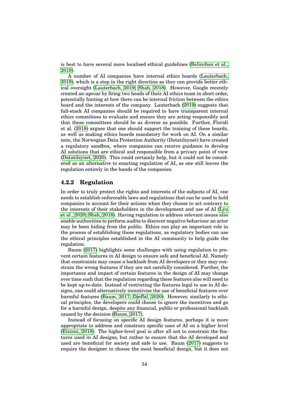is best to have several more localised ethical guidelines [\(Belinchon et al.,](#page-88-2) [2019\)](#page-88-2).

A number of AI companies have internal ethics boards [\(Lauterbach,](#page-92-1) [2019\)](#page-92-1), which is a step in the right direction as they can provide better ethical oversight [\(Lauterbach, 2019;](#page-92-1) [Shah, 2018\)](#page-95-0). However, Google recently created an uproar by firing two heads of their AI ethics team in short order, potentially hinting at how there can be internal friction between the ethics board and the interests of the company. Lauterbach [\(2019\)](#page-92-1) suggests that full-stack AI companies should be required to have transparent internal ethics committees to evaluate and ensure they are acting responsibly and that these committees should be as diverse as possible. Further, Floridi et al. [\(2018\)](#page-90-0) argues that one should support the training of these boards, as well as making ethics boards mandatory for work on AI. On a similar note, the Norwegian Data Protection Authority (Datatilsynet) have created a regulatory sandbox, where companies can receive guidance to develop AI solutions that are ethical and responsible from a privacy point of view [\(Datatilsynet, 2020\)](#page-90-1). This could certainly help, but it could not be considered as an alternative to enacting regulation of AI, as one still leaves the regulation entirely in the hands of the companies.

### <span id="page-43-0"></span>**4.2.2 Regulation**

In order to truly protect the rights and interests of the subjects of AI, one needs to establish enforceable laws and regulations that can be used to hold companies to account for their actions when they choose to act contrary to the interests of their stakeholders in the development and use of AI [\(Lyu](#page-93-5) [et al., 2020;](#page-93-5) [Shah, 2018\)](#page-95-0). Having regulation to address relevant issues also enable authorities to perform audits to discover negative behaviour an actor may be been hiding from the public. Ethics can play an important role in the process of establishing these regulations, as regulatory bodies can use the ethical principles established in the AI community to help guide the regulation.

Baum [\(2017\)](#page-88-3) highlights some challenges with using regulation to prevent certain features in AI design to ensure safe and beneficial AI. Namely that constraints may cause a backlash from AI developers or they may constrain the wrong features if they are not carefully considered. Further, the importance and impact of certain features in the design of AI may change over time such that the regulation regarding these features also will need to be kept up-to-date. Instead of restricting the features legal to use in AI designs, one could alternatively incentivise the use of beneficial features over harmful features [\(Baum, 2017;](#page-88-3) Dieffal, 2020). However, similarly to ethical principles, the developers could choose to ignore the incentives and go for a harmful design, despite any financial, public or professional backlash caused by the decision [\(Baum, 2017\)](#page-88-3).

Instead of focusing on specific AI design features, perhaps it is more appropriate to address and constrain specific uses of AI on a higher level [\(Etzioni, 2018\)](#page-90-3). The higher-level goal is after all not to constrain the features used in AI designs, but rather to ensure that the AI developed and used are beneficial for society and safe to use. Baum [\(2017\)](#page-88-3) suggests to require the designer to choose the most beneficial design, but it does not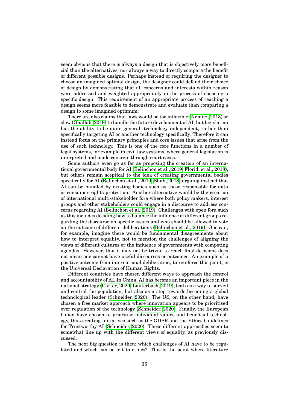seem obvious that there is always a design that is objectively more beneficial than the alternatives, nor always a way to directly compare the benefit of different possible designs. Perhaps instead of requiring the designer to choose an imagined optimal design, the designer could defend their choice of design by demonstrating that all concerns and interests within reason were addressed and weighted appropriately in the process of choosing a specific design. This requirement of an appropriate process of reaching a design seems more feasible to demonstrate and evaluate than comparing a design to some imagined optimum.

There are also claims that laws would be too inflexible [\(Nemitz, 2018\)](#page-94-2) or slow [\(Ghallab, 2019\)](#page-91-1) to handle the future development of AI, but legislation has the ability to be quite general, technology independent, rather than specifically targeting AI or another technology specifically. Therefore it can instead focus on the primary principles and core issues that arise from the use of such technology. This is one of the core functions in a number of legal systems, for example in civil law systems, where general legislation is interpreted and made concrete through court cases.

Some authors even go as far as proposing the creation of an international governmental body for AI [\(Belinchon et al., 2019;](#page-88-2) [Floridi et al., 2018\)](#page-90-0), but others remain sceptical to the idea of creating governmental bodies specifically for AI [\(Belinchon et al., 2019;](#page-88-2) [Shah, 2018\)](#page-95-0) arguing instead that AI can be handled by existing bodies such as those responsible for data or consumer rights protection. Another alternative would be the creation of international multi-stakeholder fora where both policy makers, interest groups and other stakeholders could engage in a discourse to address concerns regarding AI [\(Belinchon et al., 2019\)](#page-88-2). Challenges with open fora such as this includes deciding how to balance the influence of different groups regarding the discourse on specific issues and who should be allowed to vote on the outcome of different deliberations [\(Belinchon et al., 2019\)](#page-88-2). One can, for example, imagine there would be fundamental disagreements about how to interpret equality, not to mention the challenges of aligning the views of different cultures or the influence of governments with competing agendas. However, that it may not be trivial to reach final decisions does not mean one cannot have useful discourses or outcomes. An example of a positive outcome from international deliberation, to reinforce this point, is the Universal Declaration of Human Rights.

Different countries have chosen different ways to approach the control and accountability of AI. In China, AI has become an important piece in the national strategy [\(Carter, 2020;](#page-89-3) [Lauterbach, 2019\)](#page-92-1), both as a way to surveil and control the population, but also as a step towards becoming a global technological leader [\(Schneider, 2020\)](#page-95-2). The US, on the other hand, have chosen a free market approach where innovation appears to be prioritised over regulation of the technology [\(Schneider, 2020\)](#page-95-2). Finally, the European Union have chosen to prioritise individual values and beneficial technology, thus creating initiatives such as the GDPR and the Ethics Guidelines for Trustworthy AI [\(Schneider, 2020\)](#page-95-2). These different approaches seem to somewhat line up with the different views of equality, as previously discussed.

The next big question is then; which challenges of AI have to be regulated and which can be left to ethics? This is the point where literature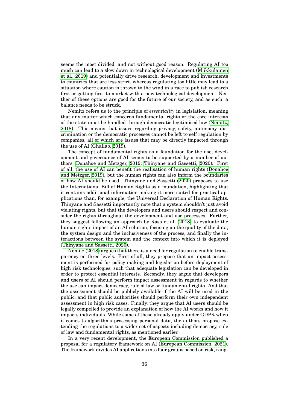seems the most divided, and not without good reason. Regulating AI too much can lead to a slow down in technological development [\(Miikkulainen](#page-93-1) [et al., 2019\)](#page-93-1) and potentially drive research, development and investments to countries that are less strict, whereas regulating too little may lead to a situation where caution is thrown to the wind in a race to publish research first or getting first to market with a new technological development. Neither of these options are good for the future of our society, and as such, a balance needs to be struck.

Nemitz refers us to the principle of *essentiality* in legislation, meaning that any matter which concerns fundamental rights or the core interests of the state must be handled through democratic legitimised law [\(Nemitz,](#page-94-2) [2018\)](#page-94-2). This means that issues regarding privacy, safety, autonomy, discrimination or the democratic processes cannot be left to self regulation by companies, all of which are issues that may be directly impacted through the use of AI [\(Ghallab, 2019\)](#page-91-1).

The concept of fundamental rights as a foundation for the use, development and governance of AI seems to be supported by a number of authors [\(Donahoe and Metzger, 2019;](#page-90-4) [Thinyane and Sassetti, 2020\)](#page-96-1). First of all, the use of AI can benefit the realisation of human rights [\(Donahoe](#page-90-4) [and Metzger, 2019\)](#page-90-4), but the human rights can also inform the boundaries of how AI should be used. Thinyane and Sassetti [\(2020\)](#page-96-1) proposes to use the International Bill of Human Rights as a foundation, highlighting that it contains additional information making it more suited for practical applications than, for example, the Universal Declaration of Human Rights. Thinyane and Sassetti importantly note that a system shouldn't just avoid violating rights, but that the developers and users should respect and consider the rights throughout the development and use processes. Further, they suggest following an approach by Raso et al. [\(2018\)](#page-95-3) to evaluate the human rights impact of an AI solution, focusing on the quality of the data, the system design and the inclusiveness of the process, and finally the interactions between the system and the context into which it is deployed [\(Thinyane and Sassetti, 2020\)](#page-96-1).

Nemitz [\(2018\)](#page-94-2) argues that there is a need for regulation to enable transparency on three levels. First of all, they propose that an impact assessment is performed for policy making and legislation before deployment of high risk technologies, such that adequate legislation can be developed in order to protect essential interests. Secondly, they argue that developers and users of AI should perform impact assessment in regards to whether the use can impact democracy, rule of law or fundamental rights. And that the assessment should be publicly available if the AI will be used in the public, and that public authorities should perform their own independent assessment in high risk cases. Finally, they argue that AI users should be legally compelled to provide an explanation of how the AI works and how it impacts individuals. While some of these already apply under GDPR when it comes to algorithms processing personal data, the authors propose extending the regulations to a wider set of aspects including democracy, rule of law and fundamental rights, as mentioned earlier.

In a very recent development, the European Commission published a proposal for a regulatory framework on AI [\(European Commission, 2021\)](#page-90-5). The framework divides AI applications into four groups based on risk, rang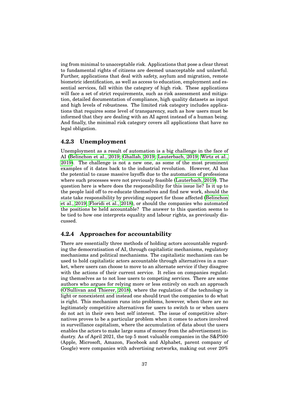ing from minimal to unacceptable risk. Applications that pose a clear threat to fundamental rights of citizens are deemed unacceptable and unlawful. Further, applications that deal with safety, asylum and migration, remote biometric identification, as well as access to education, employment and essential services, fall within the category of high risk. These applications will face a set of strict requirements, such as risk assessment and mitigation, detailed documentation of compliance, high quality datasets as input and high levels of robustness. The limited risk category includes applications that requires some level of transparency, such as how users must be informed that they are dealing with an AI agent instead of a human being. And finally, the minimal risk category covers all applications that have no legal obligation.

#### **4.2.3 Unemployment**

Unemployment as a result of automation is a big challenge in the face of AI [\(Belinchon et al., 2019;](#page-88-2) [Ghallab, 2019;](#page-91-1) [Lauterbach, 2019;](#page-92-1) [Wirtz et al.,](#page-97-1) [2019\)](#page-97-1). The challenge is not a new one, as some of the most prominent examples of it dates back to the industrial revolution. However, AI has the potential to cause massive layoffs due to the automation of professions where such processes were not previously feasible [\(Lauterbach, 2019\)](#page-92-1). The question here is where does the responsibility for this issue lie? Is it up to the people laid off to re-educate themselves and find new work, should the state take responsibility by providing support for those affected [\(Belinchon](#page-88-2) [et al., 2019;](#page-88-2) [Floridi et al., 2018\)](#page-90-0), or should the companies who automated the positions be held accountable? The answer to this question seems to be tied to how one interprets equality and labour rights, as previously discussed.

## <span id="page-46-0"></span>**4.2.4 Approaches for accountability**

There are essentially three methods of holding actors accountable regarding the democratisation of AI, through capitalistic mechanisms, regulatory mechanisms and political mechanisms. The capitalistic mechanism can be used to hold capitalistic actors accountable through alternatives in a market, where users can choose to move to an alternate service if they disagree with the actions of their current service. It relies on companies regulating themselves as to not lose users to competing services. There are some authors who argues for relying more or less entirely on such an approach [\(O'Sullivan and Thierer, 2018\)](#page-95-4), where the regulation of the technology is light or nonexistent and instead one should trust the companies to do what is right. This mechanism runs into problems, however, when there are no legitimately competitive alternatives for users to switch to or when users do not act in their own best self interest. The issue of competitive alternatives proves to be a particular problem when it comes to actors involved in surveillance capitalism, where the accumulation of data about the users enables the actors to make large sums of money from the advertisement industry. As of April 2021, the top 5 most valuable companies in the S&P500 (Apple, Microsoft, Amazon, Facebook and Alphabet, parent company of Google) were companies with advertising networks, making out over 20%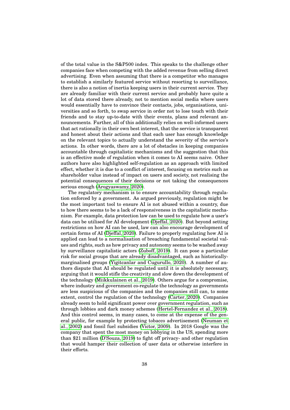of the total value in the S&P500 index. This speaks to the challenge other companies face when competing with the added revenue from selling direct advertising. Even when assuming that there is a competitor who manages to establish a similarly featured service without resorting to surveillance, there is also a notion of inertia keeping users in their current service. They are already familiar with their current service and probably have quite a lot of data stored there already, not to mention social media where users would essentially have to convince their contacts, jobs, organisations, universities and so forth, to swap service in order not to lose touch with their friends and to stay up-to-date with their events, plans and relevant announcements. Further, all of this additionally relies on well-informed users that act rationally in their own best interest, that the service is transparent and honest about their actions and that each user has enough knowledge on the relevant topics to actually understand the severity of the service's actions. In other words, there are a lot of obstacles in keeping companies accountable through capitalistic mechanisms and the suggestion that this is an effective mode of regulation when it comes to AI seems naive. Other authors have also highlighted self-regulation as an approach with limited effect, whether it is due to a conflict of interest, focusing on metrics such as shareholder value instead of impact on users and society, not realising the potential consequences of their decisions or not taking the consequences serious enough [\(Arogyaswamy, 2020\)](#page-88-0).

The regulatory mechanism is to ensure accountability through regulation enforced by a government. As argued previously, regulation might be the most important tool to ensure AI is not abused within a country, due to how there seems to be a lack of responsiveness in the capitalistic mechanism. For example, data protection law can be used to regulate how a user's data can be utilised for AI development [\(Djeffal, 2020\)](#page-90-2). But beyond setting restrictions on how AI can be used, law can also encourage development of certain forms of AI [\(Djeffal, 2020\)](#page-90-2). Failure to properly regulating how AI is applied can lead to a normalisation of breaching fundamental societal values and rights, such as how privacy and autonomy seems to be washed away by surveillance capitalistic actors [\(Zuboff, 2019\)](#page-97-2). It can pose a particular risk for social groups that are already disadvantaged, such as historicallymarginalised groups [\(Yigitcanlar and Cugurullo, 2020\)](#page-97-0). A number of authors dispute that AI should be regulated until it is absolutely necessary, arguing that it would stifle the creativity and slow down the development of the technology [\(Miikkulainen et al., 2019\)](#page-93-1). Others argue for a compromise, where industry and government co-regulate the technology as governments are less suspicious of the companies and the companies still can, to some extent, control the regulation of the technology [\(Carter, 2020\)](#page-89-3). Companies already seem to hold significant power over government regulation, such as through lobbies and dark money schemes [\(Hertel-Fernandez et al., 2018\)](#page-91-2). And this control seems, in many cases, to come at the expense of the general public, for example by protecting tobacco advertisement [\(Neuman et](#page-94-3) [al., 2002\)](#page-94-3) and fossil fuel subsidies [\(Victor, 2009\)](#page-96-2). In 2018 Google was the company that spent the most money on lobbying in the US, spending more than \$21 million [\(D'Souza, 2019\)](#page-90-6) to fight off privacy- and other regulation that would hamper their collection of user data or otherwise interfere in their efforts.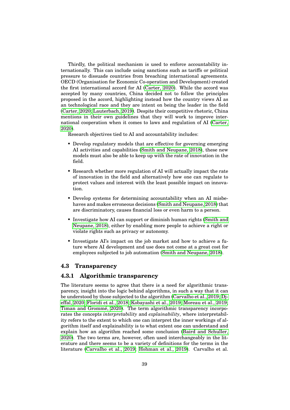Thirdly, the political mechanism is used to enforce accountability internationally. This can include using sanctions such as tariffs or political pressure to dissuade countries from breaching international agreements. OECD (Organisation for Economic Co-operation and Development) created the first international accord for AI [\(Carter, 2020\)](#page-89-3). While the accord was accepted by many countries, China decided not to follow the principles proposed in the accord, highlighting instead how the country views AI as an technological race and they are intent on being the leader in the field [\(Carter, 2020;](#page-89-3) [Lauterbach, 2019\)](#page-92-1). Despite their competitive rhetoric, China mentions in their own guidelines that they will work to improve international cooperation when it comes to laws and regulation of AI [\(Carter,](#page-89-3) [2020\)](#page-89-3).

Research objectives tied to AI and accountability includes:

- Develop regulatory models that are effective for governing emerging AI activities and capabilities [\(Smith and Neupane, 2018\)](#page-95-5), these new models must also be able to keep up with the rate of innovation in the field.
- Research whether more regulation of AI will actually impact the rate of innovation in the field and alternatively how one can regulate to protect values and interest with the least possible impact on innovation.
- Develop systems for determining accountability when an AI misbehaves and makes erroneous decisions [\(Smith and Neupane, 2018\)](#page-95-5) that are discriminatory, causes financial loss or even harm to a person.
- Investigate how AI can support or diminish human rights [\(Smith and](#page-95-5) [Neupane, 2018\)](#page-95-5), either by enabling more people to achieve a right or violate rights such as privacy or autonomy.
- Investigate AI's impact on the job market and how to achieve a future where AI development and use does not come at a great cost for employees subjected to job automation [\(Smith and Neupane, 2018\)](#page-95-5).

## **4.3 Transparency**

# <span id="page-48-0"></span>**4.3.1 Algorithmic transparency**

The literature seems to agree that there is a need for algorithmic transparency, insight into the logic behind algorithms, in such a way that it can be understood by those subjected to the algorithm [\(Carvalho et al., 2019;](#page-89-4) [Dj](#page-90-2)[effal, 2020;](#page-90-2) [Floridi et al., 2018;](#page-90-0) [Kobayashi et al., 2019;](#page-92-2) [Moreau et al., 2019;](#page-94-0) Timan and Grommé, 2020). The term algorithmic transparency incorporates the concepts *interpretability* and *explainability*, where interpretability refers to the extent to which one can interpret the inner workings of algorithm itself and explainability is to what extent one can understand and explain how an algorithm reached some conclusion [\(Baird and Schuller,](#page-88-4) [2020\)](#page-88-4). The two terms are, however, often used interchangeably in the literature and there seems to be a variety of definitions for the terms in the literature [\(Carvalho et al., 2019;](#page-89-4) [Hohman et al., 2019\)](#page-91-3). Carvalho et al.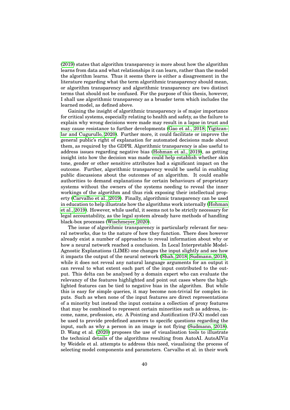[\(2019\)](#page-89-4) states that algorithm transparency is more about how the algorithm learns from data and what relationships it can learn, rather than the model the algorithm learns. Thus it seems there is either a disagreement in the literature regarding what the term algorithmic transparency should mean, or algorithm transparency and algorithmic transparency are two distinct terms that should not be confused. For the purpose of this thesis, however, I shall use algorithmic transparency as a broader term which includes the learned model, as defined above.

Gaining the insight of algorithmic transparency is of major importance for critical systems, especially relating to health and safety, as the failure to explain why wrong decisions were made may result in a lapse in trust and may cause resistance to further developments [\(Gao et al., 2018;](#page-90-7) [Yigitcan](#page-97-0)[lar and Cugurullo, 2020\)](#page-97-0). Further more, it could facilitate or improve the general public's right of explanation for automated decisions made about them, as required by the GDPR. Algorithmic transparency is also useful to address issues regarding negative bias [\(Hohman et al., 2019\)](#page-91-3), as getting insight into how the decision was made could help establish whether skin tone, gender or other sensitive attributes had a significant impact on the outcome. Further, algorithmic transparency would be useful in enabling public discussions about the outcomes of an algorithm. It could enable authorities to demand explanations for certain behaviours of proprietary systems without the owners of the systems needing to reveal the inner workings of the algorithm and thus risk exposing their intellectual property [\(Carvalho et al., 2019\)](#page-89-4). Finally, algorithmic transparency can be used in education to help illustrate how the algorithms work internally [\(Hohman](#page-91-3) [et al., 2019\)](#page-91-3). However, while useful, it seems not to be strictly necessary for legal accountability, as the legal system already have methods of handling black-box processes [\(Wischmeyer, 2020\)](#page-97-3).

The issue of algorithmic transparency is particularly relevant for neural networks, due to the nature of how they function. There does however already exist a number of approaches to reveal information about why or how a neural network reached a conclusion. In Local Interpretable Model-Agnostic Explanations (LIME) one changes the input slightly and see how it impacts the output of the neural network [\(Shah, 2018;](#page-95-0) [Sudmann, 2018\)](#page-95-6), while it does not reveal any natural language arguments for an output it can reveal to what extent each part of the input contributed to the output. This delta can be analysed by a domain expert who can evaluate the relevancy of the features highlighted and point out cases where the highlighted features can be tied to negative bias in the algorithm. But while this is easy for simple queries, it may become non-trivial for complex inputs. Such as when none of the input features are direct representations of a minority but instead the input contains a collection of proxy features that may be combined to represent certain minorities such as address, income, name, profession, etc. A Pointing and Justification (PJ-X) model can be used to provide predefined answers to specific questions regarding the input, such as why a person in an image is not flying [\(Sudmann, 2018\)](#page-95-6). D. Wang et al. [\(2020\)](#page-96-0) proposes the use of visualisation tools to illustrate the technical details of the algorithms resulting from AutoAI. AutoAIViz by Weidele et al. attempts to address this need, visualising the process of selecting model components and parameters. Carvalho et al. in their work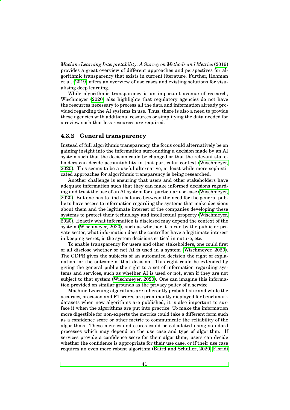*Machine Learning Interpretability: A Survey on Methods and Metrics* [\(2019\)](#page-89-4) provides a great overview of different approaches and perspectives for algorithmic transparency that exists in current literature. Further, Hohman et al. [\(2019\)](#page-91-3) offers an overview of use cases and existing solutions for visualising deep learning.

While algorithmic transparency is an important avenue of research, Wischmeyer [\(2020\)](#page-97-3) also highlights that regulatory agencies do not have the resources necessary to process all the data and information already provided regarding the AI systems in use. Thus, there is also a need to provide these agencies with additional resources or simplifying the data needed for a review such that less resources are required.

#### <span id="page-50-0"></span>**4.3.2 General transparency**

Instead of full algorithmic transparency, the focus could alternatively be on gaining insight into the information surrounding a decision made by an AI system such that the decision could be changed or that the relevant stakeholders can decide accountability in that particular context [\(Wischmeyer,](#page-97-3) [2020\)](#page-97-3). This seems to be a useful alternative, at least while more sophisticated approaches for algorithmic transparency is being researched.

Another challenge is ensuring that users and other stakeholders have adequate information such that they can make informed decisions regarding and trust the use of an AI system for a particular use case [\(Wischmeyer,](#page-97-3) [2020\)](#page-97-3). But one has to find a balance between the need for the general public to have access to information regarding the systems that make decisions about them and the legitimate interest of the companies developing these systems to protect their technology and intellectual property [\(Wischmeyer,](#page-97-3) [2020\)](#page-97-3). Exactly what information is disclosed may depend the context of the system [\(Wischmeyer, 2020\)](#page-97-3), such as whether it is run by the public or private sector, what information does the controller have a legitimate interest in keeping secret, is the system decisions critical in nature, etc.

To enable transparency for users and other stakeholders, one could first of all disclose whether or not AI is used in a system [\(Wischmeyer, 2020\)](#page-97-3). The GDPR gives the subjects of an automated decision the right of explanation for the outcome of that decision. This right could be extended by giving the general public the right to a set of information regarding systems and services, such as whether AI is used or not, even if they are not subject to that system [\(Wischmeyer, 2020\)](#page-97-3). One can imagine this information provided on similar grounds as the privacy policy of a service.

Machine Learning algorithms are inherently probabilistic and while the accuracy, precision and F1 scores are prominently displayed for benchmark datasets when new algorithms are published, it is also important to surface it when the algorithms are put into practice. To make the information more digestible for non-experts the metrics could take a different form such as a confidence score or other metric to communicate the reliability of the algorithms. These metrics and scores could be calculated using standard processes which may depend on the use case and type of algorithm. If services provide a confidence score for their algorithms, users can decide whether the confidence is appropriate for their use case, or if their use case requires an even more robust algorithm [\(Baird and Schuller, 2020;](#page-88-4) [Floridi](#page-90-0)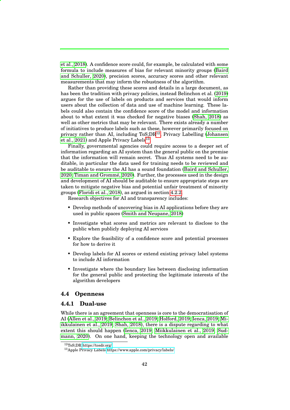[et al., 2018\)](#page-90-0). A confidence score could, for example, be calculated with some formula to include measures of bias for relevant minority groups [\(Baird](#page-88-4) [and Schuller, 2020\)](#page-88-4), precision scores, accuracy scores and other relevant measurements that may inform the robustness of the algorithm.

Rather than providing these scores and details in a large document, as has been the tradition with privacy policies, instead Belinchon et al. [\(2019\)](#page-88-2) argues for the use of labels on products and services that would inform users about the collection of data and use of machine learning. These labels could also contain the confidence score of the model and information about to what extent it was checked for negative biases [\(Shah, 2018\)](#page-95-0) as well as other metrics that may be relevant. There exists already a number of initiatives to produce labels such as these, however primarily focused on privacy rather than AI, including  $T_0S$ ; $DR^{12}$  $DR^{12}$  $DR^{12}$ , Privacy Labelling [\(Johansen](#page-92-3) [et al., 2021\)](#page-92-3) and Apple Privacy Labels<sup>[13](#page-0-0)</sup>.

Finally, governmental agencies could require access to a deeper set of information regarding an AI system than the general public on the premise that the information will remain secret. Thus AI systems need to be auditable, in particular the data used for training needs to be reviewed and be auditable to ensure the AI has a sound foundation [\(Baird and Schuller,](#page-88-4) [2020;](#page-88-4) Timan and Grommé, 2020). Further, the processes used in the design and development of AI should be auditable to ensure appropriate steps are taken to mitigate negative bias and potential unfair treatment of minority groups [\(Floridi et al., 2018\)](#page-90-0), as argued in section [4.2.2.](#page-43-0)

Research objectives for AI and transparency includes:

- Develop methods of uncovering bias in AI applications before they are used in public spaces [\(Smith and Neupane, 2018\)](#page-95-5)
- Investigate what scores and metrics are relevant to disclose to the public when publicly deploying AI services
- Explore the feasibility of a confidence score and potential processes for how to derive it
- Develop labels for AI scores or extend existing privacy label systems to include AI information
- Investigate where the boundary lies between disclosing information for the general public and protecting the legitimate interests of the algorithm developers

#### <span id="page-51-0"></span>**4.4 Openness**

## <span id="page-51-1"></span>**4.4.1 Dual-use**

While there is an agreement that openness is core to the democratisation of AI [\(Allen et al., 2019;](#page-88-5) [Belinchon et al., 2019;](#page-88-2) [Holford, 2019;](#page-91-4) [Ienca, 2019;](#page-92-0) [Mi](#page-93-1)[ikkulainen et al., 2019;](#page-93-1) [Shah, 2018\)](#page-95-0), there is a dispute regarding to what extent this should happen [\(Ienca, 2019;](#page-92-0) [Miikkulainen et al., 2019;](#page-93-1) [Sud](#page-95-1)[mann, 2020\)](#page-95-1). On one hand, keeping the technology open and available

<sup>12</sup>ToS;DR<https://tosdr.org/>

<sup>13</sup>Apple Privacy Labels<https://www.apple.com/privacy/labels/>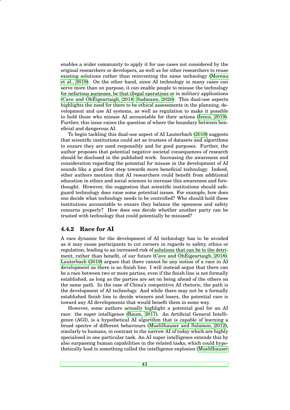enables a wider community to apply it for use cases not considered by the original researchers or developers, as well as for other researchers to reuse existing solutions rather than reinventing the same technology [\(Moreau](#page-94-0) [et al., 2019\)](#page-94-0). On the other hand, since AI technology in many cases can serve more than on purpose, it can enable people to misuse the technology for nefarious purposes, be that illegal operations or in military applications (Cave and Oh $\dot$ [Eigeartaigh, 2018;](#page-89-1) [Sudmann, 2020\)](#page-95-1). This dual-use aspects highlights the need for there to be ethical assessments in the planning, development and use AI systems, as well as regulation to make it possible to hold those who misuse AI accountable for their actions [\(Ienca, 2019\)](#page-92-0). Further, this issue raises the question of where the boundary between beneficial and dangerous AI.

To begin tackling this dual-use aspect of AI Lauterbach [\(2019\)](#page-92-1) suggests that scientific institutions could act as trustees of datasets and algorithms to ensure they are used responsibly and for good purposes. Further, the author proposes that potential negative societal consequences of research should be disclosed in the published work. Increasing the awareness and consideration regarding the potential for misuse in the development of AI sounds like a good first step towards more beneficial technology. Indeed, other authors mention that AI researchers could benefit from additional education in ethics and social sciences to increase this awareness and forethought. However, the suggestion that scientific institutions should safeguard technology does raise some potential issues. For example, how does one decide what technology needs to be controlled? Who should hold these institutions accountable to ensure they balance the openness and safety concerns properly? How does one decide whether another party can be trusted with technology that could potentially be misused?

## **4.4.2 Race for AI**

A race dynamic for the development of AI technology has to be avoided as it may cause participants to cut corners in regards to safety, ethics or regulation, leading to an increased risk of solutions that can be to the detriment, rather than benefit, of our future (Cave and OhÉigeartaigh, 2018). [Lauterbach \(2019\)](#page-92-1) argues that there cannot be any notion of a race in AI development as there is no finish line. I will instead argue that there can be a race between two or more parties, even if the finish line is not formally established, as long as the parties are set on being ahead of the others on the same path. In the case of China's competitive AI rhetoric, the path is the development of AI technology. And while there may not be a formally established finish line to decide winners and losers, the potential race is toward any AI developments that would benefit them in some way.

However, some authors actually highlight a potential goal for an AI race: the super intelligence [\(Baum, 2017\)](#page-88-3). An Artificial General Intelligence (AGI), is a hypothetical AI algorithm that is capable of learning a broad spectre of different behaviours [\(Muehlhauser and Salamon, 2012\)](#page-94-4), similarly to humans, in contrast to the narrow AI of today which are highly specialised in one particular task. An AI super intelligence extends this by also surpassing human capabilities in the related tasks, which could hypothetically lead to something called the intelligence explosion [\(Muehlhauser](#page-94-4)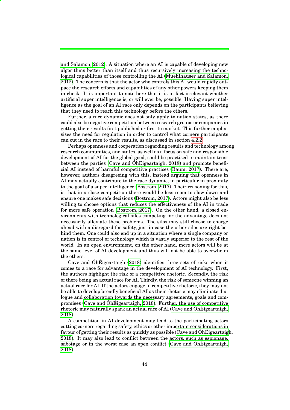[and Salamon, 2012\)](#page-94-4). A situation where an AI is capable of developing new algorithms better than itself and thus recursively increasing the technological capabilities of those controlling the AI [\(Muehlhauser and Salamon,](#page-94-4) [2012\)](#page-94-4). The concern is that the actor who controls this AI would rapidly outpace the research efforts and capabilities of any other powers keeping them in check. It is important to note here that it is in fact irrelevant whether artificial super intelligence is, or will ever be, possible. Having super intelligence as the goal of an AI race only depends on the participants believing that they need to reach this technology before the others.

Further, a race dynamic does not only apply to nation states, as there could also be negative competition between research groups or companies in getting their results first published or first to market. This further emphasises the need for regulation in order to control what corners participants can cut in the race to their results, as discussed in section [4.2.2.](#page-43-0)

Perhaps openness and cooperation regarding results and technology among research communities, and states, as well as a focus on safe and responsible development of AI for the global good, could be practised to maintain trust between the parties (Cave and OhÉigeartaigh, 2018) and promote beneficial AI instead of harmful competitive practices [\(Baum, 2017\)](#page-88-3). There are, however, authors disagreeing with this, instead arguing that openness in AI may actually contribute to the race dynamic, in particular in proximity to the goal of a super intelligence [\(Bostrom, 2017\)](#page-88-6). Their reasoning for this, is that in a close competition there would be less room to slow down and ensure one makes safe decisions [\(Bostrom, 2017\)](#page-88-6). Actors might also be less willing to choose options that reduces the effectiveness of the AI in trade for more safe operation [\(Bostrom, 2017\)](#page-88-6). On the other hand, a closed environments with technological silos competing for the advantage does not necessarily alleviate these problems. The silos may still choose to charge ahead with a disregard for safety, just in case the other silos are right behind them. One could also end up in a situation where a single company or nation is in control of technology which is vastly superior to the rest of the world. In an open environment, on the other hand, more actors will be at the same level of AI development and thus will not be able to overwhelm the others.

Cave and  $\hat{\text{Oh}}$  Eigeartaigh [\(2018\)](#page-89-1) identifies three sets of risks when it comes to a race for advantage in the development of AI technology. First, the authors highlight the risk of a competitive rhetoric. Secondly, the risk of there being an actual race for AI. Thirdly, the risk of someone winning an actual race for AI. If the actors engage in competitive rhetoric, they may not be able to develop broadly beneficial AI as their rhetoric may eliminate dialogue and collaboration towards the necessary agreements, goals and compromises (Cave and Oh $\hat{E}$ igeartaigh, 2018). Further, the use of competitive rhetoric may naturally spark an actual race of AI (Cave and  $\overline{OhE}$ igeartaigh, [2018\)](#page-89-1).

A competition in AI development may lead to the participating actors cutting corners regarding safety, ethics or other important considerations in favour of getting their results as quickly as possible (Cave and ÓhÉigeartaigh, [2018\)](#page-89-1). It may also lead to conflict between the actors, such as espionage, sabotage or in the worst case an open conflict (Cave and Oh[Eigeartaigh,](#page-89-1) [2018\)](#page-89-1).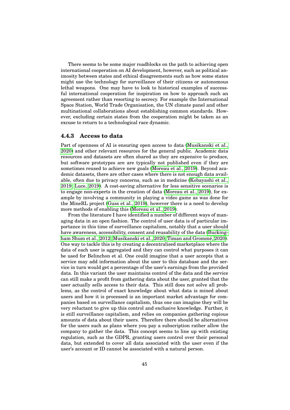There seems to be some major roadblocks on the path to achieving open international cooperation on AI development, however, such as political animosity between states and ethical disagreements such as how some states might use the technology for surveillance of their citizens or autonomous lethal weapons. One may have to look to historical examples of successful international cooperation for inspiration on how to approach such an agreement rather than resorting to secrecy. For example the International Space Station, World Trade Organisation, the UN climate panel and other multinational collaborations about establishing common standards. However, excluding certain states from the cooperation might be taken as an excuse to return to a technological race dynamic.

## **4.4.3 Access to data**

Part of openness of AI is ensuring open access to data [\(Musikanski et al.,](#page-94-5) [2020\)](#page-94-5) and other relevant resources for the general public. Academic data resources and datasets are often shared as they are expensive to produce, but software prototypes are are typically not published even if they are sometimes reused to achieve new goals [\(Moreau et al., 2019\)](#page-94-0). Beyond academic datasets, there are other cases where there is not enough data available, often due to privacy concerns, such as in medicine [\(Kobayashi et al.,](#page-92-2) [2019;](#page-92-2) [Luce, 2019\)](#page-93-3). A cost-saving alternative for less sensitive scenarios is to engage non-experts in the creation of data [\(Moreau et al., 2019\)](#page-94-0), for example by involving a community in playing a video game as was done for the MineRL project [\(Guss et al., 2019\)](#page-91-5), however there is a need to develop more methods of enabling this [\(Moreau et al., 2019\)](#page-94-0).

From the literature I have identified a number of different ways of managing data in an open fashion. The control of user data is of particular importance in this time of surveillance capitalism, notably that a user should have awareness, accessibility, consent and reusability of the data [\(Bucking](#page-89-2)[ham Shum et al., 2012;](#page-89-2) [Musikanski et al., 2020;](#page-94-5) Timan and Grommé, 2020). One way to tackle this is by creating a decentralised marketplace where the data of each user is aggregated and they can control what purposes it can be used for Belinchon et al. One could imagine that a user accepts that a service may add information about the user to this database and the service in turn would get a percentage of the user's earnings from the provided data. In this variant the user maintains control of the data and the service can still make a profit from gathering data about the user, granted that the user actually sells access to their data. This still does not solve all problems, as the control of exact knowledge about what data is mined about users and how it is processed is an important market advantage for companies based on surveillance capitalism, thus one can imagine they will be very reluctant to give up this control and exclusive knowledge. Further, it is still surveillance capitalism, and relies on companies gathering copious amounts of data about their users. Therefore there should be alternatives for the users such as plans where you pay a subscription rather allow the company to gather the data. This concept seems to line up with existing regulation, such as the GDPR, granting users control over their personal data, but extended to cover all data associated with the user even if the user's account or ID cannot be associated with a natural person.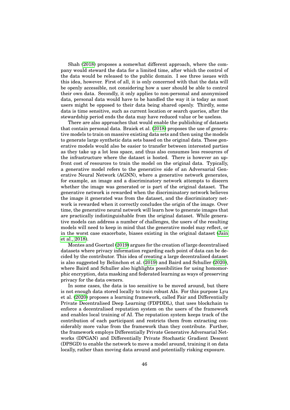Shah [\(2018\)](#page-95-0) proposes a somewhat different approach, where the company would steward the data for a limited time, after which the control of the data would be released to the public domain. I see three issues with this idea, however. First of all, it is only concerned with that the data will be openly accessible, not considering how a user should be able to control their own data. Secondly, it only applies to non-personal and anonymised data, personal data would have to be handled the way it is today as most users might be opposed to their data being shared openly. Thirdly, some data is time sensitive, such as current location or search queries, after the stewardship period ends the data may have reduced value or be useless.

There are also approaches that would enable the publishing of datasets that contain personal data. Braiek et al. [\(2018\)](#page-88-1) proposes the use of generative models to train on massive existing data sets and then using the models to generate large synthetic data sets based on the original data. These generative models would also be easier to transfer between interested parties as they take up a lot less space, and thus also consumes less resources of the infrastructure where the dataset is hosted. There is however an upfront cost of resources to train the model on the original data. Typically, a generative model refers to the generative side of an Adversarial Generative Neural Network (AGNN), where a generative network generates, for example, an image and a discriminatory network attempts to discern whether the image was generated or is part of the original dataset. The generative network is rewarded when the discriminatory network believes the image it generated was from the dataset, and the discriminatory network is rewarded when it correctly concludes the origin of the image. Over time, the generative neural network will learn how to generate images that are practically indistinguishable from the original dataset. While generative models can address a number of challenges, the users of the resulting models will need to keep in mind that the generative model may reflect, or in the worst case exacerbate, biases existing in the original dataset [\(Jain](#page-92-4) [et al., 2018\)](#page-92-4).

Montes and Goertzel [\(2019\)](#page-93-2) argues for the creation of large decentralised datasets where privacy information regarding each point of data can be decided by the contributor. This idea of creating a large decentralised dataset is also suggested by Belinchon et al. [\(2019\)](#page-88-2) and Baird and Schuller [\(2020\)](#page-88-4), where Baird and Schuller also highlights possibilities for using homomorphic encryption, data masking and federated learning as ways of preserving privacy for the data owners.

In some cases, the data is too sensitive to be moved around, but there is not enough data stored locally to train robust AIs. For this purpose Lyu et al. [\(2020\)](#page-93-5) proposes a learning framework, called Fair and Differentially Private Decentralised Deep Learning (FDPDDL), that uses blockchain to enforce a decentralised reputation system on the users of the framework and enables local training of AI. The reputation system keeps track of the contribution of each participant and restricts them from extracting considerably more value from the framework than they contribute. Further, the framework employs Differentially Private Generative Adversarial Networks (DPGAN) and Differentially Private Stochastic Gradient Descent (DPSGD) to enable the network to move a model around, training it on data locally, rather than moving data around and potentially risking exposure.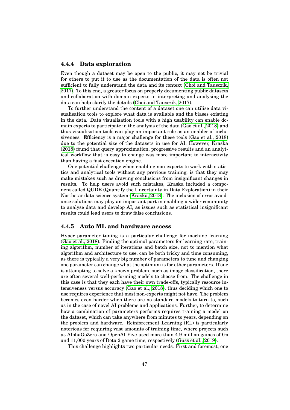## **4.4.4 Data exploration**

Even though a dataset may be open to the public, it may not be trivial for others to put it to use as the documentation of the data is often not sufficient to fully understand the data and its context [\(Choi and Tausczik,](#page-89-5) [2017\)](#page-89-5). To this end, a greater focus on properly documenting public datasets and collaboration with domain experts in interpreting and analysing the data can help clarify the details [\(Choi and Tausczik, 2017\)](#page-89-5).

To further understand the content of a dataset one can utilise data visualisation tools to explore what data is available and the biases existing in the data. Data visualisation tools with a high usability can enable domain experts to participate in the analysis of the data [\(Gao et al., 2018\)](#page-90-7) and thus visualisation tools can play an important role as an enabler of inclusiveness. Efficiency is a major challenge for these tools [\(Gao et al., 2018\)](#page-90-7) due to the potential size of the datasets in use for AI. However, Kraska [\(2018\)](#page-92-5) found that query approximation, progressive results and an analytical workflow that is easy to change was more important to interactivity than having a fast execution engine.

One potential challenge when enabling non-experts to work with statistics and analytical tools without any previous training, is that they may make mistakes such as drawing conclusions from insignificant changes in results. To help users avoid such mistakes, Kraska included a component called QUDE (Quantify the Uncertainty in Data Exploration) in their Northstar data science system [\(Kraska, 2018\)](#page-92-5). The inclusion of error avoidance solutions may play an important part in enabling a wider community to analyse data and develop AI, as issues such as statistical insignificant results could lead users to draw false conclusions.

#### <span id="page-56-0"></span>**4.4.5 Auto ML and hardware access**

Hyper parameter tuning is a particular challenge for machine learning [\(Gao et al., 2018\)](#page-90-7). Finding the optimal parameters for learning rate, training algorithm, number of iterations and batch size, not to mention what algorithm and architecture to use, can be both tricky and time consuming, as there is typically a very big number of parameters to tune and changing one parameter can change what the optimum is for other parameters. If one is attempting to solve a known problem, such as image classification, there are often several well-performing models to choose from. The challenge in this case is that they each have their own trade-offs, typically resource intensiveness versus accuracy [\(Gao et al., 2018\)](#page-90-7), thus deciding which one to use requires experience that most non-experts might not have. The problem becomes even harder when there are no standard models to turn to, such as in the case of novel AI problems and applications. Further, to determine how a combination of parameters performs requires training a model on the dataset, which can take anywhere from minutes to years, depending on the problem and hardware. Reinforcement Learning (RL) is particularly notorious for requiring vast amounts of training time, where projects such as AlphaGoZero and OpenAI Five used more than 4.9 million games of Go and 11,000 years of Dota 2 game time, respectively [\(Guss et al., 2019\)](#page-91-5).

This challenge highlights two particular needs. First and foremost, one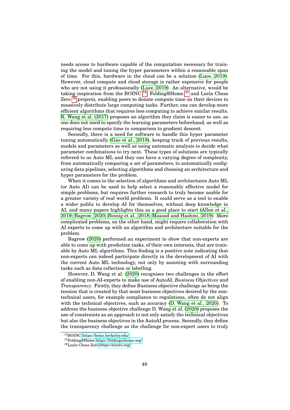needs access to hardware capable of the computation necessary for training the model and tuning the hyper parameters within a reasonable span of time. For this, hardware in the cloud can be a solution [\(Luce, 2019\)](#page-93-3). However, cloud compute and cloud storage is rather expensive for people who are not using it professionally [\(Luce, 2019\)](#page-93-3). An alternative, would be taking inspiration from the BOINC  $^{14}$  $^{14}$  $^{14}$ , Folding@Home  $^{15}$  $^{15}$  $^{15}$  and Leela Chess Zero  $16$  projects, enabling peers to donate compute time on their devices to massively distribute large computing tasks. Further, one can develop more efficient algorithms that requires less computing to achieve similar results. [K. Wang et al. \(2017\)](#page-96-4) proposes an algorithm they claim is easier to use, as one does not need to specify the learning parameters beforehand, as well as requiring less compute time in comparison to gradient descent.

Secondly, there is a need for software to handle this hyper parameter tuning automatically [\(Gao et al., 2018\)](#page-90-7), keeping track of previous results, models and parameters as well as using automatic analysis to decide what parameter combinations to try next. These types of solutions are typically referred to as Auto ML and they can have a varying degree of complexity, from automatically comparing a set of parameters, to automatically configuring data pipelines, selecting algorithms and choosing an architecture and hyper parameters for the problem.

When it comes to the selection of algorithms and architectures Auto ML (or Auto AI) can be used to help select a reasonably effective model for simple problems, but requires further research to truly become usable for a greater variety of real world problems. It could serve as a tool to enable a wider public to develop AI for themselves, without deep knowledge in AI, and many papers highlights this as a good place to start [\(Allen et al.,](#page-88-5) [2019;](#page-88-5) [Bagrow, 2020;](#page-88-7) [Binnig et al., 2018;](#page-88-8) [Masood and Hashmi, 2019\)](#page-93-4). More complicated problems, on the other hand, might require collaboration with AI experts to come up with an algorithm and architecture suitable for the problem.

Bagrow [\(2020\)](#page-88-7) performed an experiment to show that non-experts are able to come up with prediction tasks, of their own interests, that are trainable by Auto ML algorithms. This finding is a positive note indicating that non-experts can indeed participate directly in the development of AI with the current Auto ML technology, not only by assisting with surrounding tasks such as data collection or labelling.

However, D. Wang et al. [\(2020\)](#page-96-0) recognises two challenges in the effort of enabling non-AI-experts to make use of AutoAI, *Business Objectives* and *Transparency*. Firstly, they define Business objective challenge as being the tension that is created by that most business objectives desired by the nontechnical users, for example compliance to regulations, often do not align with the technical objectives, such as accuracy [\(D. Wang et al., 2020\)](#page-96-0). To address the business objective challenge D. Wang et al. [\(2020\)](#page-96-0) proposes the use of constraints as an approach to not only satisfy the technical objectives but also the business objectives in the AutoAI process. Secondly, they define the transparency challenge as the challenge for non-expert users to truly

<sup>14</sup>BOINC<https://boinc.berkeley.edu/>

<sup>15</sup>Folding@Home<https://foldingathome.org/>

<sup>16</sup>Leela Chess Zero<https://lczero.org/>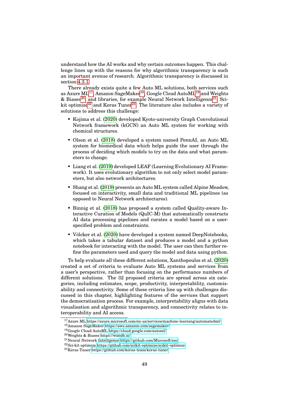understand how the AI works and why certain outcomes happen. This challenge lines up with the reasons for why algorithmic transparency is such an important avenue of research. Algorithmic transparency is discussed in section [4.3.1.](#page-48-0)

There already exists quite a few Auto ML solutions, both services such as Azure ML<sup>[17](#page-0-0)</sup>, Amazon SageMaker<sup>[18](#page-0-0)</sup>, Google Cloud AutoML<sup>[19](#page-0-0)</sup> and Weights  $\&$  Biases<sup>[20](#page-0-0)</sup>, and libraries, for example Neural Network Intelligence<sup>[21](#page-0-0)</sup>, Sci-kit optimize<sup>[22](#page-0-0)</sup> and Keras Tuner<sup>[23](#page-0-0)</sup>. The literature also includes a variety of solutions to address this challenge:

- Kojima et al. [\(2020\)](#page-92-6) developed Kyoto-university Graph Convolutional Network framework (kGCN) an Auto ML system for working with chemical structures.
- Olson et al. [\(2018\)](#page-94-6) developed a system named PennAI, an Auto ML system for biomedical data which helps guide the user through the process of deciding which models to try on the data and what parameters to change.
- Liang et al. [\(2019\)](#page-93-6) developed LEAF (Learning Evolutionary AI Framework). It uses evolutionary algorithm to not only select model parameters, but also network architectures.
- Shang et al. [\(2019\)](#page-95-7) presents an Auto ML system called Alpine Meadow, focused on interactivity, small data and traditional ML pipelines (as opposed to Neural Network architectures).
- Binnig et al. [\(2018\)](#page-88-8) has proposed a system called Quality-aware Interactive Curation of Models (QuIC-M) that automatically constructs AI data processing pipelines and curates a model based on a userspecified problem and constraints.
- Völcker et al. [\(2020\)](#page-96-5) have developed a system named DeepNotebooks, which takes a tabular dataset and produces a model and a python notebook for interacting with the model. The user can then further refine the parameters used and query the model and data using python.

To help evaluate all these different solutions, Xanthopoulos et al. [\(2020\)](#page-97-4) created a set of criteria to evaluate Auto ML systems and services from a user's perspective, rather than focusing on the performance numbers of different solutions. The 32 proposed criteria are spread across six categories, including estimates, scope, productivity, interpretability, customisability and connectivity. Some of these criteria line up with challenges discussed in this chapter, highlighting features of the services that support the democratisation process. For example, interpretability aligns with data visualisation and algorithmic transparency, and connectivity relates to interoperability and AI access.

<sup>17</sup>Azure ML<https://azure.microsoft.com/en-us/services/machine-learning/automatedml/>

 $^{18}\mathrm{A}$ mazon SageMaker<https://aws.amazon.com/sagemaker/>

<sup>19</sup>Google Cloud AutoML<https://cloud.google.com/automl/>

<sup>20</sup>Weights & Biases<https://wandb.ai/>

<sup>21</sup>Neural Network Intelligence<https://github.com/Microsoft/nni>

<sup>22</sup>Sci-kit optimize<https://github.com/scikit-optimize/scikit-optimize>

<sup>23</sup>Keras Tuner<https://github.com/keras-team/keras-tuner>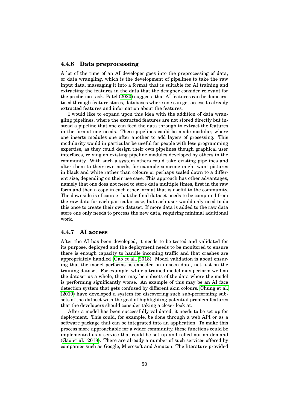#### **4.4.6 Data preprocessing**

A lot of the time of an AI developer goes into the preprocessing of data, or data wrangling, which is the development of pipelines to take the raw input data, massaging it into a format that is suitable for AI training and extracting the features in the data that the designer consider relevant for the prediction task. Patel [\(2020\)](#page-95-8) suggests that AI features can be democratised through feature stores, databases where one can get access to already extracted features and information about the features.

I would like to expand upon this idea with the addition of data wrangling pipelines, where the extracted features are not stored directly but instead a pipeline that one can feed the data through to extract the features in the format one needs. These pipelines could be made modular, where one inserts modules one after another to add layers of processing. This modularity would in particular be useful for people with less programming expertise, as they could design their own pipelines though graphical user interfaces, relying on existing pipeline modules developed by others in the community. With such a system others could take existing pipelines and alter them to their own needs, for example someone might want pictures in black and white rather than colours or perhaps scaled down to a different size, depending on their use case. This approach has other advantages, namely that one does not need to store data multiple times, first in the raw form and then a copy in each other format that is useful to the community. The downside is of course that the final dataset needs to be computed from the raw data for each particular case, but each user would only need to do this once to create their own dataset. If more data is added to the raw data store one only needs to process the new data, requiring minimal additional work.

## **4.4.7 AI access**

After the AI has been developed, it needs to be tested and validated for its purpose, deployed and the deployment needs to be monitored to ensure there is enough capacity to handle incoming traffic and that crashes are appropriately handled [\(Gao et al., 2018\)](#page-90-7). Model validation is about ensuring that the model performs as expected on unseen data, not just on the training dataset. For example, while a trained model may perform well on the dataset as a whole, there may be subsets of the data where the model is performing significantly worse. An example of this may be an AI face detection system that gets confused by different skin colours. [Chung et al.](#page-89-6) [\(2019\)](#page-89-6) have developed a system for discovering such sub-performing subsets of the dataset with the goal of highlighting potential problem features that the developers should consider taking a closer look at.

After a model has been successfully validated, it needs to be set up for deployment. This could, for example, be done through a web API or as a software package that can be integrated into an application. To make this process more approachable for a wider community, these functions could be implemented as a service that could be set up and rolled out on demand [\(Gao et al., 2018\)](#page-90-7). There are already a number of such services offered by companies such as Google, Microsoft and Amazon. The literature provided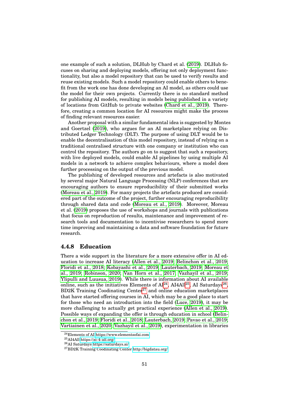one example of such a solution, DLHub by Chard et al. [\(2019\)](#page-89-7). DLHub focuses on sharing and deploying models, offering not only deployment functionality, but also a model repository that can be used to verify results and reuse existing models. Such a model repository could enable others to benefit from the work one has done developing an AI model, as others could use the model for their own projects. Currently there is no standard method for publishing AI models, resulting in models being published in a variety of locations from GitHub to private websites [\(Chard et al., 2019\)](#page-89-7). Therefore, creating a common location for AI resources might make the process of finding relevant resources easier.

Another proposal with a similar fundamental idea is suggested by Montes and Goertzel [\(2019\)](#page-93-2), who argues for an AI marketplace relying on Distributed Ledger Technology (DLT). The purpose of using DLT would be to enable the decentralisation of this model repository, instead of relying on a traditional centralised structure with one company or institution who can control the repository. The authors go on to suggest that such a repository, with live deployed models, could enable AI pipelines by using multiple AI models in a network to achieve complex behaviours, where a model does further processing on the output of the previous model.

The publishing of developed resources and artefacts is also motivated by several major Natural Language Processing (NLP) conferences that are encouraging authors to ensure reproducibility of their submitted works [\(Moreau et al., 2019\)](#page-94-0). For many projects the artefacts produced are considered part of the outcome of the project, further encouraging reproducibility through shared data and code [\(Moreau et al., 2019\)](#page-94-0). Moreover, Moreau et al. [\(2019\)](#page-94-0) proposes the use of workshops and journals with publications that focus on reproduction of results, maintenance and improvement of research tools and documentation to incentivise researchers to spend more time improving and maintaining a data and software foundation for future research.

#### **4.4.8 Education**

There a wide support in the literature for a more extensive offer in AI education to increase AI literacy [\(Allen et al., 2019;](#page-88-5) [Belinchon et al., 2019;](#page-88-2) [Floridi et al., 2018;](#page-90-0) [Kobayashi et al., 2019;](#page-92-2) [Lauterbach, 2019;](#page-92-1) [Moreau et](#page-94-0) [al., 2019;](#page-94-0) [Robinson, 2020;](#page-95-9) [Van Horn et al., 2017;](#page-96-6) [Vazhayil et al., 2019;](#page-96-7) [Ylipulli and Luusua, 2019\)](#page-97-5). While there is information about AI available online, such as the initiatives Elements of  $Al^{24}$  $Al^{24}$  $Al^{24}$ ,  $Al4All^{25}$  $Al4All^{25}$  $Al4All^{25}$ , AI Saturdays<sup>[26](#page-0-0)</sup>,  $BD2K$  Training Coodinating Center<sup>[27](#page-0-0)</sup> and online education marketplaces that have started offering courses in AI, which may be a good place to start for those who need an introduction into the field [\(Luce, 2019\)](#page-93-3), it may be more challenging to actually get practical experience [\(Allen et al., 2019\)](#page-88-5). Possible ways of expanding the offer is through education in school [\(Belin](#page-88-2)[chon et al., 2019;](#page-88-2) [Floridi et al., 2018;](#page-90-0) [Lauterbach, 2019;](#page-92-1) [Pavao et al., 2019;](#page-95-10) [Vartiainen et al., 2020;](#page-96-8) [Vazhayil et al., 2019\)](#page-96-7), experimentation in libraries

<sup>24</sup>Elements of AI<https://www.elementsofai.com>

<sup>25</sup>AI4All<https://ai-4-all.org/>

<sup>26</sup>AI Saturdays<https://saturdays.ai/>

<sup>27</sup>BD2K Training Coodinating Center<http://bigdatau.org/>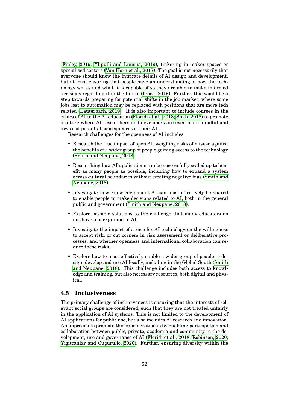[\(Finley, 2019;](#page-90-8) [Ylipulli and Luusua, 2019\)](#page-97-5), tinkering in maker spaces or specialised centers [\(Van Horn et al., 2017\)](#page-96-6). The goal is not necessarily that everyone should know the intricate details of AI design and development, but at least ensuring that people have an understanding of how the technology works and what it is capable of so they are able to make informed decisions regarding it in the future [\(Ienca, 2019\)](#page-92-0). Further, this would be a step towards preparing for potential shifts in the job market, where some jobs lost to automation may be replaced with positions that are more tech related [\(Lauterbach, 2019\)](#page-92-1). It is also important to include courses in the ethics of AI in the AI education [\(Floridi et al., 2018;](#page-90-0) [Shah, 2018\)](#page-95-0) to promote a future where AI researchers and developers are even more mindful and aware of potential consequences of their AI.

Research challenges for the openness of AI includes:

- Research the true impact of open AI, weighing risks of misuse against the benefits of a wider group of people gaining access to the technology [\(Smith and Neupane, 2018\)](#page-95-5).
- Researching how AI applications can be successfully scaled up to benefit as many people as possible, including how to expand a system across cultural boundaries without creating negative bias [\(Smith and](#page-95-5) [Neupane, 2018\)](#page-95-5).
- Investigate how knowledge about AI can most effectively be shared to enable people to make decisions related to AI, both in the general public and government [\(Smith and Neupane, 2018\)](#page-95-5).
- Explore possible solutions to the challenge that many educators do not have a background in AI.
- Investigate the impact of a race for AI technology on the willingness to accept risk, or cut corners in risk assessment or deliberative processes, and whether openness and international collaboration can reduce these risks.
- Explore how to most effectively enable a wider group of people to design, develop and use AI locally, including in the Global South [\(Smith](#page-95-5) [and Neupane, 2018\)](#page-95-5). This challenge includes both access to knowledge and training, but also necessary resources, both digital and physical.

# <span id="page-61-0"></span>**4.5 Inclusiveness**

The primary challenge of inclusiveness is ensuring that the interests of relevant social groups are considered, such that they are not treated unfairly in the application of AI systems. This is not limited to the development of AI applications for public use, but also includes AI research and innovation. An approach to promote this consideration is by enabling participation and collaboration between public, private, academia and community in the development, use and governance of AI [\(Floridi et al., 2018;](#page-90-0) [Robinson, 2020;](#page-95-9) [Yigitcanlar and Cugurullo, 2020\)](#page-97-0). Further, ensuring diversity within the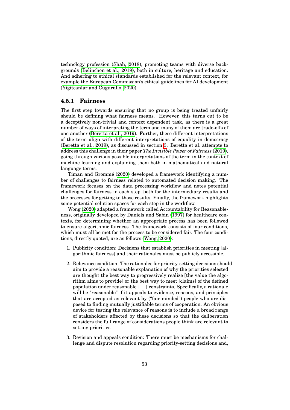technology profession [\(Shah, 2018\)](#page-95-0), promoting teams with diverse backgrounds [\(Belinchon et al., 2019\)](#page-88-2), both in culture, heritage and education. And adhering to ethical standards established for the relevant context, for example the European Commission's ethical guidelines for AI development [\(Yigitcanlar and Cugurullo, 2020\)](#page-97-0).

#### **4.5.1 Fairness**

The first step towards ensuring that no group is being treated unfairly should be defining what fairness means. However, this turns out to be a deceptively non-trivial and context dependent task, as there is a great number of ways of interpreting the term and many of them are trade-offs of one another [\(Beretta et al., 2019\)](#page-88-9). Further, these different interpretations of the term align with different interpretations of equality in democracy [\(Beretta et al., 2019\)](#page-88-9), as discussed in section [3.](#page-27-0) Beretta et al. attempts to address this challenge in their paper *The Invisible Power of Fairness* [\(2019\)](#page-88-9), going through various possible interpretations of the term in the context of machine learning and explaining them both in mathematical and natural language terms.

Timan and Grommé [\(2020\)](#page-96-3) developed a framework identifying a number of challenges to fairness related to automated decision making. The framework focuses on the data processing workflow and notes potential challenges for fairness in each step, both for the intermediary results and the processes for getting to those results. Finally, the framework highlights some potential solution spaces for each step in the workflow.

Wong [\(2020\)](#page-97-6) adapted a framework called Accountability for Reasonableness, originally developed by Daniels and Sabin [\(1997\)](#page-89-8) for healthcare contexts, for determining whether an appropriate process has been followed to ensure algorithmic fairness. The framework consists of four conditions, which must all be met for the process to be considered fair. The four conditions, directly quoted, are as follows [\(Wong, 2020\)](#page-97-6):

- 1. Publicity condition: Decisions that establish priorities in meeting [algorithmic fairness] and their rationales must be publicly accessible.
- 2. Relevance condition: The rationales for priority-setting decisions should aim to provide a reasonable explanation of why the priorities selected are thought the best way to progressively realize [the value the algorithm aims to provide] or the best way to meet [claims] of the defined population under reasonable [. . . ] constraints. Specifically, a rationale will be "reasonable" if it appeals to evidence, reasons, and principles that are accepted as relevant by ("fair minded") people who are disposed to finding mutually justifiable terms of cooperation. An obvious device for testing the relevance of reasons is to include a broad range of stakeholders affected by these decisions so that the deliberation considers the full range of considerations people think are relevant to setting priorities.
- 3. Revision and appeals condition: There must be mechanisms for challenge and dispute resolution regarding priority-setting decisions and,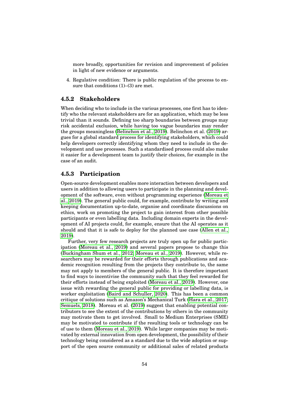more broadly, opportunities for revision and improvement of policies in light of new evidence or arguments.

4. Regulative condition: There is public regulation of the process to ensure that conditions  $(1)$ – $(3)$  are met.

# **4.5.2 Stakeholders**

When deciding who to include in the various processes, one first has to identify who the relevant stakeholders are for an application, which may be less trivial than it sounds. Defining too sharp boundaries between groups may risk accidental exclusion, while having too vague boundaries may render the groups meaningless [\(Belinchon et al., 2019\)](#page-88-2). Belinchon et al. [\(2019\)](#page-88-2) argues for a global standard process for identifying stakeholders, which could help developers correctly identifying whom they need to include in the development and use processes. Such a standardised process could also make it easier for a development team to justify their choices, for example in the case of an audit.

# **4.5.3 Participation**

Open-source development enables more interaction between developers and users in addition to allowing users to participate in the planning and development of the software, even without programming experience [\(Moreau et](#page-94-0) [al., 2019\)](#page-94-0). The general public could, for example, contribute by writing and keeping documentation up-to-date, organise and coordinate discussions on ethics, work on promoting the project to gain interest from other possible participants or even labelling data. Including domain experts in the development of AI projects could, for example, ensure that the AI operates as it should and that it is safe to deploy for the planned use case [\(Allen et al.,](#page-88-5) [2019\)](#page-88-5).

Further, very few research projects are truly open up for public participation [\(Moreau et al., 2019\)](#page-94-0) and several papers propose to change this [\(Buckingham Shum et al., 2012;](#page-89-2) [Moreau et al., 2019\)](#page-94-0). However, while researchers may be rewarded for their efforts through publications and academic recognition resulting from the projects they contribute to, the same may not apply to members of the general public. It is therefore important to find ways to incentivise the community such that they feel rewarded for their efforts instead of being exploited [\(Moreau et al., 2019\)](#page-94-0). However, one issue with rewarding the general public for providing or labelling data, is worker exploitation [\(Baird and Schuller, 2020\)](#page-88-4). This has been a common critique of solutions such as Amazon's Mechanical Turk [\(Hara et al., 2017;](#page-91-6) [Semuels, 2018\)](#page-95-11). Moreau et al. [\(2019\)](#page-94-0) suggest that enabling potential contributors to see the extent of the contributions by others in the community may motivate them to get involved. Small to Medium Enterprises (SME) may be motivated to contribute if the resulting tools or technology can be of use to them [\(Moreau et al., 2019\)](#page-94-0). While larger companies may be motivated by external innovation from open development, the possibility of their technology being considered as a standard due to the wide adoption or support of the open source community or additional sales of related products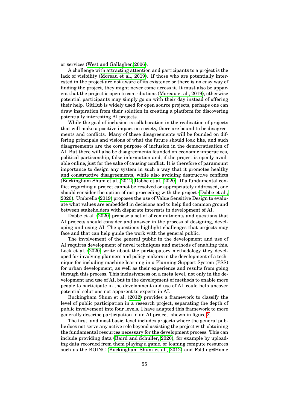or services [\(West and Gallagher, 2006\)](#page-97-7).

A challenge with attracting attention and participants to a project is the lack of visibility [\(Moreau et al., 2019\)](#page-94-0). If those who are potentially interested in the project are not aware of its existence or there is no easy way of finding the project, they might never come across it. It must also be apparent that the project is open to contributions [\(Moreau et al., 2019\)](#page-94-0), otherwise potential participants may simply go on with their day instead of offering their help. GitHub is widely used for open source projects, perhaps one can draw inspiration from their solution in creating a platform for discovering potentially interesting AI projects.

While the goal of inclusion is collaboration in the realisation of projects that will make a positive impact on society, there are bound to be disagreements and conflicts. Many of these disagreements will be founded on differing principals and visions of what the future should look like, and such disagreements are the core purpose of inclusion in the democratisation of AI. But there will also be disagreements founded on economic imperatives, political partisanship, false information and, if the project is openly available online, just for the sake of causing conflict. It is therefore of paramount importance to design any system in such a way that it promotes healthy and constructive disagreements, while also avoiding destructive conflicts [\(Buckingham Shum et al., 2012;](#page-89-2) [Dobbe et al., 2020\)](#page-90-9). If a fundamental conflict regarding a project cannot be resolved or appropriately addressed, one should consider the option of not proceeding with the project [\(Dobbe et al.,](#page-90-9) [2020\)](#page-90-9). Umbrello [\(2019\)](#page-96-9) proposes the use of Value Sensitive Design to evaluate what values are embedded in decisions and to help find common ground between stakeholders with disparate interests in development of AI.

Dobbe et al. [\(2020\)](#page-90-9) propose a set of of commitments and questions that AI projects should consider and answer in the process of designing, developing and using AI. The questions highlight challenges that projects may face and that can help guide the work with the general public.

The involvement of the general public in the development and use of AI requires development of novel techniques and methods of enabling this. Lock et al. [\(2020\)](#page-93-7) write about the participatory methodology they developed for involving planners and policy makers in the development of a technique for including machine learning in a Planning Support System (PSS) for urban development, as well as their experience and results from going through this process. This inclusiveness on a meta level, not only in the development and use of AI, but in the development of methods to enable more people to participate in the development and use of AI, could help uncover potential solutions not apparent to experts in AI.

Buckingham Shum et al. [\(2012\)](#page-89-2) provides a framework to classify the level of public participation in a research project, separating the depth of public involvement into four levels. I have adapted this framework to more generally describe participation in an AI project, shown in figure [2.](#page-65-0)

The first, and most basic, level includes projects where the general public does not serve any active role beyond assisting the project with obtaining the fundamental resources necessary for the development process. This can include providing data [\(Baird and Schuller, 2020\)](#page-88-4), for example by uploading data recorded from them playing a game, or loaning compute resources such as the BOINC [\(Buckingham Shum et al., 2012\)](#page-89-2) and Folding@Home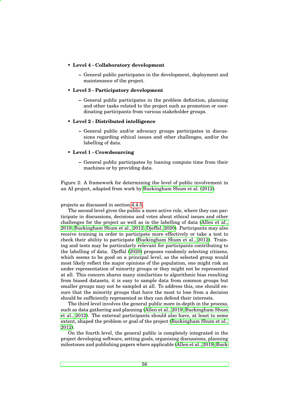- <span id="page-65-0"></span>• **Level 4 - Collaboratory development**
	- **–** General public participates in the development, deployment and maintenance of the project.

#### • **Level 3 - Participatory development**

**–** General public participates in the problem definition, planning and other tasks related to the project such as promotion or coordinating participants from various stakeholder groups.

#### • **Level 2 - Distributed intelligence**

**–** General public and/or advocacy groups participates in discussions regarding ethical issues and other challenges, and/or the labelling of data.

#### • **Level 1 - Crowdsourcing**

**–** General public participates by loaning compute time from their machines or by providing data.

Figure 2: A framework for determining the level of public involvement in an AI project, adapted from work by [Buckingham Shum et al. \(2012\)](#page-89-2).

projects as discussed in section [4.4.5.](#page-56-0)

The second level gives the public a more active role, where they can participate in discussions, decisions and votes about ethical issues and other challenges for the project as well as in the labelling of data [\(Allen et al.,](#page-88-5) [2019;](#page-88-5) [Buckingham Shum et al., 2012;](#page-89-2) [Djeffal, 2020\)](#page-90-2). Participants may also receive training in order to participate more effectively or take a test to check their ability to participate [\(Buckingham Shum et al., 2012\)](#page-89-2). Training and tests may be particularly relevant for participants contributing to the labelling of data. Djeffal [\(2020\)](#page-90-2) proposes randomly selecting citizens, which seems to be good on a principal level, as the selected group would most likely reflect the major opinions of the population, one might risk an under representation of minority groups or they might not be represented at all. This concern shares many similarities to algorithmic bias resulting from biased datasets, it is easy to sample data from common groups but smaller groups may not be sampled at all. To address this, one should ensure that the minority groups that have the most to lose from a decision should be sufficiently represented so they can defend their interests.

The third level involves the general public more in-depth in the process, such as data gathering and planning [\(Allen et al., 2019;](#page-88-5) [Buckingham Shum](#page-89-2) [et al., 2012\)](#page-89-2). The external participants should also have, at least to some extent, shaped the problem or goal of the project [\(Buckingham Shum et al.,](#page-89-2) [2012\)](#page-89-2).

On the fourth level, the general public is completely integrated in the project developing software, setting goals, organising discussions, planning milestones and publishing papers where applicable [\(Allen et al., 2019;](#page-88-5) [Buck-](#page-89-2)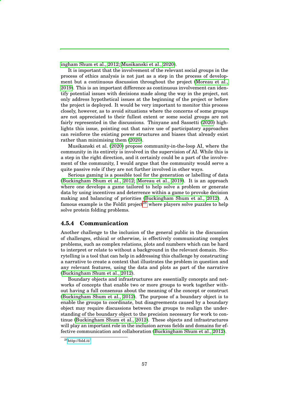[ingham Shum et al., 2012;](#page-89-2) [Musikanski et al., 2020\)](#page-94-5).

It is important that the involvement of the relevant social groups in the process of ethics analysis is not just as a step in the process of development but a continuous discussion throughout the project [\(Moreau et al.,](#page-94-0) [2019\)](#page-94-0). This is an important difference as continuous involvement can identify potential issues with decisions made along the way in the project, not only address hypothetical issues at the beginning of the project or before the project is deployed. It would be very important to monitor this process closely, however, as to avoid situations where the concerns of some groups are not appreciated to their fullest extent or some social groups are not fairly represented in the discussions. Thinyane and Sassetti [\(2020\)](#page-96-1) highlights this issue, pointing out that naive use of participatory approaches can reinforce the existing power structures and biases that already exist rather than minimising them [\(2020\)](#page-96-1).

Musikanski et al. [\(2020\)](#page-94-5) propose community-in-the-loop AI, where the community in its entirety is involved in the supervision of AI. While this is a step in the right direction, and it certainly could be a part of the involvement of the community, I would argue that the community would serve a quite passive role if they are not further involved in other ways.

Serious gaming is a possible tool for the generation or labelling of data [\(Buckingham Shum et al., 2012;](#page-89-2) [Moreau et al., 2019\)](#page-94-0). It is an approach where one develops a game tailored to help solve a problem or generate data by using incentives and deterrence within a game to provoke decision making and balancing of priorities [\(Buckingham Shum et al., 2012\)](#page-89-2). A famous example is the Foldit project<sup>[28](#page-0-0)</sup> where players solve puzzles to help solve protein folding problems.

## <span id="page-66-0"></span>**4.5.4 Communication**

Another challenge to the inclusion of the general public in the discussion of challenges, ethical or otherwise, is effectively communicating complex problems, such as complex relations, plots and numbers which can be hard to interpret or relate to without a background in the relevant domain. Storytelling is a tool that can help in addressing this challenge by constructing a narrative to create a context that illustrates the problem in question and any relevant features, using the data and plots as part of the narrative [\(Buckingham Shum et al., 2012\)](#page-89-2).

Boundary objects and infrastructures are essentially concepts and networks of concepts that enable two or more groups to work together without having a full consensus about the meaning of the concept or construct [\(Buckingham Shum et al., 2012\)](#page-89-2). The purpose of a boundary object is to enable the groups to coordinate, but disagreements caused by a boundary object may require discussions between the groups to realign the understanding of the boundary object to the precision necessary for work to continue [\(Buckingham Shum et al., 2012\)](#page-89-2). These objects and infrastructures will play an important role in the inclusion across fields and domains for effective communication and collaboration [\(Buckingham Shum et al., 2012\)](#page-89-2).

<sup>28</sup><http://fold.it/>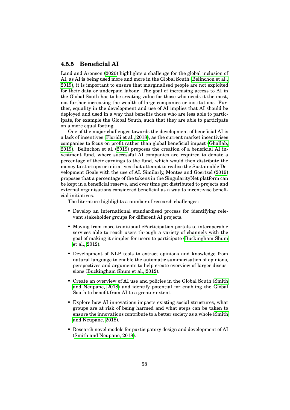# **4.5.5 Beneficial AI**

Land and Aronson [\(2020\)](#page-92-7) highlights a challenge for the global inclusion of AI, as AI is being used more and more in the Global South [\(Belinchon et al.,](#page-88-2) [2019\)](#page-88-2), it is important to ensure that marginalised people are not exploited for their data or underpaid labour. The goal of increasing access to AI in the Global South has to be creating value for those who needs it the most, not further increasing the wealth of large companies or institutions. Further, equality in the development and use of AI implies that AI should be deployed and used in a way that benefits those who are less able to participate, for example the Global South, such that they are able to participate on a more equal footing.

One of the major challenges towards the development of beneficial AI is a lack of incentives [\(Floridi et al., 2018\)](#page-90-0), as the current market incentivises companies to focus on profit rather than global beneficial impact [\(Ghallab,](#page-91-1) [2019\)](#page-91-1). Belinchon et al. [\(2019\)](#page-88-2) proposes the creation of a beneficial AI investment fund, where successful AI companies are required to donate a percentage of their earnings to the fund, which would then distribute the money to startups or initiatives that attempt to realise the Sustainable Development Goals with the use of AI. Similarly, Montes and Goertzel [\(2019\)](#page-93-2) proposes that a percentage of the tokens in the SingularityNet platform can be kept in a beneficial reserve, and over time get distributed to projects and external organisations considered beneficial as a way to incentivise beneficial initiatives.

The literature highlights a number of research challenges:

- Develop an international standardised process for identifying relevant stakeholder groups for different AI projects.
- Moving from more traditional eParticipation portals to interoperable services able to reach users through a variety of channels with the goal of making it simpler for users to participate [\(Buckingham Shum](#page-89-2) [et al., 2012\)](#page-89-2).
- Development of NLP tools to extract opinions and knowledge from natural language to enable the automatic summarisation of opinions, perspectives and arguments to help create overview of larger discussions [\(Buckingham Shum et al., 2012\)](#page-89-2).
- Create an overview of AI use and policies in the Global South [\(Smith](#page-95-5) [and Neupane, 2018\)](#page-95-5) and identify potential for enabling the Global South to benefit from AI to a greater extent.
- Explore how AI innovations impacts existing social structures, what groups are at risk of being harmed and what steps can be taken to ensure the innovations contribute to a better society as a whole [\(Smith](#page-95-5) [and Neupane, 2018\)](#page-95-5).
- Research novel models for participatory design and development of AI [\(Smith and Neupane, 2018\)](#page-95-5).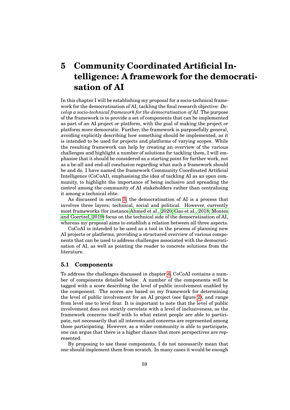# **5 Community Coordinated Artificial Intelligence: A framework for the democratisation of AI**

In this chapter I will be establishing my proposal for a socio-technical framework for the democratisation of AI, tackling the final research objective: *Develop a socio-technical framework for the democratisation of AI*. The purpose of the framework is to provide a set of components that can be implemented as part of an AI project or platform, with the goal of making the project or platform more democratic. Further, the framework is purposefully general, avoiding explicitly describing how something should be implemented, as it is intended to be used for projects and platforms of varying scopes. While the resulting framework can help by creating an overview of the various challenges and highlight a number of solutions for tackling them, I will emphasise that it should be considered as a starting point for further work, not as a be-all and end-all conclusion regarding what such a framework should be and do. I have named the framework Community Coordinated Artificial Intelligence (CoCoAI), emphasising the idea of tackling AI as an open community, to highlight the importance of being inclusive and spreading the control among the community of AI stakeholders rather than centralising it among a technical elite.

As discussed in section [3,](#page-27-0) the democratisation of AI is a process that involves three layers; technical, social and political. However, currently most frameworks (for instance [Ahmed et al., 2020;](#page-88-10) [Gao et al., 2018;](#page-90-7) [Montes](#page-93-2) [and Goertzel, 2019\)](#page-93-2) focus on the technical side of the democratisation of AI, whereas my proposal aims to establish a relation between all three aspects.

CoCoAI is intended to be used as a tool in the process of planning new AI projects or platforms, providing a structured overview of various components that can be used to address challenges associated with the democratisation of AI, as well as pointing the reader to concrete solutions from the literature.

#### **5.1 Components**

To address the challenges discussed in chapter [4,](#page-37-0) CoCoAI contains a number of components detailed below. A number of the components will be tagged with a score describing the level of public involvement enabled by the component. The scores are based on my framework for determining the level of public involvement for an AI project (see figure [2\)](#page-65-0), and range from level one to level four. It is important to note that the level of public involvement does not strictly correlate with a level of inclusiveness, as the framework concerns itself with to what extent people are able to participate, not necessarily that all interests and concerns are represented among those participating. However, as a wider community is able to participate, one can argue that there is a higher chance that more perspectives are represented.

By proposing to use these components, I do not necessarily mean that one should implement them from scratch. In many cases it would be enough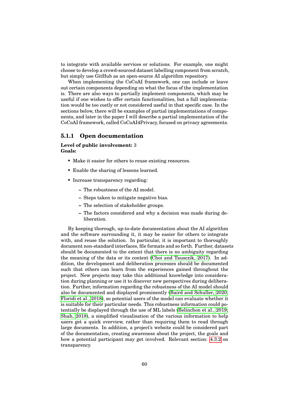to integrate with available services or solutions. For example, one might choose to develop a crowd-sourced dataset labelling component from scratch, but simply use GitHub as an open-source AI algorithm repository.

When implementing the CoCoAI framework, one can include or leave out certain components depending on what the focus of the implementation is. There are also ways to partially implement components, which may be useful if one wishes to offer certain functionalities, but a full implementation would be too costly or not considered useful in that specific case. In the sections below, there will be examples of partial implementations of components, and later in the paper I will describe a partial implementation of the CoCoAI framework, called CoCoAI4Privacy, focused on privacy agreements.

## **5.1.1 Open documentation**

#### **Level of public involvement:** 3 **Goals:**

- Make it easier for others to reuse existing resources.
- Enable the sharing of lessons learned.
- Increase transparency regarding:
	- **–** The robustness of the AI model.
	- **–** Steps taken to mitigate negative bias.
	- **–** The selection of stakeholder groups.
	- **–** The factors considered and why a decision was made during deliberation.

By keeping thorough, up-to-date documentation about the AI algorithm and the software surrounding it, it may be easier for others to integrate with, and reuse the solution. In particular, it is important to thoroughly document non-standard interfaces, file formats and so forth. Further, datasets should be documented to the extent that there is no ambiguity regarding the meaning of the data or its context [\(Choi and Tausczik, 2017\)](#page-89-5). In addition, the development and deliberation processes should be documented such that others can learn from the experiences gained throughout the project. New projects may take this additional knowledge into consideration during planning or use it to discover new perspectives during deliberation. Further, information regarding the robustness of the AI model should also be documented and displayed prominently [\(Baird and Schuller, 2020;](#page-88-4) [Floridi et al., 2018\)](#page-90-0), so potential users of the model can evaluate whether it is suitable for their particular needs. This robustness information could potentially be displayed through the use of ML labels [\(Belinchon et al., 2019;](#page-88-2) [Shah, 2018\)](#page-95-0), a simplified visualisation of the various information to help users get a quick overview, rather than requiring them to read through large documents. In addition, a project's website could be considered part of the documentation, creating awareness about the project, the goals and how a potential participant may get involved. Relevant section: [4.3.2](#page-50-0) on transparency.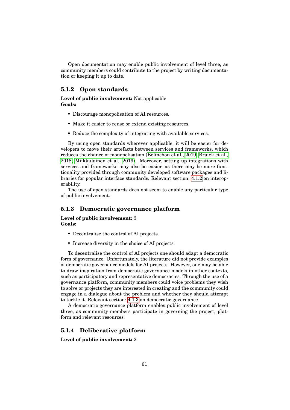Open documentation may enable public involvement of level three, as community members could contribute to the project by writing documentation or keeping it up to date.

# **5.1.2 Open standards**

**Level of public involvement:** Not applicable **Goals:**

- Discourage monopolisation of AI resources.
- Make it easier to reuse or extend existing resources.
- Reduce the complexity of integrating with available services.

By using open standards wherever applicable, it will be easier for developers to move their artefacts between services and frameworks, which reduces the chance of monopolisation [\(Belinchon et al., 2019;](#page-88-2) [Braiek et al.,](#page-88-1) [2018;](#page-88-1) [Miikkulainen et al., 2019\)](#page-93-1). Moreover, setting up integrations with services and frameworks may also be easier, as there may be more functionality provided through community developed software packages and libraries for popular interface standards. Relevant section: [4.1.2](#page-39-0) on interoperability.

The use of open standards does not seem to enable any particular type of public involvement.

#### **5.1.3 Democratic governance platform**

**Level of public involvement:** 3 **Goals:**

- Decentralise the control of AI projects.
- Increase diversity in the choice of AI projects.

To decentralise the control of AI projects one should adapt a democratic form of governance. Unfortunately, the literature did not provide examples of democratic governance models for AI projects. However, one may be able to draw inspiration from democratic governance models in other contexts, such as participatory and representative democracies. Through the use of a governance platform, community members could voice problems they wish to solve or projects they are interested in creating and the community could engage in a dialogue about the problem and whether they should attempt to tackle it. Relevant section: [4.1.3](#page-40-0) on democratic governance.

A democratic governance platform enables public involvement of level three, as community members participate in governing the project, platform and relevant resources.

# **5.1.4 Deliberative platform**

**Level of public involvement:** 2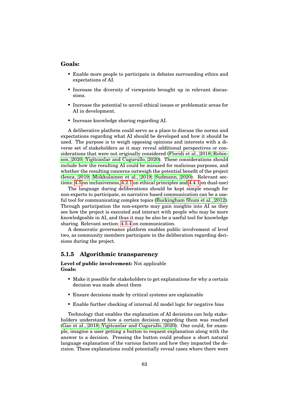#### **Goals:**

- Enable more people to participate in debates surrounding ethics and expectations of AI.
- Increase the diversity of viewpoints brought up in relevant discussions.
- Increase the potential to unveil ethical issues or problematic areas for AI in development.
- Increase knowledge sharing regarding AI.

A deliberative platform could serve as a place to discuss the norms and expectations regarding what AI should be developed and how it should be used. The purpose is to weigh opposing opinions and interests with a diverse set of stakeholders as it may reveal additional perspectives or considerations that were not originally considered [\(Floridi et al., 2018;](#page-90-0) [Robin](#page-95-9)[son, 2020;](#page-95-9) [Yigitcanlar and Cugurullo, 2020\)](#page-97-0). These considerations should include how the resulting AI could be misused for malicious purposes, and whether the resulting concerns outweigh the potential benefit of the project [\(Ienca, 2019;](#page-92-0) [Miikkulainen et al., 2019;](#page-93-1) [Sudmann, 2020\)](#page-95-1). Relevant sections: [4.5](#page-61-0) on inclusiveness, [4.2.1](#page-42-1) on ethical principles and [4.4.1](#page-51-1) on dual-use)

The language during deliberations should be kept simple enough for non-experts to participate, so narrative based communication can be a useful tool for communicating complex topics [\(Buckingham Shum et al., 2012\)](#page-89-2). Through participation the non-experts may gain insights into AI as they see how the project is executed and interact with people who may be more knowledgeable in AI, and thus it may be also be a useful tool for knowledge sharing. Relevant section: [4.5.4](#page-66-0) on communication.

A democratic governance platform enables public involvement of level two, as community members participate in the deliberation regarding decisions during the project.

# **5.1.5 Algorithmic transparency**

**Level of public involvement:** Not applicable **Goals:**

- Make it possible for stakeholders to get explanations for why a certain decision was made about them
- Ensure decisions made by critical systems are explainable
- Enable further checking of internal AI model logic for negative bias

Technology that enables the explanation of AI decisions can help stakeholders understand how a certain decision regarding them was reached [\(Gao et al., 2018;](#page-90-7) [Yigitcanlar and Cugurullo, 2020\)](#page-97-0). One could, for example, imagine a user getting a button to request explanation along with the answer to a decision. Pressing the button could produce a short natural language explanation of the various factors and how they impacted the decision. These explanations could potentially reveal cases where there were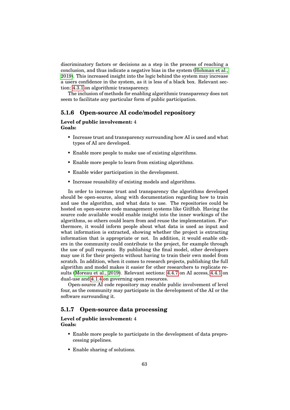discriminatory factors or decisions as a step in the process of reaching a conclusion, and thus indicate a negative bias in the system [\(Hohman et al.,](#page-91-0) [2019\)](#page-91-0). This increased insight into the logic behind the system may increase a users confidence in the system, as it is less of a black box. Relevant section: [4.3.1](#page-48-0) on algorithmic transparency.

The inclusion of methods for enabling algorithmic transparency does not seem to facilitate any particular form of public participation.

# **5.1.6 Open-source AI code/model repository**

#### **Level of public involvement:** 4 **Goals:**

- Increase trust and transparency surrounding how AI is used and what types of AI are developed.
- Enable more people to make use of existing algorithms.
- Enable more people to learn from existing algorithms.
- Enable wider participation in the development.
- Increase reusability of existing models and algorithms.

In order to increase trust and transparency the algorithms developed should be open-source, along with documentation regarding how to train and use the algorithm, and what data to use. The repositories could be hosted on open-source code management systems like GitHub. Having the source code available would enable insight into the inner workings of the algorithms, so others could learn from and reuse the implementation. Furthermore, it would inform people about what data is used as input and what information is extracted, showing whether the project is extracting information that is appropriate or not. In addition, it would enable others in the community could contribute to the project, for example through the use of pull requests. By publishing the final model, other developers may use it for their projects without having to train their own model from scratch. In addition, when it comes to research projects, publishing the full algorithm and model makes it easier for other researchers to replicate results [\(Moreau et al., 2019\)](#page-94-0). Relevant sections: [4.4.7](#page-59-0) on AI access, [4.4.1](#page-51-0) on dual-use and [4.1.4](#page-40-0) on governing open resources.

Open-source AI code repository may enable public involvement of level four, as the community may participate in the development of the AI or the software surrounding it.

# **5.1.7 Open-source data processing**

#### **Level of public involvement:** 4 **Goals:**

- Enable more people to participate in the development of data preprocessing pipelines.
- Enable sharing of solutions.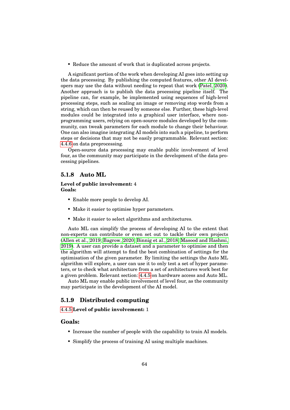• Reduce the amount of work that is duplicated across projects.

A significant portion of the work when developing AI goes into setting up the data processing. By publishing the computed features, other AI developers may use the data without needing to repeat that work [\(Patel, 2020\)](#page-95-0). Another approach is to publish the data processing pipeline itself. The pipeline can, for example, be implemented using sequences of high-level processing steps, such as scaling an image or removing stop words from a string, which can then be reused by someone else. Further, these high-level modules could be integrated into a graphical user interface, where nonprogramming users, relying on open-source modules developed by the community, can tweak parameters for each module to change their behaviour. One can also imagine integrating AI models into such a pipeline, to perform steps or decisions that may not be easily programmable. Relevant section: [4.4.6](#page-58-0) on data preprocessing.

Open-source data processing may enable public involvement of level four, as the community may participate in the development of the data processing pipelines.

## **5.1.8 Auto ML**

#### **Level of public involvement:** 4 **Goals:**

- Enable more people to develop AI.
- Make it easier to optimise hyper parameters.
- Make it easier to select algorithms and architectures.

Auto ML can simplify the process of developing AI to the extent that non-experts can contribute or even set out to tackle their own projects [\(Allen et al., 2019;](#page-88-0) [Bagrow, 2020;](#page-88-1) [Binnig et al., 2018;](#page-88-2) [Masood and Hashmi,](#page-93-0) [2019\)](#page-93-0). A user can provide a dataset and a parameter to optimise and then the algorithm will attempt to find the best combination of settings for the optimisation of the given parameter. By limiting the settings the Auto ML algorithm will explore, a user can use it to only test a set of hyper parameters, or to check what architecture from a set of architectures work best for a given problem. Relevant section: [4.4.5](#page-56-0) on hardware access and Auto ML.

Auto ML may enable public involvement of level four, as the community may participate in the development of the AI model.

# **5.1.9 Distributed computing**

#### [4.4.5](#page-56-0) **Level of public involvement:** 1

## **Goals:**

- Increase the number of people with the capability to train AI models.
- Simplify the process of training AI using multiple machines.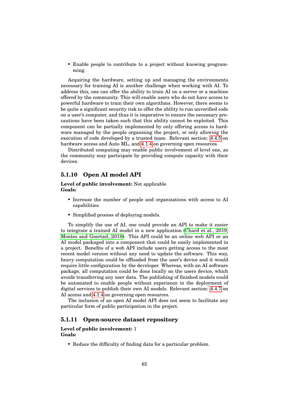• Enable people to contribute to a project without knowing programming.

Acquiring the hardware, setting up and managing the environments necessary for training AI is another challenge when working with AI. To address this, one can offer the ability to train AI on a server or a machine offered by the community. This will enable users who do not have access to powerful hardware to train their own algorithms. However, there seems to be quite a significant security risk to offer the ability to run unverified code on a user's computer, and thus it is imperative to ensure the necessary precautions have been taken such that this ability cannot be exploited. This component can be partially implemented by only offering access to hardware managed by the people organising the project, or only allowing the execution of code developed by a trusted team. Relevant section: [4.4.5](#page-56-0) on hardware access and Auto ML, and [4.1.4](#page-40-0) on governing open resources.

Distributed computing may enable public involvement of level one, as the community may participate by providing compute capacity with their devices.

# **5.1.10 Open AI model API**

**Level of public involvement:** Not applicable **Goals:**

- Increase the number of people and organisations with access to AI capabilities.
- Simplified process of deploying models.

To simplify the use of AI, one could provide an API to make it easier to integrate a trained AI model in a new application [\(Chard et al., 2019;](#page-89-0) [Montes and Goertzel, 2019\)](#page-93-1). This API could be an online web API or an AI model packaged into a component that could be easily implemented in a project. Benefits of a web API include users getting access to the most recent model version without any need to update the software. This way, heavy computation could be offloaded from the user's device and it would require little configuration by the developer. Whereas, with an AI software package, all computation could be done locally on the users device, which avoids transferring any user data. The publishing of finished models could be automated to enable people without experience in the deployment of digital services to publish their own AI models. Relevant section: [4.4.7](#page-59-0) on AI access and [4.1.4](#page-40-0) on governing open resources.

The inclusion of an open AI model API does not seem to facilitate any particular form of public participation in the project.

## **5.1.11 Open-source dataset repository**

#### **Level of public involvement:** 1 **Goals:**

• Reduce the difficulty of finding data for a particular problem.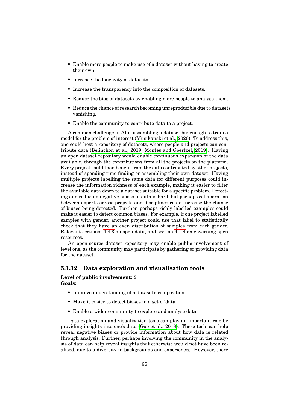- Enable more people to make use of a dataset without having to create their own.
- Increase the longevity of datasets.
- Increase the transparency into the composition of datasets.
- Reduce the bias of datasets by enabling more people to analyse them.
- Reduce the chance of research becoming unreproducible due to datasets vanishing.
- Enable the community to contribute data to a project.

A common challenge in AI is assembling a dataset big enough to train a model for the problem of interest [\(Musikanski et al., 2020\)](#page-94-1). To address this, one could host a repository of datasets, where people and projects can contribute data [\(Belinchon et al., 2019;](#page-88-3) [Montes and Goertzel, 2019\)](#page-93-1). Having an open dataset repository would enable continuous expansion of the data available, through the contributions from all the projects on the platform. Every project could then benefit from the data contributed by other projects, instead of spending time finding or assembling their own dataset. Having multiple projects labelling the same data for different purposes could increase the information richness of each example, making it easier to filter the available data down to a dataset suitable for a specific problem. Detecting and reducing negative biases in data is hard, but perhaps collaboration between experts across projects and disciplines could increase the chance of biases being detected. Further, perhaps richly labelled examples could make it easier to detect common biases. For example, if one project labelled samples with gender, another project could use that label to statistically check that they have an even distribution of samples from each gender. Relevant sections: [4.4.3](#page-54-0) on open data, and section [4.1.4](#page-40-0) on governing open resources.

An open-source dataset repository may enable public involvement of level one, as the community may participate by gathering or providing data for the dataset.

# **5.1.12 Data exploration and visualisation tools**

#### **Level of public involvement:** 2 **Goals:**

- Improve understanding of a dataset's composition.
- Make it easier to detect biases in a set of data.
- Enable a wider community to explore and analyse data.

Data exploration and visualisation tools can play an important role by providing insights into one's data [\(Gao et al., 2018\)](#page-90-0). These tools can help reveal negative biases or provide information about how data is related through analysis. Further, perhaps involving the community in the analysis of data can help reveal insights that otherwise would not have been realised, due to a diversity in backgrounds and experiences. However, there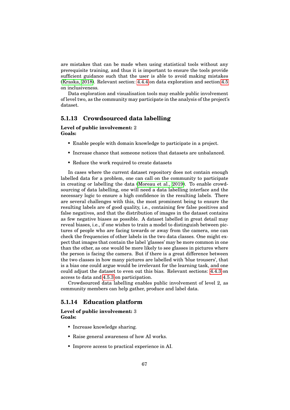are mistakes that can be made when using statistical tools without any prerequisite training, and thus it is important to ensure the tools provide sufficient guidance such that the user is able to avoid making mistakes [\(Kraska, 2018\)](#page-92-0). Relevant section: [4.4.4](#page-55-0) on data exploration and section [4.5](#page-61-0) on inclusiveness.

Data exploration and visualisation tools may enable public involvement of level two, as the community may participate in the analysis of the project's dataset.

# **5.1.13 Crowdsourced data labelling**

#### **Level of public involvement:** 2 **Goals:**

- Enable people with domain knowledge to participate in a project.
- Increase chance that someone notices that datasets are unbalanced.
- Reduce the work required to create datasets

In cases where the current dataset repository does not contain enough labelled data for a problem, one can call on the community to participate in creating or labelling the data [\(Moreau et al., 2019\)](#page-94-0). To enable crowdsourcing of data labelling, one will need a data labelling interface and the necessary logic to ensure a high confidence in the resulting labels. There are several challenges with this, the most prominent being to ensure the resulting labels are of good quality, i.e., containing few false positives and false negatives, and that the distribution of images in the dataset contains as few negative biases as possible. A dataset labelled in great detail may reveal biases, i.e., if one wishes to train a model to distinguish between pictures of people who are facing towards or away from the camera, one can check the frequencies of other labels in the two data classes. One might expect that images that contain the label 'glasses' may be more common in one than the other, as one would be more likely to see glasses in pictures where the person is facing the camera. But if there is a great difference between the two classes in how many pictures are labelled with 'blue trousers', that is a bias one could argue would be irrelevant for the learning task, and one could adjust the dataset to even out this bias. Relevant sections: [4.4.3](#page-54-0) on access to data and [4.5.3](#page-63-0) on participation.

Crowdsourced data labelling enables public involvement of level 2, as community members can help gather, produce and label data.

# **5.1.14 Education platform**

#### **Level of public involvement:** 3 **Goals:**

- Increase knowledge sharing.
- Raise general awareness of how AI works.
- Improve access to practical experience in AI.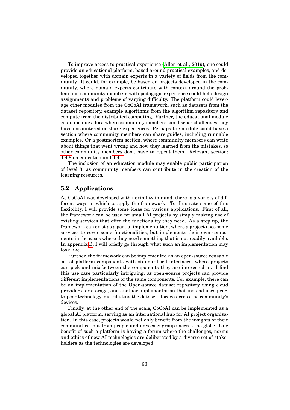To improve access to practical experience [\(Allen et al., 2019\)](#page-88-0), one could provide an educational platform, based around practical examples, and developed together with domain experts in a variety of fields from the community. It could, for example, be based on projects developed in the community, where domain experts contribute with context around the problem and community members with pedagogic experience could help design assignments and problems of varying difficulty. The platform could leverage other modules from the CoCoAI framework, such as datasets from the dataset repository, example algorithms from the algorithm repository and compute from the distributed computing. Further, the educational module could include a fora where community members can discuss challenges they have encountered or share experiences. Perhaps the module could have a section where community members can share guides, including runnable examples. Or a postmortem section, where community members can write about things that went wrong and how they learned from the mistakes, so other community members don't have to repeat them. Relevant section: [4.4.8](#page-60-0) on education and [4.4.1.](#page-51-0)

The inclusion of an education module may enable public participation of level 3, as community members can contribute in the creation of the learning resources.

#### **5.2 Applications**

As CoCoAI was developed with flexibility in mind, there is a variety of different ways in which to apply the framework. To illustrate some of this flexibility, I will provide some ideas for various applications. First of all, the framework can be used for small AI projects by simply making use of existing services that offer the functionality they need. As a step up, the framework can exist as a partial implementation, where a project uses some services to cover some functionalities, but implements their own components in the cases where they need something that is not readily available. In appendix [B,](#page-99-0) I will briefly go through what such an implementation may look like.

Further, the framework can be implemented as an open-source reusable set of platform components with standardised interfaces, where projects can pick and mix between the components they are interested in. I find this use case particularly intriguing, as open-source projects can provide different implementations of the same components. For example, there can be an implementation of the Open-source dataset repository using cloud providers for storage, and another implementation that instead uses peerto-peer technology, distributing the dataset storage across the community's devices.

Finally, at the other end of the scale, CoCoAI can be implemented as a global AI platform, serving as an international hub for AI project organisation. In this case, projects would not only benefit from the insights of their communities, but from people and advocacy groups across the globe. One benefit of such a platform is having a forum where the challenges, norms and ethics of new AI technologies are deliberated by a diverse set of stakeholders as the technologies are developed.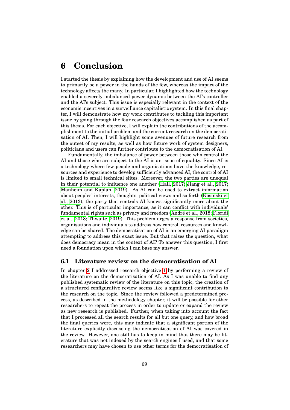# **6 Conclusion**

I started the thesis by explaining how the development and use of AI seems to primarily be a power in the hands of the few, whereas the impact of the technology affects the many. In particular, I highlighted how the technology enabled a severely imbalanced power dynamic between the AI's controller and the AI's subject. This issue is especially relevant in the context of the economic incentives in a surveillance capitalistic system. In this final chapter, I will demonstrate how my work contributes to tackling this important issue by going through the four research objectives accomplished as part of this thesis. For each objective, I will explain the contributions of the accomplishment to the initial problem and the current research on the democratisation of AI. Then, I will highlight some avenues of future research from the outset of my results, as well as how future work of system designers, politicians and users can further contribute to the democratisation of AI.

Fundamentally, the imbalance of power between those who control the AI and those who are subject to the AI is an issue of equality. Since AI is a technology where few people and organisations have the knowledge, resources and experience to develop sufficiently advanced AI, the control of AI is limited to small technical elites. Moreover, the two parties are unequal in their potential to influence one another [\(Hall, 2017;](#page-91-1) [Jiang et al., 2017;](#page-92-1) [Manheim and Kaplan, 2019\)](#page-93-2). As AI can be used to extract information about peoples' interests, thoughts, political views and so forth [\(Kosinski et](#page-92-2) [al., 2013\)](#page-92-2), the party that controls AI knows significantly more about the other. This is of particular importance, as it can conflict with individuals' fundamental rights such as privacy and freedom (André et al., 2018; [Floridi](#page-90-1) [et al., 2018;](#page-90-1) [Thwaite, 2019\)](#page-96-0). This problem urges a response from societies, organisations and individuals to address how control, resources and knowledge can be shared. The democratisation of AI is an emerging AI paradigm attempting to address this exact issue. But that raises the question, what does democracy mean in the context of AI? To answer this question, I first need a foundation upon which I can base my answer.

# **6.1 Literature review on the democratisation of AI**

In chapter [2](#page-18-0) I addressed research objective [1](#page-16-0) by performing a review of the literature on the democratisation of AI. As I was unable to find any published systematic review of the literature on this topic, the creation of a structured configurative review seems like a significant contribution to the research on the topic. Since the review followed a predetermined process, as described in the methodology chapter, it will be possible for other researchers to repeat the process in order to update or expand the review as new research is published. Further, when taking into account the fact that I processed all the search results for all but one query, and how broad the final queries were, this may indicate that a significant portion of the literature explicitly discussing the democratisation of AI was covered in the review. However, one still has to keep in mind that there may be literature that was not indexed by the search engines I used, and that some researchers may have chosen to use other terms for the democratisation of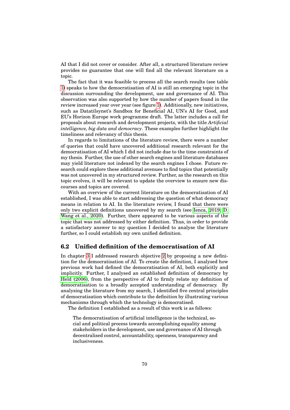AI that I did not cover or consider. After all, a structured literature review provides no guarantee that one will find all the relevant literature on a topic.

The fact that it was feasible to process all the search results (see table [1\)](#page-20-0) speaks to how the democratisation of AI is still an emerging topic in the discussion surrounding the development, use and governance of AI. This observation was also supported by how the number of papers found in the review increased year over year (see figure [1\)](#page-22-0). Additionally, new initiatives, such as Datatilsynet's Sandbox for Beneficial AI, UN's AI for Good, and EU's Horizon Europe work programme draft. The latter includes a call for proposals about research and development projects, with the title *Artificial intelligence, big data and democracy*. These examples further highlight the timeliness and relevancy of this thesis.

In regards to limitations of the literature review, there were a number of queries that could have uncovered additional research relevant for the democratisation of AI which I did not include due to the time constraints of my thesis. Further, the use of other search engines and literature databases may yield literature not indexed by the search engines I chose. Future research could explore these additional avenues to find topics that potentially was not uncovered in my structured review. Further, as the research on this topic evolves, it will be relevant to update the overview to ensure new discourses and topics are covered.

With an overview of the current literature on the democratisation of AI established, I was able to start addressing the question of what democracy means in relation to AI. In the literature review, I found that there were only two explicit definitions uncovered by my search (see [Ienca, 2019;](#page-92-3) [D.](#page-96-1) [Wang et al., 2020\)](#page-96-1). Further, there appeared to be various aspects of the topic that was not addressed by either definition. Thus, in order to provide a satisfactory answer to my question I decided to analyse the literature further, so I could establish my own unified definition.

# **6.2 Unified definition of the democratisation of AI**

In chapter [3](#page-27-0) I addressed research objective [2](#page-16-1) by proposing a new definition for the democratisation of AI. To create the definition, I analysed how previous work had defined the democratisation of AI, both explicitly and implicitly. Further, I analysed an established definition of democracy by [Held \(2006\)](#page-91-2), from the perspective of AI to firmly relate my definition of democratisation to a broadly accepted understanding of democracy. By analysing the literature from my search, I identified five central principles of democratisation which contribute to the definition by illustrating various mechanisms through which the technology is democratised.

The definition I established as a result of this work is as follows:

The democratisation of artificial intelligence is the technical, social and political process towards accomplishing equality among stakeholders in the development, use and governance of AI through decentralised control, accountability, openness, transparency and inclusiveness.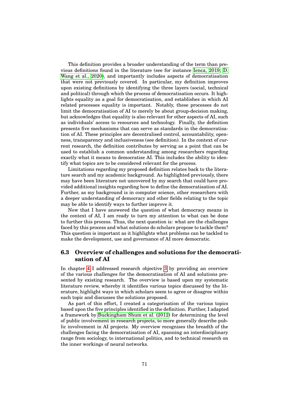This definition provides a broader understanding of the term than previous definitions found in the literature (see for instance [Ienca, 2019;](#page-92-3) [D.](#page-96-1) [Wang et al., 2020\)](#page-96-1), and importantly includes aspects of democratisation that were not previously covered. In particular, my definition improves upon existing definitions by identifying the three layers (social, technical and political) through which the process of democratisation occurs. It highlights equality as a goal for democratisation, and establishes in which AI related processes equality is important. Notably, these processes do not limit the democratisation of AI to merely be about group-decision making, but acknowledges that equality is also relevant for other aspects of AI, such as individuals' access to resources and technology. Finally, the definition presents five mechanisms that can serve as standards in the democratisation of AI. These principles are decentralised control, accountability, openness, transparency and inclusiveness (see definition). In the context of current research, the definition contributes by serving as a point that can be used to establish a common understanding among researchers regarding exactly what it means to democratise AI. This includes the ability to identify what topics are to be considered relevant for the process.

Limitations regarding my proposed definition relates back to the literature search and my academic background. As highlighted previously, there may have been literature not uncovered by my search that could have provided additional insights regarding how to define the democratisation of AI. Further, as my background is in computer science, other researchers with a deeper understanding of democracy and other fields relating to the topic may be able to identify ways to further improve it.

Now that I have answered the question of what democracy means in the context of AI, I am ready to turn my attention to what can be done to further this process. Thus, the next question is: what are the challenges faced by this process and what solutions do scholars propose to tackle them? This question is important as it highlights what problems can be tackled to make the development, use and governance of AI more democratic.

# **6.3 Overview of challenges and solutions for the democratisation of AI**

In chapter [4](#page-37-0) I addressed research objective [3](#page-17-0) by providing an overview of the various challenges for the democratisation of AI and solutions presented by existing research. The overview is based upon my systematic literature review, whereby it identifies various topics discussed by the literature, highlight ways in which scholars seem to agree or disagree within each topic and discusses the solutions proposed.

As part of this effort, I created a categorisation of the various topics based upon the five principles identified in the definition. Further, I adapted a framework by [Buckingham Shum et al. \(2012\)](#page-89-1) for determining the level of public involvement in research projects, to more generally describe public involvement in AI projects. My overview recognises the breadth of the challenges facing the democratisation of AI, spanning an interdisciplinary range from sociology, to international politics, and to technical research on the inner workings of neural networks.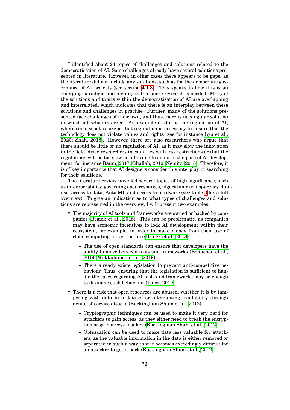I identified about 24 topics of challenges and solutions related to the democratisation of AI. Some challenges already have several solutions presented in literature. However, in other cases there appears to be gaps, as the literature did not include any solutions, such as for the democratic governance of AI projects (see section [4.1.3\)](#page-40-1). This speaks to how this is an emerging paradigm and highlights that more research is needed. Many of the solutions and topics within the democratisation of AI are overlapping and interrelated, which indicates that there is an interplay between these solutions and challenges in practise. Further, many of the solutions presented face challenges of their own, and thus there is no singular solution in which all scholars agree. An example of this is the regulation of AI, where some scholars argue that regulation is necessary to ensure that the technology does not violate values and rights (see for instance [Lyu et al.,](#page-93-3) [2020;](#page-93-3) [Shah, 2018\)](#page-95-1). However, there are also researchers who argue that there should be little or no regulation of AI, as it may slow the innovation in the field, drive researchers to countries with less restrictions or that the regulations will be too slow or inflexible to adapt to the pace of AI development (for instance [Baum, 2017;](#page-88-5) [Ghallab, 2019;](#page-91-3) [Nemitz, 2018\)](#page-94-2). Therefore, it is of key importance that AI designers consider this interplay in searching for their solutions.

The literature review unveiled several topics of high significance, such as interoperability, governing open resources, algorithmic transparency, dualuse, access to data, Auto ML and access to hardware (see table [3](#page-25-0) for a full overview). To give an indication as to what types of challenges and solutions are represented in the overview, I will present two examples:

- The majority of AI tools and frameworks are owned or backed by companies [\(Braiek et al., 2018\)](#page-88-6). This can be problematic, as companies may have economic incentives to lock AI development within their ecosystem, for example, in order to make money from their use of cloud computing infrastructure [\(Braiek et al., 2018\)](#page-88-6).
	- **–** The use of open standards can ensure that developers have the ability to move between tools and frameworks [\(Belinchon et al.,](#page-88-3) [2019;](#page-88-3) [Miikkulainen et al., 2019\)](#page-93-4).
	- **–** There already exists legislation to prevent anti-competitive behaviour. Thus, ensuring that the legislation is sufficient to handle the cases regarding AI tools and frameworks may be enough to dissuade such behaviour [\(Ienca, 2019\)](#page-92-3).
- There is a risk that open resources are abused, whether it is by tampering with data in a dataset or interrupting availability through denial-of-service attacks [\(Buckingham Shum et al., 2012\)](#page-89-1).
	- **–** Cryptographic techniques can be used to make it very hard for attackers to gain access, as they either need to break the encryption or gain access to a key [\(Buckingham Shum et al., 2012\)](#page-89-1).
	- **–** Obfuscation can be used to make data less valuable for attackers, as the valuable information in the data is either removed or separated in such a way that it becomes exceedingly difficult for an attacker to get it back [\(Buckingham Shum et al., 2012\)](#page-89-1).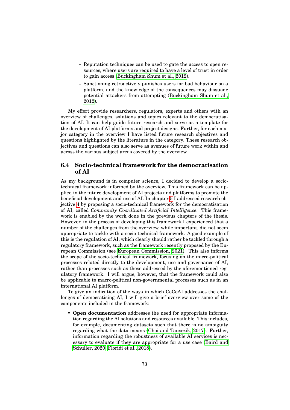- **–** Reputation techniques can be used to gate the access to open resources, where users are required to have a level of trust in order to gain access [\(Buckingham Shum et al., 2012\)](#page-89-1).
- **–** Sanctioning retroactively punishes users for bad behaviour on a platform, and the knowledge of the consequences may dissuade potential attackers from attempting [\(Buckingham Shum et al.,](#page-89-1) [2012\)](#page-89-1).

My effort provide researchers, regulators, experts and others with an overview of challenges, solutions and topics relevant to the democratisation of AI. It can help guide future research and serve as a template for the development of AI platforms and project designs. Further, for each major category in the overview I have listed future research objectives and questions highlighted by the literature in the category. These research objectives and questions can also serve as avenues of future work within and across the various subject areas covered by the overview.

# **6.4 Socio-technical framework for the democratisation of AI**

As my background is in computer science, I decided to develop a sociotechnical framework informed by the overview. This framework can be applied in the future development of AI projects and platforms to promote the beneficial development and use of AI. In chapter [5](#page-68-0) I addressed research objective [4](#page-17-1) by proposing a socio-technical framework for the democratisation of AI, called *Community Coordinated Artificial Intelligence*. This framework is enabled by the work done in the previous chapters of the thesis. However, in the process of developing this framework I experienced that a number of the challenges from the overview, while important, did not seem appropriate to tackle with a socio-technical framework. A good example of this is the regulation of AI, which clearly should rather be tackled through a regulatory framework, such as the framework recently proposed by the European Commission (see [European Commission, 2021\)](#page-90-2). This also informs the scope of the socio-technical framework, focusing on the micro-political processes related directly to the development, use and governance of AI, rather than processes such as those addressed by the aforementioned regulatory framework. I will argue, however, that the framework could also be applicable to macro-political non-governmental processes such as in an international AI platform.

To give an indication of the ways in which CoCoAI addresses the challenges of democratising AI, I will give a brief overview over some of the components included in the framework:

• **Open documentation** addresses the need for appropriate information regarding the AI solutions and resources available. This includes, for example, documenting datasets such that there is no ambiguity regarding what the data means [\(Choi and Tausczik, 2017\)](#page-89-2). Further, information regarding the robustness of available AI services is necessary to evaluate if they are appropriate for a use case [\(Baird and](#page-88-7) [Schuller, 2020;](#page-88-7) [Floridi et al., 2018\)](#page-90-1).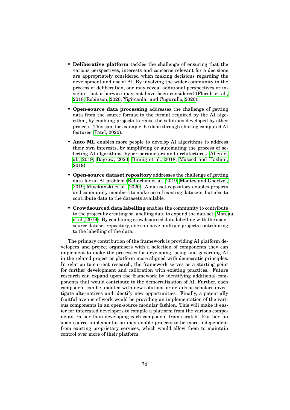- **Deliberative platform** tackles the challenge of ensuring that the various perspectives, interests and concerns relevant for a decisions are appropriately considered when making decisions regarding the development and use of AI. By involving the wider community in the process of deliberation, one may reveal additional perspectives or insights that otherwise may not have been considered [\(Floridi et al.,](#page-90-1) [2018;](#page-90-1) [Robinson, 2020;](#page-95-2) [Yigitcanlar and Cugurullo, 2020\)](#page-97-0).
- **Open-source data processing** addresses the challenge of getting data from the source format to the format required by the AI algorithm, by enabling projects to reuse the solutions developed by other projects. This can, for example, be done through sharing computed AI features [\(Patel, 2020\)](#page-95-0).
- **Auto ML** enables more people to develop AI algorithms to address their own interests, by simplifying or automating the process of selecting AI algorithms, hyper parameters and architectures [\(Allen et](#page-88-0) [al., 2019;](#page-88-0) [Bagrow, 2020;](#page-88-1) [Binnig et al., 2018;](#page-88-2) [Masood and Hashmi,](#page-93-0) [2019\)](#page-93-0).
- **Open-source dataset repository** addresses the challenge of getting data for an AI problem [\(Belinchon et al., 2019;](#page-88-3) [Montes and Goertzel,](#page-93-1) [2019;](#page-93-1) [Musikanski et al., 2020\)](#page-94-1). A dataset repository enables projects and community members to make use of existing datasets, but also to contribute data to the datasets available.
- **Crowdsourced data labelling** enables the community to contribute to the project by creating or labelling data to expand the dataset [\(Morea](#page-94-0)u [et al., 2019\)](#page-94-0). By combining crowdsourced data labelling with the opensource dataset repository, one can have multiple projects contributing to the labelling of the data.

The primary contribution of the framework is providing AI platform developers and project organisers with a selection of components they can implement to make the processes for developing, using and governing AI in the related project or platform more aligned with democratic principles. In relation to current research, the framework serves as a starting point for further development and calibration with existing practices. Future research can expand upon the framework by identifying additional components that would contribute to the democratisation of AI. Further, each component can be updated with new solutions or details as scholars investigate alternatives and identify new opportunities. Finally, a potentially fruitful avenue of work would be providing an implementation of the various components in an open-source modular fashion. This will make it easier for interested developers to compile a platform from the various components, rather than developing each component from scratch. Further, an open source implementation may enable projects to be more independent from existing proprietary services, which would allow them to maintain control over more of their platform.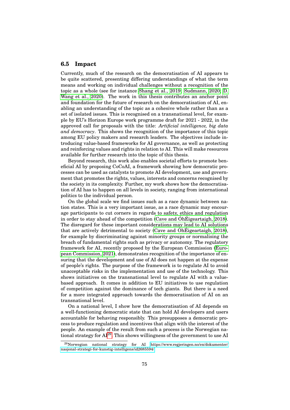#### **6.5 Impact**

Currently, much of the research on the democratisation of AI appears to be quite scattered, presenting differing understandings of what the term means and working on individual challenges without a recognition of the topic as a whole (see for instance [Shang et al., 2019;](#page-95-3) [Sudmann, 2020;](#page-95-4) [D.](#page-96-1) [Wang et al., 2020\)](#page-96-1). The work in this thesis contributes an anchor point and foundation for the future of research on the democratisation of AI, enabling an understanding of the topic as a cohesive whole rather than as a set of isolated issues. This is recognised on a transnational level, for example by EU's Horizon Europe work programme draft for 2021 - 2022, in the approved call for proposals with the title: *Artificial intelligence, big data and democracy*. This shows the recognition of the importance of this topic among EU policy makers and research leaders. The objectives include introducing value-based frameworks for AI governance, as well as protecting and reinforcing values and rights in relation to AI. This will make resources available for further research into the topic of this thesis.

Beyond research, this work also enables societal efforts to promote beneficial AI by proposing CoCoAI, a framework showing how democratic processes can be used as catalysts to promote AI development, use and government that promotes the rights, values, interests and concerns recognised by the society in its complexity. Further, my work shows how the democratisation of AI has to happen on all levels in society, ranging from international politics to the individual person.

On the global scale we find issues such as a race dynamic between nation states. This is a very important issue, as a race dynamic may encourage participants to cut corners in regards to safety, ethics and regulation in order to stay ahead of the competition (Cave and Oh $\dot$  [Eigeartaigh, 2018\)](#page-89-3). The disregard for these important considerations may lead to AI solutions that are actively detrimental to society (Cave and Oh[Eigeartaigh, 2018\)](#page-89-3), for example by discriminating against minority groups or normalising the breach of fundamental rights such as privacy or autonomy. The regulatory framework for AI, recently proposed by the European Commission [\(Euro](#page-90-2)[pean Commission, 2021\)](#page-90-2), demonstrates recognition of the importance of ensuring that the development and use of AI does not happen at the expense of people's rights. The purpose of the framework is to regulate AI to avoid unacceptable risks in the implementation and use of the technology. This shows initiatives on the transnational level to regulate AI with a valuebased approach. It comes in addition to EU initiatives to use regulation of competition against the dominance of tech giants. But there is a need for a more integrated approach towards the democratisation of AI on an transnational level.

On a national level, I show how the democratisation of AI depends on a well-functioning democratic state that can hold AI developers and users accountable for behaving responsibly. This presupposes a democratic process to produce regulation and incentives that align with the interest of the people. An example of the result from such a process is the Norwegian national strategy for AI[29](#page-0-0). This shows willingness of the government to use AI

 $^{29}$ Norwegian national strategy for AI [https://www.regjeringen.no/en/dokumenter/](https://www.regjeringen.no/en/dokumenter/nasjonal-strategi-for-kunstig-intelligens/id2685594/) [nasjonal-strategi-for-kunstig-intelligens/id2685594/](https://www.regjeringen.no/en/dokumenter/nasjonal-strategi-for-kunstig-intelligens/id2685594/)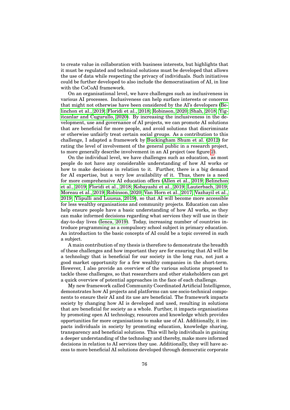to create value in collaboration with business interests, but highlights that it must be regulated and technical solutions must be developed that allows the use of data while respecting the privacy of individuals. Such initiatives could be further developed to also include the democratisation of AI, in line with the CoCoAI framework.

On an organisational level, we have challenges such as inclusiveness in various AI processes. Inclusiveness can help surface interests or concerns that might not otherwise have been considered by the AI's developers [\(Be](#page-88-3)[linchon et al., 2019;](#page-88-3) [Floridi et al., 2018;](#page-90-1) [Robinson, 2020;](#page-95-2) [Shah, 2018;](#page-95-1) [Yig](#page-97-0)[itcanlar and Cugurullo, 2020\)](#page-97-0). By increasing the inclusiveness in the development, use and governance of AI projects, we can promote AI solutions that are beneficial for more people, and avoid solutions that discriminate or otherwise unfairly treat certain social groups. As a contribution to this challenge, I adapted a framework by [Buckingham Shum et al. \(2012\)](#page-89-1) for rating the level of involvement of the general public in a research project, to more generally describe involvement in an AI project (see figure [2\)](#page-65-0).

On the individual level, we have challenges such as education, as most people do not have any considerable understanding of how AI works or how to make decisions in relation to it. Further, there is a big demand for AI expertise, but a very low availability of it. Thus, there is a need for more comprehensive AI education offers [\(Allen et al., 2019;](#page-88-0) [Belinchon](#page-88-3) [et al., 2019;](#page-88-3) [Floridi et al., 2018;](#page-90-1) [Kobayashi et al., 2019;](#page-92-4) [Lauterbach, 2019;](#page-92-5) [Moreau et al., 2019;](#page-94-0) [Robinson, 2020;](#page-95-2) [Van Horn et al., 2017;](#page-96-2) [Vazhayil et al.,](#page-96-3) [2019;](#page-96-3) [Ylipulli and Luusua, 2019\)](#page-97-1), so that AI will become more accessible for less wealthy organisations and community projects. Education can also help ensure people have a basic understanding of how AI works, so they can make informed decisions regarding what services they will use in their day-to-day lives [\(Ienca, 2019\)](#page-92-3). Today, increasing number of countries introduce programming as a compulsory school subject in primary education. An introduction to the basic concepts of AI could be a topic covered in such a subject.

A main contribution of my thesis is therefore to demonstrate the breadth of these challenges and how important they are for ensuring that AI will be a technology that is beneficial for our society in the long run, not just a good market opportunity for a few wealthy companies in the short-term. However, I also provide an overview of the various solutions proposed to tackle these challenges, so that researchers and other stakeholders can get a quick overview of potential approaches in the face of each challenge.

My new framework called Community Coordinated Artificial Intelligence, demonstrates how AI projects and platforms can use socio-technical components to ensure their AI and its use are beneficial. The framework impacts society by changing how AI is developed and used, resulting in solutions that are beneficial for society as a whole. Further, it impacts organisations by promoting open AI technology, resources and knowledge which provides opportunities for more organisations to make use of AI. Additionally, it impacts individuals in society by promoting education, knowledge sharing, transparency and beneficial solutions. This will help individuals in gaining a deeper understanding of the technology and thereby, make more informed decisions in relation to AI services they use. Additionally, they will have access to more beneficial AI solutions developed through democratic corporate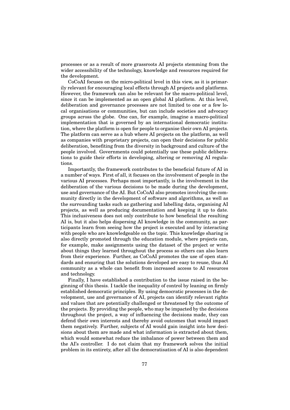processes or as a result of more grassroots AI projects stemming from the wider accessibility of the technology, knowledge and resources required for the development.

CoCoAI focuses on the micro-political level in this view, as it is primarily relevant for encouraging local effects through AI projects and platforms. However, the framework can also be relevant for the macro-political level, since it can be implemented as an open global AI platform. At this level, deliberation and governance processes are not limited to one or a few local organisations or communities, but can include societies and advocacy groups across the globe. One can, for example, imagine a macro-political implementation that is governed by an international democratic institution, where the platform is open for people to organise their own AI projects. The platform can serve as a hub where AI projects on the platform, as well as companies with proprietary projects, can open their decisions for public deliberation, benefiting from the diversity in background and culture of the people involved. Governments could potentially use these public deliberations to guide their efforts in developing, altering or removing AI regulations.

Importantly, the framework contributes to the beneficial future of AI in a number of ways. First of all, it focuses on the involvement of people in the various AI processes. Perhaps most importantly, is the involvement in the deliberation of the various decisions to be made during the development, use and governance of the AI. But CoCoAI also promotes involving the community directly in the development of software and algorithms, as well as the surrounding tasks such as gathering and labelling data, organising AI projects, as well as producing documentation and keeping it up to date. This inclusiveness does not only contribute to how beneficial the resulting AI is, but it also helps dispersing AI knowledge in the community, as participants learn from seeing how the project is executed and by interacting with people who are knowledgeable on the topic. This knowledge sharing is also directly promoted through the education module, where projects can, for example, make assignments using the dataset of the project or write about things they learned throughout the process so others can also learn from their experience. Further, as CoCoAI promotes the use of open standards and ensuring that the solutions developed are easy to reuse, thus AI community as a whole can benefit from increased access to AI resources and technology.

Finally, I have established a contribution to the issue raised in the beginning of this thesis. I tackle the inequality of control by leaning on firmly established democratic principles. By using democratic processes in the development, use and governance of AI, projects can identify relevant rights and values that are potentially challenged or threatened by the outcome of the projects. By providing the people, who may be impacted by the decisions throughout the project, a way of influencing the decisions made, they can defend their own interests and thereby avoid outcomes that would impact them negatively. Further, subjects of AI would gain insight into how decisions about them are made and what information is extracted about them, which would somewhat reduce the imbalance of power between them and the AI's controller. I do not claim that my framework solves the initial problem in its entirety, after all the democratisation of AI is also dependent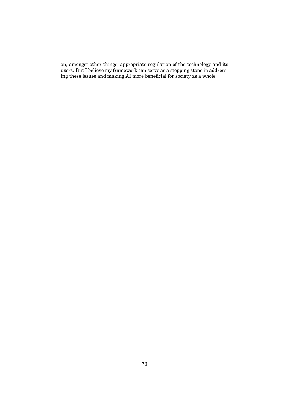on, amongst other things, appropriate regulation of the technology and its users. But I believe my framework can serve as a stepping stone in addressing these issues and making AI more beneficial for society as a whole.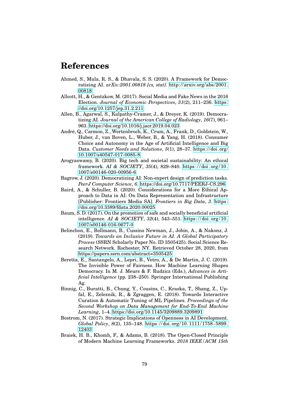# **References**

- Ahmed, S., Mula, R. S., & Dhavala, S. S. (2020). A Framework for Democratizing AI. *arXiv:2001.00818 [cs, stat]*. [http://arxiv.org/abs/2001.](http://arxiv.org/abs/2001.00818) [00818](http://arxiv.org/abs/2001.00818)
- Allcott, H., & Gentzkow, M. (2017). Social Media and Fake News in the 2016 Election. *Journal of Economic Perspectives*, *31*(2), 211–236. [https:](https://doi.org/10.1257/jep.31.2.211) [//doi.org/10.1257/jep.31.2.211](https://doi.org/10.1257/jep.31.2.211)
- <span id="page-88-0"></span>Allen, B., Agarwal, S., Kalpathy-Cramer, J., & Dreyer, K. (2019). Democratizing AI. *Journal of the American College of Radiology*, *16*(7), 961– 963.<https://doi.org/10.1016/j.jacr.2019.04.023>
- <span id="page-88-4"></span>Andre, Q., Carmon, Z., Wertenbroch, K., Crum, A., Frank, D., Goldstein, W., ´ Huber, J., van Boven, L., Weber, B., & Yang, H. (2018). Consumer Choice and Autonomy in the Age of Artificial Intelligence and Big Data. *Customer Needs and Solutions*, *5*(1), 28–37. [https://doi.org/](https://doi.org/10.1007/s40547-017-0085-8) [10.1007/s40547-017-0085-8](https://doi.org/10.1007/s40547-017-0085-8)
- Arogyaswamy, B. (2020). Big tech and societal sustainability: An ethical framework. *AI & SOCIETY*, *35*(4), 829–840. [https : / / doi . org / 10 .](https://doi.org/10.1007/s00146-020-00956-6) [1007/s00146-020-00956-6](https://doi.org/10.1007/s00146-020-00956-6)
- <span id="page-88-1"></span>Bagrow, J. (2020). Democratizing AI: Non-expert design of prediction tasks. *PeerJ Computer Science*, *6*.<https://doi.org/10.7717/PEERJ-CS.296>
- <span id="page-88-7"></span>Baird, A., & Schuller, B. (2020). Considerations for a More Ethical Approach to Data in AI: On Data Representation and Infrastructure [Publisher: Frontiers Media SA]. *Frontiers in Big Data*, *3*. [https:](https://doi.org/10.3389/fdata.2020.00025) [//doi.org/10.3389/fdata.2020.00025](https://doi.org/10.3389/fdata.2020.00025)
- <span id="page-88-5"></span>Baum, S. D. (2017). On the promotion of safe and socially beneficial artificial intelligence. *AI & SOCIETY*, *32*(4), 543–551. [https:// doi. org/ 10.](https://doi.org/10.1007/s00146-016-0677-0) [1007/s00146-016-0677-0](https://doi.org/10.1007/s00146-016-0677-0)
- <span id="page-88-3"></span>Belinchon, E., Bollmann, B., Cussins Newman, J., Jobin, A., & Nakonz, J. (2019). *Towards an Inclusive Future in AI. A Global Participatory Process* (SSRN Scholarly Paper No. ID 3505425). Social Science Research Network. Rochester, NY. Retrieved October 28, 2020, from <https://papers.ssrn.com/abstract=3505425>
- Beretta, E., Santangelo, A., Lepri, B., Vetro, A., & De Martin, J. C. (2019). The Invisible Power of Fairness. How Machine Learning Shapes Democracy. In M. J. Meurs & F. Rudzicz (Eds.), *Advances in Artificial Intelligence* (pp. 238–250). Springer International Publishing Ag.
- <span id="page-88-2"></span>Binnig, C., Buratti, B., Chung, Y., Cousins, C., Kraska, T., Shang, Z., Upfal, E., Zeleznik, R., & Zgraggen, E. (2018). Towards Interactive Curation & Automatic Tuning of ML Pipelines. *Proceedings of the Second Workshop on Data Management for End-To-End Machine Learning*, 1–4.<https://doi.org/10.1145/3209889.3209891>
- Bostrom, N. (2017). Strategic Implications of Openness in AI Development. *Global Policy*, *8*(2), 135–148. [https://doi.org/10.1111/1758 - 5899.](https://doi.org/10.1111/1758-5899.12403) [12403](https://doi.org/10.1111/1758-5899.12403)
- <span id="page-88-6"></span>Braiek, H. B., Khomh, F., & Adams, B. (2018). The Open-Closed Principle of Modern Machine Learning Frameworks. *2018 IEEE/ACM 15th*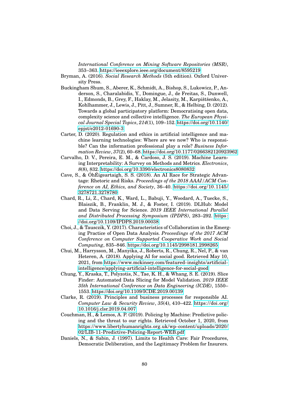*International Conference on Mining Software Repositories (MSR)*, 353–363.<https://ieeexplore.ieee.org/document/8595219>

- Bryman, A. (2016). *Social Research Methods* (5th edition). Oxford University Press.
- <span id="page-89-1"></span>Buckingham Shum, S., Aberer, K., Schmidt, A., Bishop, S., Lukowicz, P., Anderson, S., Charalabidis, Y., Domingue, J., de Freitas, S., Dunwell, I., Edmonds, B., Grey, F., Haklay, M., Jelasity, M., Karpištšenko, A., Kohlhammer, J., Lewis, J., Pitt, J., Sumner, R., & Helbing, D. (2012). Towards a global participatory platform: Democratising open data, complexity science and collective intelligence. *The European Physical Journal Special Topics*, *214*(1), 109–152. [https://doi.org/10.1140/](https://doi.org/10.1140/epjst/e2012-01690-3) [epjst/e2012-01690-3](https://doi.org/10.1140/epjst/e2012-01690-3)
- Carter, D. (2020). Regulation and ethics in artificial intelligence and machine learning technologies: Where are we now? Who is responsible? Can the information professional play a role? *Business Information Review*, *37*(2), 60–68.<https://doi.org/10.1177/0266382120923962>
- Carvalho, D. V., Pereira, E. M., & Cardoso, J. S. (2019). Machine Learning Interpretability: A Survey on Methods and Metrics. *Electronics*, *8*(8), 832.<https://doi.org/10.3390/electronics8080832>
- <span id="page-89-3"></span>Cave, S., & ÓhÉigeartaigh, S. S. (2018). An AI Race for Strategic Advantage: Rhetoric and Risks. *Proceedings of the 2018 AAAI/ACM Conference on AI, Ethics, and Society*, 36–40. [https://doi.org/10.1145/](https://doi.org/10.1145/3278721.3278780) [3278721.3278780](https://doi.org/10.1145/3278721.3278780)
- <span id="page-89-0"></span>Chard, R., Li, Z., Chard, K., Ward, L., Babuji, Y., Woodard, A., Tuecke, S., Blaiszik, B., Franklin, M. J., & Foster, I. (2019). DLHub: Model and Data Serving for Science. *2019 IEEE International Parallel and Distributed Processing Symposium (IPDPS)*, 283–292. [https:](https://doi.org/10.1109/IPDPS.2019.00038) [//doi.org/10.1109/IPDPS.2019.00038](https://doi.org/10.1109/IPDPS.2019.00038)
- <span id="page-89-2"></span>Choi, J., & Tausczik, Y. (2017). Characteristics of Collaboration in the Emerging Practice of Open Data Analysis. *Proceedings of the 2017 ACM Conference on Computer Supported Cooperative Work and Social Computing*, 835–846.<https://doi.org/10.1145/2998181.2998265>
- Chui, M., Harrysson, M., Manyika, J., Roberts, R., Chung, R., Nel, P., & van Heteren, A. (2018). Applying AI for social good. Retrieved May 10, 2021, from [https://www.mckinsey.com/featured- insights/artificial](https://www.mckinsey.com/featured-insights/artificial-intelligence/applying-artificial-intelligence-for-social-good)[intelligence/applying-artificial-intelligence-for-social-good](https://www.mckinsey.com/featured-insights/artificial-intelligence/applying-artificial-intelligence-for-social-good)
- Chung, Y., Kraska, T., Polyzotis, N., Tae, K. H., & Whang, S. E. (2019). Slice Finder: Automated Data Slicing for Model Validation. *2019 IEEE 35th International Conference on Data Engineering (ICDE)*, 1550– 1553.<https://doi.org/10.1109/ICDE.2019.00139>
- Clarke, R. (2019). Principles and business processes for responsible AI. *Computer Law & Security Review*, *35*(4), 410–422. [https://doi.org/](https://doi.org/10.1016/j.clsr.2019.04.007) [10.1016/j.clsr.2019.04.007](https://doi.org/10.1016/j.clsr.2019.04.007)
- Couchman, H., & Lemos, A. P. (2019). Policing by Machine: Predictive policing and the threat to our rights. Retrieved October 1, 2020, from [https://www.libertyhumanrights.org.uk/wp-content/uploads/2020/](https://www.libertyhumanrights.org.uk/wp-content/uploads/2020/02/LIB-11-Predictive-Policing-Report-WEB.pdf) [02/LIB-11-Predictive-Policing-Report-WEB.pdf](https://www.libertyhumanrights.org.uk/wp-content/uploads/2020/02/LIB-11-Predictive-Policing-Report-WEB.pdf)
- Daniels, N., & Sabin, J. (1997). Limits to Health Care: Fair Procedures, Democratic Deliberation, and the Legitimacy Problem for Insurers.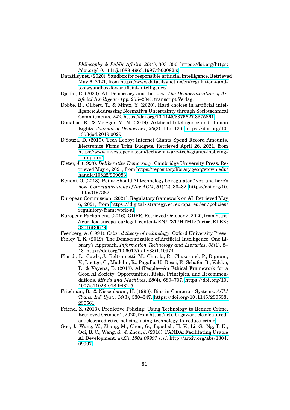*Philosophy & Public Affairs*, *26*(4), 303–350. [https://doi.org/https:](https://doi.org/https://doi.org/10.1111/j.1088-4963.1997.tb00082.x) [//doi.org/10.1111/j.1088-4963.1997.tb00082.x](https://doi.org/https://doi.org/10.1111/j.1088-4963.1997.tb00082.x)

- Datatilsynet. (2020). Sandbox for responsible artificial intelligence. Retrieved May 6, 2021, from [https://www.datatilsynet.no/en/regulations-and](https://www.datatilsynet.no/en/regulations-and-tools/sandbox-for-artificial-intelligence/)[tools/sandbox-for-artificial-intelligence/](https://www.datatilsynet.no/en/regulations-and-tools/sandbox-for-artificial-intelligence/)
- Djeffal, C. (2020). AI, Democracy and the Law. *The Democratization of Artificial Intelligence* (pp. 255–284). transcript Verlag.
- Dobbe, R., Gilbert, T., & Mintz, Y. (2020). Hard choices in artificial intelligence: Addressing Normative Uncertainty through Sociotechnical Commitments, 242.<https://doi.org/10.1145/3375627.3375861>
- Donahoe, E., & Metzger, M. M. (2019). Artificial Intelligence and Human Rights. *Journal of Democracy*, *30*(2), 115–126. [https://doi.org/10.](https://doi.org/10.1353/jod.2019.0029) [1353/jod.2019.0029](https://doi.org/10.1353/jod.2019.0029)
- D'Souza, D. (2019). Tech Lobby: Internet Giants Spend Record Amounts, Electronics Firms Trim Budgets. Retrieved April 26, 2021, from [https://www.investopedia.com/tech/what-are-tech-giants-lobbying](https://www.investopedia.com/tech/what-are-tech-giants-lobbying-trump-era/)[trump-era/](https://www.investopedia.com/tech/what-are-tech-giants-lobbying-trump-era/)
- Elster, J. (1998). *Deliberative Democracy*. Cambridge University Press. Retrieved May 4, 2021, from [https://repository.library.georgetown.edu/](https://repository.library.georgetown.edu/handle/10822/909083) [handle/10822/909083](https://repository.library.georgetown.edu/handle/10822/909083)
- Etzioni, O. (2018). Point: Should AI technology be regulated? yes, and here's how. *Communications of the ACM*, *61*(12), 30–32. [https://doi.org/10.](https://doi.org/10.1145/3197382) [1145/3197382](https://doi.org/10.1145/3197382)
- <span id="page-90-2"></span>European Commission. (2021). Regulatory framework on AI. Retrieved May 6, 2021, from [https : / / digital - strategy. ec. europa . eu / en / policies /](https://digital-strategy.ec.europa.eu/en/policies/regulatory-framework-ai) [regulatory-framework-ai](https://digital-strategy.ec.europa.eu/en/policies/regulatory-framework-ai)
- European Parliament. (2016). GDPR. Retrieved October 2, 2020, from [https:](https://eur-lex.europa.eu/legal-content/EN/TXT/HTML/?uri=CELEX:32016R0679) [//eur- lex.europa.eu/ legal- content/EN/TXT/HTML/?uri=CELEX:](https://eur-lex.europa.eu/legal-content/EN/TXT/HTML/?uri=CELEX:32016R0679) [32016R0679](https://eur-lex.europa.eu/legal-content/EN/TXT/HTML/?uri=CELEX:32016R0679)
- Feenberg, A. (1991). *Critical theory of technology*. Oxford University Press.
- Finley, T. K. (2019). The Democratization of Artificial Intelligence: One Library's Approach. *Information Technology and Libraries*, *38*(1), 8– 13.<https://doi.org/10.6017/ital.v38i1.10974>
- <span id="page-90-1"></span>Floridi, L., Cowls, J., Beltrametti, M., Chatila, R., Chazerand, P., Dignum, V., Luetge, C., Madelin, R., Pagallo, U., Rossi, F., Schafer, B., Valcke, P., & Vayena, E. (2018). AI4People—An Ethical Framework for a Good AI Society: Opportunities, Risks, Principles, and Recommendations. *Minds and Machines*, *28*(4), 689–707. [https://doi.org/10.](https://doi.org/10.1007/s11023-018-9482-5) [1007/s11023-018-9482-5](https://doi.org/10.1007/s11023-018-9482-5)
- Friedman, B., & Nissenbaum, H. (1996). Bias in Computer Systems. *ACM Trans. Inf. Syst.*, *14*(3), 330–347. [https://doi.org/10.1145/230538.](https://doi.org/10.1145/230538.230561) [230561](https://doi.org/10.1145/230538.230561)
- Friend, Z. (2013). Predictive Policing: Using Technology to Reduce Crime. Retrieved October 1, 2020, from [https://leb.fbi.gov/articles/featured](https://leb.fbi.gov/articles/featured-articles/predictive-policing-using-technology-to-reduce-crime)[articles/predictive-policing-using-technology-to-reduce-crime](https://leb.fbi.gov/articles/featured-articles/predictive-policing-using-technology-to-reduce-crime)
- <span id="page-90-0"></span>Gao, J., Wang, W., Zhang, M., Chen, G., Jagadish, H. V., Li, G., Ng, T. K., Ooi, B. C., Wang, S., & Zhou, J. (2018). PANDA: Facilitating Usable AI Development. *arXiv:1804.09997 [cs]*. [http://arxiv.org/abs/1804.](http://arxiv.org/abs/1804.09997) [09997](http://arxiv.org/abs/1804.09997)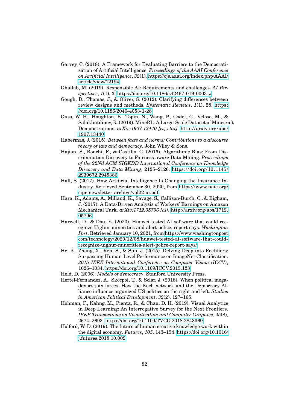- Garvey, C. (2018). A Framework for Evaluating Barriers to the Democratization of Artificial Intelligence. *Proceedings of the AAAI Conference on Artificial Intelligence*, *32*(1). [https://ojs.aaai.org/index.php/AAAI/](https://ojs.aaai.org/index.php/AAAI/article/view/12194) [article/view/12194](https://ojs.aaai.org/index.php/AAAI/article/view/12194)
- <span id="page-91-3"></span>Ghallab, M. (2019). Responsible AI: Requirements and challenges. *AI Perspectives*, *1*(1), 3.<https://doi.org/10.1186/s42467-019-0003-z>
- Gough, D., Thomas, J., & Oliver, S. (2012). Clarifying differences between review designs and methods. *Systematic Reviews*, *1*(1), 28. [https:](https://doi.org/10.1186/2046-4053-1-28) [//doi.org/10.1186/2046-4053-1-28](https://doi.org/10.1186/2046-4053-1-28)
- Guss, W. H., Houghton, B., Topin, N., Wang, P., Codel, C., Veloso, M., & Salakhutdinov, R. (2019). MineRL: A Large-Scale Dataset of Minecraft Demonstrations. *arXiv:1907.13440 [cs, stat]*. [http://arxiv.org/abs/](http://arxiv.org/abs/1907.13440) [1907.13440](http://arxiv.org/abs/1907.13440)
- Habermas, J. (2015). *Between facts and norms: Contributions to a discourse theory of law and democracy*. John Wiley & Sons.
- Hajian, S., Bonchi, F., & Castillo, C. (2016). Algorithmic Bias: From Discrimination Discovery to Fairness-aware Data Mining. *Proceedings of the 22Nd ACM SIGKDD International Conference on Knowledge Discovery and Data Mining*, 2125–2126. [https://doi.org/10.1145/](https://doi.org/10.1145/2939672.2945386) [2939672.2945386](https://doi.org/10.1145/2939672.2945386)
- <span id="page-91-1"></span>Hall, S. (2017). How Artificial Intelligence Is Changing the Insurance Industry. Retrieved September 30, 2020, from [https://www.naic.org/](https://www.naic.org/cipr_newsletter_archive/vol22_ai.pdf) cipr newsletter [archive/vol22](https://www.naic.org/cipr_newsletter_archive/vol22_ai.pdf) ai.pdf
- Hara, K., Adams, A., Milland, K., Savage, S., Callison-Burch, C., & Bigham, J. (2017). A Data-Driven Analysis of Workers' Earnings on Amazon Mechanical Turk. *arXiv:1712.05796 [cs]*. [http://arxiv.org/abs/1712.](http://arxiv.org/abs/1712.05796) [05796](http://arxiv.org/abs/1712.05796)
- Harwell, D., & Dou, E. (2020). Huawei tested AI software that could recognize Uighur minorities and alert police, report says. *Washington Post*. Retrieved January 10, 2021, from [https://www.washingtonpost.](https://www.washingtonpost.com/technology/2020/12/08/huawei-tested-ai-software-that-could-recognize-uighur-minorities-alert-police-report-says/) [com/technology/2020/12/08/huawei-tested-ai-software-that-could](https://www.washingtonpost.com/technology/2020/12/08/huawei-tested-ai-software-that-could-recognize-uighur-minorities-alert-police-report-says/)[recognize-uighur-minorities-alert-police-report-says/](https://www.washingtonpost.com/technology/2020/12/08/huawei-tested-ai-software-that-could-recognize-uighur-minorities-alert-police-report-says/)
- He, K., Zhang, X., Ren, S., & Sun, J. (2015). Delving Deep into Rectifiers: Surpassing Human-Level Performance on ImageNet Classification. *2015 IEEE International Conference on Computer Vision (ICCV)*, 1026–1034.<https://doi.org/10.1109/ICCV.2015.123>
- <span id="page-91-2"></span>Held, D. (2006). *Models of democracy*. Stanford University Press.
- Hertel-Fernandez, A., Skocpol, T., & Sclar, J. (2018). When political megadonors join forces: How the Koch network and the Democracy Alliance influence organized US politics on the right and left. *Studies in American Political Development*, *32*(2), 127–165.
- <span id="page-91-0"></span>Hohman, F., Kahng, M., Pienta, R., & Chau, D. H. (2019). Visual Analytics in Deep Learning: An Interrogative Survey for the Next Frontiers. *IEEE Transactions on Visualization and Computer Graphics*, *25*(8), 2674–2693.<https://doi.org/10.1109/TVCG.2018.2843369>
- Holford, W. D. (2019). The future of human creative knowledge work within the digital economy. *Futures*, *105*, 143–154. [https://doi.org/10.1016/](https://doi.org/10.1016/j.futures.2018.10.002) [j.futures.2018.10.002](https://doi.org/10.1016/j.futures.2018.10.002)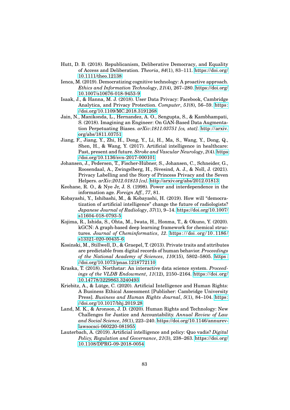- Hutt, D. B. (2018). Republicanism, Deliberative Democracy, and Equality of Access and Deliberation. *Theoria*, *84*(1), 83–111. [https://doi.org/](https://doi.org/10.1111/theo.12138) [10.1111/theo.12138](https://doi.org/10.1111/theo.12138)
- <span id="page-92-3"></span>Ienca, M. (2019). Democratizing cognitive technology: A proactive approach. *Ethics and Information Technology*, *21*(4), 267–280. [https://doi.org/](https://doi.org/10.1007/s10676-018-9453-9) [10.1007/s10676-018-9453-9](https://doi.org/10.1007/s10676-018-9453-9)
- Isaak, J., & Hanna, M. J. (2018). User Data Privacy: Facebook, Cambridge Analytica, and Privacy Protection. *Computer*, *51*(8), 56–59. [https:](https://doi.org/10.1109/MC.2018.3191268) [//doi.org/10.1109/MC.2018.3191268](https://doi.org/10.1109/MC.2018.3191268)
- Jain, N., Manikonda, L., Hernandez, A. O., Sengupta, S., & Kambhampati, S. (2018). Imagining an Engineer: On GAN-Based Data Augmentation Perpetuating Biases. *arXiv:1811.03751 [cs, stat]*. [http://arxiv.](http://arxiv.org/abs/1811.03751) [org/abs/1811.03751](http://arxiv.org/abs/1811.03751)
- <span id="page-92-1"></span>Jiang, F., Jiang, Y., Zhi, H., Dong, Y., Li, H., Ma, S., Wang, Y., Dong, Q., Shen, H., & Wang, Y. (2017). Artificial intelligence in healthcare: Past, present and future. *Stroke and Vascular Neurology*, *2*(4). [https:](https://doi.org/10.1136/svn-2017-000101) [//doi.org/10.1136/svn-2017-000101](https://doi.org/10.1136/svn-2017-000101)
- Johansen, J., Pedersen, T., Fischer-Hubner, S., Johansen, C., Schneider, G., ¨ Roosendaal, A., Zwingelberg, H., Sivesind, A. J., & Noll, J. (2021). Privacy Labelling and the Story of Princess Privacy and the Seven Helpers. *arXiv:2012.01813 [cs]*.<http://arxiv.org/abs/2012.01813>
- Keohane, R. O., & Nye Jr, J. S. (1998). Power and interdependence in the information age. *Foreign Aff.*, *77*, 81.
- <span id="page-92-4"></span>Kobayashi, Y., Ishibashi, M., & Kobayashi, H. (2019). How will "democratization of artificial intelligence" change the future of radiologists? *Japanese Journal of Radiology*, *37*(1), 9–14. [https://doi.org/10.1007/](https://doi.org/10.1007/s11604-018-0793-5) [s11604-018-0793-5](https://doi.org/10.1007/s11604-018-0793-5)
- Kojima, R., Ishida, S., Ohta, M., Iwata, H., Honma, T., & Okuno, Y. (2020). kGCN: A graph-based deep learning framework for chemical structures. *Journal of Cheminformatics*, *12*. [https:// doi. org/ 10. 1186/](https://doi.org/10.1186/s13321-020-00435-6) [s13321-020-00435-6](https://doi.org/10.1186/s13321-020-00435-6)
- <span id="page-92-2"></span>Kosinski, M., Stillwell, D., & Graepel, T. (2013). Private traits and attributes are predictable from digital records of human behavior. *Proceedings of the National Academy of Sciences*, *110*(15), 5802–5805. [https :](https://doi.org/10.1073/pnas.1218772110) [//doi.org/10.1073/pnas.1218772110](https://doi.org/10.1073/pnas.1218772110)
- <span id="page-92-0"></span>Kraska, T. (2018). Northstar: An interactive data science system. *Proceedings of the VLDB Endowment*, *11*(12), 2150–2164. [https://doi.org/](https://doi.org/10.14778/3229863.3240493) [10.14778/3229863.3240493](https://doi.org/10.14778/3229863.3240493)
- Kriebitz, A., & Lütge, C. (2020). Artificial Intelligence and Human Rights: A Business Ethical Assessment [Publisher: Cambridge University Press]. *Business and Human Rights Journal*, *5*(1), 84–104. [https:](https://doi.org/10.1017/bhj.2019.28) [//doi.org/10.1017/bhj.2019.28](https://doi.org/10.1017/bhj.2019.28)
- Land, M. K., & Aronson, J. D. (2020). Human Rights and Technology: New Challenges for Justice and Accountability. *Annual Review of Law and Social Science*, *16*(1), 223–240. [https://doi.org/10.1146/annurev](https://doi.org/10.1146/annurev-lawsocsci-060220-081955)[lawsocsci-060220-081955](https://doi.org/10.1146/annurev-lawsocsci-060220-081955)
- <span id="page-92-5"></span>Lauterbach, A. (2019). Artificial intelligence and policy: Quo vadis? *Digital Policy, Regulation and Governance*, *21*(3), 238–263. [https://doi.org/](https://doi.org/10.1108/DPRG-09-2018-0054) [10.1108/DPRG-09-2018-0054](https://doi.org/10.1108/DPRG-09-2018-0054)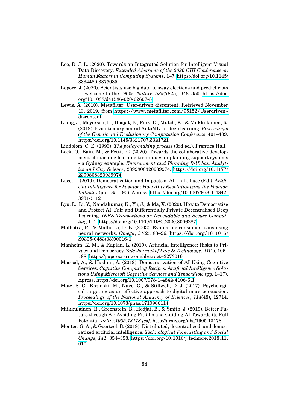- Lee, D. J.-L. (2020). Towards an Integrated Solution for Intelligent Visual Data Discovery. *Extended Abstracts of the 2020 CHI Conference on Human Factors in Computing Systems*, 1–7. [https://doi.org/10.1145/](https://doi.org/10.1145/3334480.3375035) [3334480.3375035](https://doi.org/10.1145/3334480.3375035)
- Lepore, J. (2020). Scientists use big data to sway elections and predict riots — welcome to the 1960s. *Nature*, *585*(7825), 348–350. [https://doi.](https://doi.org/10.1038/d41586-020-02607-8) [org/10.1038/d41586-020-02607-8](https://doi.org/10.1038/d41586-020-02607-8)
- Lewis, A. (2010). Metafilter: User-driven discontent. Retrieved November 13, 2019, from [https : / / www. metafilter. com / 95152 / Userdriven](https://www.metafilter.com/95152/Userdriven-discontent)  [discontent](https://www.metafilter.com/95152/Userdriven-discontent)
- Liang, J., Meyerson, E., Hodjat, B., Fink, D., Mutch, K., & Miikkulainen, R. (2019). Evolutionary neural AutoML for deep learning. *Proceedings of the Genetic and Evolutionary Computation Conference*, 401–409. <https://doi.org/10.1145/3321707.3321721>
- Lindblom, C. E. (1993). *The policy-making process* (3rd ed.). Prentice Hall.
- Lock, O., Bain, M., & Pettit, C. (2020). Towards the collaborative development of machine learning techniques in planning support systems - a Sydney example. *Environment and Planning B-Urban Analytics and City Science*, 2399808320939974. [https://doi.org/10.1177/](https://doi.org/10.1177/2399808320939974) [2399808320939974](https://doi.org/10.1177/2399808320939974)
- Luce, L. (2019). Democratization and Impacts of AI. In L. Luce (Ed.), *Artificial Intelligence for Fashion: How AI is Revolutionizing the Fashion Industry* (pp. 185–195). Apress. [https://doi.org/10.1007/978-1-4842-](https://doi.org/10.1007/978-1-4842-3931-5_12) [3931-5](https://doi.org/10.1007/978-1-4842-3931-5_12) 12
- <span id="page-93-3"></span>Lyu, L., Li, Y., Nandakumar, K., Yu, J., & Ma, X. (2020). How to Democratise and Protect AI: Fair and Differentially Private Decentralised Deep Learning. *IEEE Transactions on Dependable and Secure Computing*, 1–1.<https://doi.org/10.1109/TDSC.2020.3006287>
- Malhotra, R., & Malhotra, D. K. (2003). Evaluating consumer loans using neural networks. *Omega*, *31*(2), 83–96. [https:// doi. org/ 10. 1016/](https://doi.org/10.1016/S0305-0483(03)00016-1) [S0305-0483\(03\)00016-1](https://doi.org/10.1016/S0305-0483(03)00016-1)
- <span id="page-93-2"></span>Manheim, K. M., & Kaplan, L. (2019). Artificial Intelligence: Risks to Privacy and Democracy. *Yale Journal of Law & Technology*, *21*(1), 106– 188.<https://papers.ssrn.com/abstract=3273016>
- <span id="page-93-0"></span>Masood, A., & Hashmi, A. (2019). Democratization of AI Using Cognitive Services. *Cognitive Computing Recipes: Artificial Intelligence Solutions Using Microsoft Cognitive Services and TensorFlow* (pp. 1–17). Apress. [https://doi.org/10.1007/978-1-4842-4106-6](https://doi.org/10.1007/978-1-4842-4106-6_1)<sub>-1</sub>
- Matz, S. C., Kosinski, M., Nave, G., & Stillwell, D. J. (2017). Psychological targeting as an effective approach to digital mass persuasion. *Proceedings of the National Academy of Sciences*, *114*(48), 12714. <https://doi.org/10.1073/pnas.1710966114>
- <span id="page-93-4"></span>Miikkulainen, R., Greenstein, B., Hodjat, B., & Smith, J. (2019). Better Future through AI: Avoiding Pitfalls and Guiding AI Towards its Full Potential. *arXiv:1905.13178 [cs]*.<http://arxiv.org/abs/1905.13178>
- <span id="page-93-1"></span>Montes, G. A., & Goertzel, B. (2019). Distributed, decentralized, and democratized artificial intelligence. *Technological Forecasting and Social Change*, *141*, 354–358. [https://doi.org/10.1016/j.techfore.2018.11.](https://doi.org/10.1016/j.techfore.2018.11.010) [010](https://doi.org/10.1016/j.techfore.2018.11.010)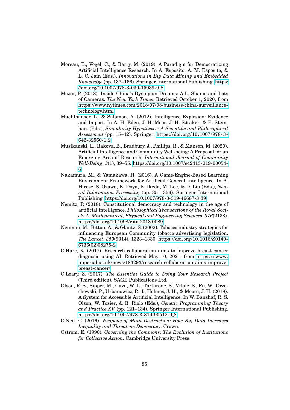- <span id="page-94-0"></span>Moreau, E., Vogel, C., & Barry, M. (2019). A Paradigm for Democratizing Artificial Intelligence Research. In A. Esposito, A. M. Esposito, & L. C. Jain (Eds.), *Innovations in Big Data Mining and Embedded Knowledge* (pp. 137–166). Springer International Publishing. [https:](https://doi.org/10.1007/978-3-030-15939-9_8) [//doi.org/10.1007/978-3-030-15939-9](https://doi.org/10.1007/978-3-030-15939-9_8) 8
- Mozur, P. (2018). Inside China's Dystopian Dreams: A.I., Shame and Lots of Cameras. *The New York Times*. Retrieved October 1, 2020, from [https://www.nytimes.com/2018/07/08/business/china-surveillance](https://www.nytimes.com/2018/07/08/business/china-surveillance-technology.html)[technology.html](https://www.nytimes.com/2018/07/08/business/china-surveillance-technology.html)
- Muehlhauser, L., & Salamon, A. (2012). Intelligence Explosion: Evidence and Import. In A. H. Eden, J. H. Moor, J. H. Søraker, & E. Steinhart (Eds.), *Singularity Hypotheses: A Scientific and Philosophical Assessment* (pp. 15–42). Springer. [https://doi.org/10.1007/978- 3-](https://doi.org/10.1007/978-3-642-32560-1_2) [642-32560-1](https://doi.org/10.1007/978-3-642-32560-1_2) 2
- <span id="page-94-1"></span>Musikanski, L., Rakova, B., Bradbury, J., Phillips, R., & Manson, M. (2020). Artificial Intelligence and Community Well-being: A Proposal for an Emerging Area of Research. *International Journal of Community Well-Being*, *3*(1), 39–55. [https://doi.org/10.1007/s42413-019-00054-](https://doi.org/10.1007/s42413-019-00054-6) [6](https://doi.org/10.1007/s42413-019-00054-6)
- Nakamura, M., & Yamakawa, H. (2016). A Game-Engine-Based Learning Environment Framework for Artificial General Intelligence. In A. Hirose, S. Ozawa, K. Doya, K. Ikeda, M. Lee, & D. Liu (Eds.), *Neural Information Processing* (pp. 351–356). Springer International Publishing. [https://doi.org/10.1007/978-3-319-46687-3](https://doi.org/10.1007/978-3-319-46687-3_39) 39
- <span id="page-94-2"></span>Nemitz, P. (2018). Constitutional democracy and technology in the age of artificial intelligence. *Philosophical Transactions of the Royal Society A: Mathematical, Physical and Engineering Sciences*, *376*(2133). <https://doi.org/10.1098/rsta.2018.0089>
- Neuman, M., Bitton, A., & Glantz, S. (2002). Tobacco industry strategies for influencing European Community tobacco advertising legislation. *The Lancet*, *359*(9314), 1323–1330. [https://doi.org/10.1016/S0140-](https://doi.org/10.1016/S0140-6736(02)08275-2) [6736\(02\)08275-2](https://doi.org/10.1016/S0140-6736(02)08275-2)
- O'Hare, R. (2017). Research collaboration aims to improve breast cancer diagnosis using AI. Retrieved May 10, 2021, from https://www. [imperial.ac.uk/news/183293/research-collaboration-aims-improve](https://www.imperial.ac.uk/news/183293/research-collaboration-aims-improve-breast-cancer/)[breast-cancer/](https://www.imperial.ac.uk/news/183293/research-collaboration-aims-improve-breast-cancer/)
- O'Leary, Z. (2017). *The Essential Guide to Doing Your Research Project* (Third edition). SAGE Publications Ltd.
- Olson, R. S., Sipper, M., Cava, W. L., Tartarone, S., Vitale, S., Fu, W., Orzechowski, P., Urbanowicz, R. J., Holmes, J. H., & Moore, J. H. (2018). A System for Accessible Artificial Intelligence. In W. Banzhaf, R. S. Olson, W. Tozier, & R. Riolo (Eds.), *Genetic Programming Theory and Practice XV* (pp. 121–134). Springer International Publishing. [https://doi.org/10.1007/978-3-319-90512-9](https://doi.org/10.1007/978-3-319-90512-9_8)<sub>-8</sub>
- O'Neil, C. (2016). *Weapons of Math Destruction: How Big Data Increases Inequality and Threatens Democracy*. Crown.
- Ostrom, E. (1990). *Governing the Commons: The Evolution of Institutions for Collective Action*. Cambridge University Press.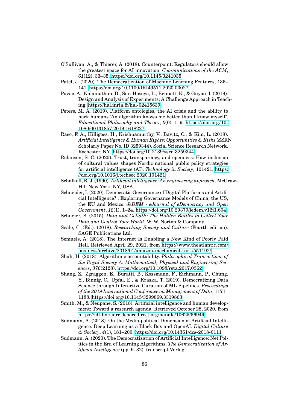- O'Sullivan, A., & Thierer, A. (2018). Counterpoint: Regulators should allow the greatest space for AI innovation. *Communications of the ACM*, *61*(12), 33–35.<https://doi.org/10.1145/3241035>
- <span id="page-95-0"></span>Patel, J. (2020). The Democratization of Machine Learning Features, 136– 141.<https://doi.org/10.1109/IRI49571.2020.00027>
- Pavao, A., Kalainathan, D., Sun-Hosoya, L., Bennett, K., & Guyon, I. (2019). Design and Analysis of Experiments: A Challenge Approach in Teaching.<https://hal.inria.fr/hal-02415639>
- Peters, M. A. (2019). Platform ontologies, the AI crisis and the ability to hack humans 'An algorithm knows me better than I know myself'. *Educational Philosophy and Theory*, *0*(0), 1–9. [https://doi.org/10.](https://doi.org/10.1080/00131857.2019.1618227) [1080/00131857.2019.1618227](https://doi.org/10.1080/00131857.2019.1618227)
- Raso, F. A., Hilligoss, H., Krishnamurthy, V., Bavitz, C., & Kim, L. (2018). *Artificial Intelligence & Human Rights: Opportunities & Risks* (SSRN Scholarly Paper No. ID 3259344). Social Science Research Network. Rochester, NY.<https://doi.org/10.2139/ssrn.3259344>
- <span id="page-95-2"></span>Robinson, S. C. (2020). Trust, transparency, and openness: How inclusion of cultural values shapes Nordic national public policy strategies for artificial intelligence (AI). *Technology in Society*, 101421. [https:](https://doi.org/10.1016/j.techsoc.2020.101421) [//doi.org/10.1016/j.techsoc.2020.101421](https://doi.org/10.1016/j.techsoc.2020.101421)
- Schalkoff, R. J. (1990). *Artificial intelligence: An engineering approach*. McGraw-Hill New York, NY, USA.
- Schneider, I. (2020). Democratic Governance of Digital Platforms and Artificial Intelligence? : Exploring Governance Models of China, the US, the EU and Mexico. *JeDEM - eJournal of eDemocracy and Open Government*, *12*(1), 1–24.<https://doi.org/10.29379/jedem.v12i1.604>
- Schneier, B. (2015). *Data and Goliath: The Hidden Battles to Collect Your Data and Control Your World*. W. W. Norton & Company.
- Seale, C. (Ed.). (2018). *Researching Society and Culture* (Fourth edition). SAGE Publications Ltd.
- Semuels, A. (2018). The Internet Is Enabling a New Kind of Poorly Paid Hell. Retrieved April 29, 2021, from [https://www.theatlantic.com/](https://www.theatlantic.com/business/archive/2018/01/amazon-mechanical-turk/551192/) [business/archive/2018/01/amazon-mechanical-turk/551192/](https://www.theatlantic.com/business/archive/2018/01/amazon-mechanical-turk/551192/)
- <span id="page-95-1"></span>Shah, H. (2018). Algorithmic accountability. *Philosophical Transactions of the Royal Society A: Mathematical, Physical and Engineering Sciences*, *376*(2128).<https://doi.org/10.1098/rsta.2017.0362>
- <span id="page-95-3"></span>Shang, Z., Zgraggen, E., Buratti, B., Kossmann, F., Eichmann, P., Chung, Y., Binnig, C., Upfal, E., & Kraska, T. (2019). Democratizing Data Science through Interactive Curation of ML Pipelines. *Proceedings of the 2019 International Conference on Management of Data*, 1171– 1188.<https://doi.org/10.1145/3299869.3319863>
- Smith, M., & Neupane, S. (2018). Artificial intelligence and human development: Toward a research agenda. Retrieved October 28, 2020, from <https://idl-bnc-idrc.dspacedirect.org/handle/10625/56949>
- Sudmann, A. (2018). On the Media-political Dimension of Artificial Intelligence: Deep Learning as a Black Box and OpenAI. *Digital Culture & Society*, *4*(1), 181–200.<https://doi.org/10.14361/dcs-2018-0111>
- <span id="page-95-4"></span>Sudmann, A. (2020). The Democratization of Artificial Intelligence: Net Politics in the Era of Learning Algorithms. *The Democratization of Artificial Intelligence* (pp. 9–32). transcript Verlag.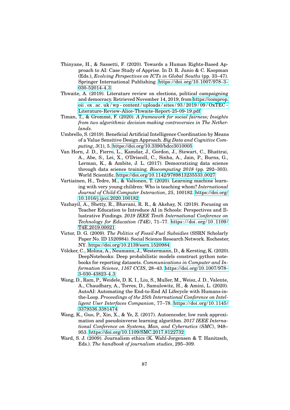- Thinyane, H., & Sassetti, F. (2020). Towards a Human Rights-Based Approach to AI: Case Study of Apprise. In D. R. Junio & C. Koopman (Eds.), *Evolving Perspectives on ICTs in Global Souths* (pp. 33–47). Springer International Publishing. [https://doi.org/10.1007/978-3-](https://doi.org/10.1007/978-3-030-52014-4_3) [030-52014-4](https://doi.org/10.1007/978-3-030-52014-4_3) 3
- <span id="page-96-0"></span>Thwaite, A. (2019). Literature review on elections, political campaigning and democracy. Retrieved November 14, 2019, from [https://comprop.](https://comprop.oii.ox.ac.uk/wp-content/uploads/sites/93/2019/09/OxTEC-Literature-Review-Alice-Thwaite-Report-25-09-19.pdf) [oii . ox . ac . uk / wp - content / uploads / sites / 93 / 2019 / 09 / OxTEC -](https://comprop.oii.ox.ac.uk/wp-content/uploads/sites/93/2019/09/OxTEC-Literature-Review-Alice-Thwaite-Report-25-09-19.pdf) [Literature-Review-Alice-Thwaite-Report-25-09-19.pdf](https://comprop.oii.ox.ac.uk/wp-content/uploads/sites/93/2019/09/OxTEC-Literature-Review-Alice-Thwaite-Report-25-09-19.pdf)
- Timan, T., & Gromme, F. (2020). ´ *A framework for social fairness; Insights from two algorithmic decision-making controversies in The Netherlands*.
- Umbrello, S. (2019). Beneficial Artificial Intelligence Coordination by Means of a Value Sensitive Design Approach. *Big Data and Cognitive Computing*, *3*(1), 5.<https://doi.org/10.3390/bdcc3010005>
- <span id="page-96-2"></span>Van Horn, J. D., Fierro, L., Kamdar, J., Gordon, J., Stewart, C., Bhattrai, A., Abe, S., Lei, X., O'Driscoll, C., Sinha, A., Jain, P., Burns, G., Lerman, K., & Ambite, J. L. (2017). Democratizing data science through data science training. *Biocomputing 2018* (pp. 292–303). World Scientific. [https://doi.org/10.1142/9789813235533](https://doi.org/10.1142/9789813235533_0027) 0027
- Vartiainen, H., Tedre, M., & Valtonen, T. (2020). Learning machine learning with very young children: Who is teaching whom? *International Journal of Child-Computer Interaction*, *25*, 100182. [https://doi.org/](https://doi.org/10.1016/j.ijcci.2020.100182) [10.1016/j.ijcci.2020.100182](https://doi.org/10.1016/j.ijcci.2020.100182)
- <span id="page-96-3"></span>Vazhayil, A., Shetty, R., Bhavani, R. R., & Akshay, N. (2019). Focusing on Teacher Education to Introduce AI in Schools: Perspectives and Illustrative Findings. *2019 IEEE Tenth International Conference on Technology for Education (T4E)*, 71–77. [https:// doi. org/ 10. 1109/](https://doi.org/10.1109/T4E.2019.00021) [T4E.2019.00021](https://doi.org/10.1109/T4E.2019.00021)
- Victor, D. G. (2009). *The Politics of Fossil-Fuel Subsidies* (SSRN Scholarly Paper No. ID 1520984). Social Science Research Network. Rochester, NY.<https://doi.org/10.2139/ssrn.1520984>
- Völcker, C., Molina, A., Neumann, J., Westermann, D., & Kersting, K. (2020). DeepNotebooks: Deep probabilistic models construct python notebooks for reporting datasets. *Communications in Computer and Information Science*, *1167 CCIS*, 28–43. [https://doi.org/10.1007/978-](https://doi.org/10.1007/978-3-030-43823-4_3) [3-030-43823-4](https://doi.org/10.1007/978-3-030-43823-4_3) 3
- <span id="page-96-1"></span>Wang, D., Ram, P., Weidele, D. K. I., Liu, S., Muller, M., Weisz, J. D., Valente, A., Chaudhary, A., Torres, D., Samulowitz, H., & Amini, L. (2020). AutoAI: Automating the End-to-End AI Lifecycle with Humans-inthe-Loop. *Proceedings of the 25th International Conference on Intelligent User Interfaces Companion*, 77–78. [https://doi.org/10.1145/](https://doi.org/10.1145/3379336.3381474) [3379336.3381474](https://doi.org/10.1145/3379336.3381474)
- Wang, K., Guo, P., Xin, X., & Ye, Z. (2017). Autoencoder, low rank approximation and pseudoinverse learning algorithm. *2017 IEEE International Conference on Systems, Man, and Cybernetics (SMC)*, 948– 953.<https://doi.org/10.1109/SMC.2017.8122732>
- Ward, S. J. (2009). Journalism ethics (K. Wahl-Jorgensen & T. Hanitzsch, Eds.). *The handbook of journalism studies*, 295–309.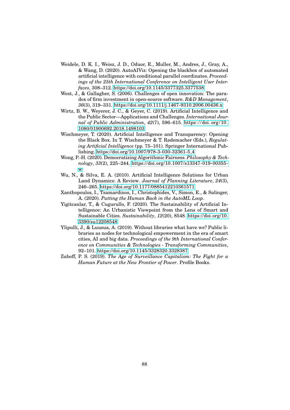- Weidele, D. K. I., Weisz, J. D., Oduor, E., Muller, M., Andres, J., Gray, A., & Wang, D. (2020). AutoAIViz: Opening the blackbox of automated artificial intelligence with conditional parallel coordinates. *Proceedings of the 25th International Conference on Intelligent User Interfaces*, 308–312.<https://doi.org/10.1145/3377325.3377538>
- West, J., & Gallagher, S. (2006). Challenges of open innovation: The paradox of firm investment in open-source software. *R&D Management*, *36*(3), 319–331.<https://doi.org/10.1111/j.1467-9310.2006.00436.x>
- Wirtz, B. W., Weyerer, J. C., & Geyer, C. (2019). Artificial Intelligence and the Public Sector—Applications and Challenges. *International Journal of Public Administration*, *42*(7), 596–615. [https://doi. org/ 10.](https://doi.org/10.1080/01900692.2018.1498103) [1080/01900692.2018.1498103](https://doi.org/10.1080/01900692.2018.1498103)
- Wischmeyer, T. (2020). Artificial Intelligence and Transparency: Opening the Black Box. In T. Wischmeyer & T. Rademacher (Eds.), *Regulating Artificial Intelligence* (pp. 75–101). Springer International Publishing. [https://doi.org/10.1007/978-3-030-32361-5](https://doi.org/10.1007/978-3-030-32361-5_4) 4
- Wong, P.-H. (2020). Democratizing Algorithmic Fairness. *Philosophy & Technology*, *33*(2), 225–244. [https://doi.org/10.1007/s13347-019-00355](https://doi.org/10.1007/s13347-019-00355-w) [w](https://doi.org/10.1007/s13347-019-00355-w)
- Wu, N., & Silva, E. A. (2010). Artificial Intelligence Solutions for Urban Land Dynamics: A Review. *Journal of Planning Literature*, *24*(3), 246–265.<https://doi.org/10.1177/0885412210361571>
- Xanthopoulos, I., Tsamardinos, I., Christophides, V., Simon, E., & Salinger, A. (2020). *Putting the Human Back in the AutoML Loop*.
- <span id="page-97-0"></span>Yigitcanlar, T., & Cugurullo, F. (2020). The Sustainability of Artificial Intelligence: An Urbanistic Viewpoint from the Lens of Smart and Sustainable Cities. *Sustainability*, *12*(20), 8548. [https://doi.org/10.](https://doi.org/10.3390/su12208548) [3390/su12208548](https://doi.org/10.3390/su12208548)
- <span id="page-97-1"></span>Ylipulli, J., & Luusua, A. (2019). Without libraries what have we? Public libraries as nodes for technological empowerment in the era of smart cities, AI and big data. *Proceedings of the 9th International Conference on Communities & Technologies - Transforming Communities*, 92–101.<https://doi.org/10.1145/3328320.3328387>
- Zuboff, P. S. (2019). *The Age of Surveillance Capitalism: The Fight for a Human Future at the New Frontier of Power*. Profile Books.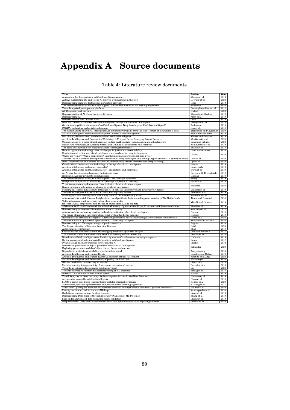# **Appendix A Source documents**

| <b>Title</b>                                                                                                                                                                           | <b>Author</b>                        | Year         |
|----------------------------------------------------------------------------------------------------------------------------------------------------------------------------------------|--------------------------------------|--------------|
| A paradigm for democratizing artificial intelligence research                                                                                                                          | Moreau et al.                        | 2019         |
| AutoAI: Automating the end-to-end AI lifecycle with humans-in-the-loop                                                                                                                 | D. Wang et al.                       | 2020         |
| Democratizing cognitive technology: a proactive approach                                                                                                                               | <b>Ienca</b>                         | 2019         |
| The Democratization of Artificial Intelligence: Net Politics in the Era of Learning Algorithms                                                                                         | Sudmann                              | 2020         |
| Towards a global participatory platform                                                                                                                                                | Buckingham Shum et al.               | 2012         |
| AI, Democracy and the Law                                                                                                                                                              | Djeffal                              | 2020         |
| Democratization of AI Using Cognitive Services                                                                                                                                         | Masood and Hashmi                    | 2019         |
| Democratizing AI                                                                                                                                                                       | Allen et al.                         | 2019         |
| Democratization and Impacts of AI                                                                                                                                                      | Luce                                 | 2019         |
| How will "democratization of artificial intelligence" change the future of radiologists?                                                                                               | Kobayashi et al.                     | 2019         |
| On the media-political dimension of artificial intelligence: Deep learning as a black box and OpenAI                                                                                   | Sudmann                              | 2018         |
| PANDA: facilitating usable AI development                                                                                                                                              | Gao et al.                           | 2018         |
| The sustainability of artificial intelligence: An urbanistic viewpoint from the lens of smart and sustainable cities                                                                   | Yigitcanlar and Cugurullo            | 2020         |
| Artificial intelligence and human development: toward a research agenda                                                                                                                | <b>Smith and Neupane</b>             | 2018         |
| Distributed, decentralized, and democratized artificial intelligence                                                                                                                   | Montes and Goertzel                  | 2019         |
| Artificial Intelligence and Community Well-being: A Proposal for an Emerging Area of Research                                                                                          | Musikanski et al.                    | 2020         |
| Considerations for a more ethical approach to data in AI: on data representation and infrastructure                                                                                    | <b>Baird and Schuller</b>            | 2020         |
| Better Future through AI: Avoiding Pitfalls and Guiding AI Towards its Full Potential<br>The open-closed principle of modern machine learning frameworks                               | Miikkulainen et al.<br>Braiek et al. | 2019<br>2018 |
| Human rights and technology: New challenges for justice and accountability                                                                                                             | Land and Aronson                     | 2020         |
| Regulation and ethics in artificial intelligence and machine learning technologies:                                                                                                    |                                      |              |
| Where are we now? Who is responsible? Can the information professional play a role?                                                                                                    | Carter                               | 2020         |
| Towards the collaborative development of machine learning techniques in planning support systems - a Sydney example                                                                    | Lock et al.                          | 2020         |
| How to Democratise and Protect AI: Fair and Differentially Private Decentralised Deep Learning                                                                                         | Lyu et al.                           | 2020         |
| Constitutional democracy and technology in the age of artificial intelligence                                                                                                          | Nemitz                               | 2018         |
| Artificial intelligence and policy: quo vadis?                                                                                                                                         | Lauterbach                           | 2019         |
| Artificial intelligence and the public sector-applications and challenges                                                                                                              | Wirtz et al.                         | 2019         |
| An AI race for strategic advantage: rhetoric and risks                                                                                                                                 | Cave and OhÉigeartaigh               | 2018         |
| Responsible AI: requirements and challenges                                                                                                                                            | Ghallab                              | 2019         |
| The Democratization of Artificial Intelligence: One Library's Approach                                                                                                                 | Finley                               | 2019         |
| Design and Analysis of Experiments: A Challenge Approach in Teaching                                                                                                                   | Pavao et al.                         | 2019         |
| Trust, transparency, and openness: How inclusion of cultural values shapes                                                                                                             |                                      |              |
| Nordic national public policy strategies for artificial intelligence                                                                                                                   | Robinson                             | 2020         |
| Focusing on Teacher Education to Introduce AI in Schools: Perspectives and Illustrative Findings                                                                                       | Vazhayil et al.                      | 2019         |
| Towards an Inclusive Future in AI: A Global Participatory Process                                                                                                                      | Belinchon et al.                     | 2019         |
| Learning machine learning with very young children: Who is teaching whom?                                                                                                              | Vartiainen et al.                    | 2020         |
| A framework for social fairness; Insights from two algorithmic decision-making controversies in The Netherlands                                                                        | Timan and Grommé                     | 2020         |
| Without libraries what have we?: Public libraries as nodes                                                                                                                             | Ylipulli and Luusua                  | 2019         |
| for technological empowerment in the era of smart cities, AI and big data                                                                                                              |                                      |              |
| AI4People-An Ethical Framework for a Good AI Society: Opportunities, Risks, Principles, and Recommendations                                                                            | Floridi et al.                       | 2018         |
| Democratizing data science through data science training                                                                                                                               | Van Horn et al.                      | 2017         |
| A framework for evaluating barriers to the democratization of artificial intelligence                                                                                                  | Garvey                               | 2018         |
| The future of human creative knowledge work within the digital economy                                                                                                                 | Holford                              | 2019         |
| Hard choices in artificial intelligence: Addressing normative uncertainty through sociotechnical commitments                                                                           | Dobbe et al.                         | 2020         |
| Towards a human rights-based approach to AI: Case study of apprise                                                                                                                     | Thinyane and Sassetti                | 2020         |
| Democratizing AI: Non-expert design of prediction tasks                                                                                                                                | Bagrow<br>Patel                      | 2020         |
| The Democratization of Machine Learning Features<br>Algorithmic accountability                                                                                                         | Shah                                 | 2020<br>2018 |
| Characteristics of collaboration in the emerging practice of open data analysis                                                                                                        | Choi and Tausczik                    | 2017         |
| The Invisible Power of Fairness. How Machine Learning Shapes Democracy                                                                                                                 | Beretta et al.                       | 2019         |
| Beneficial artificial intelligence coordination by means of a value sensitive design approach                                                                                          | Umbrello                             | 2019         |
| On the promotion of safe and socially beneficial artificial intelligence                                                                                                               | Baum                                 | 2017         |
| Principles and business processes for responsible AI                                                                                                                                   | Clarke                               | 2019         |
| Democratic governance of digital platforms and artificial intelligence?                                                                                                                |                                      |              |
| Exploring governance models of china, the us, the eu and mexico                                                                                                                        | Schneider                            | 2020         |
| Big tech and societal sustainability: an ethical framework                                                                                                                             | Arogyaswamy                          | 2020         |
| Artificial Intelligence and Human Rights                                                                                                                                               | Donahoe and Metzger                  | 2019         |
| Artificial Intelligence and Human Rights: A Business Ethical Assessment                                                                                                                | Kriebitz and Lütge                   | 2020         |
| Artificial Intelligence and Transparency: Opening the Black Box                                                                                                                        | Wischmeyer                           | 2020         |
| DLHub: Model and data serving for science                                                                                                                                              | Chard et al.                         | 2019         |
| Machine learning interpretability: A survey on methods and metrics                                                                                                                     | Carvalho et al.                      | 2019         |
| Towards an integrated solution for intelligent visual                                                                                                                                  | Lee                                  | 2020         |
| Towards interactive curation & automatic tuning of ML pipelines                                                                                                                        | Binnig et al.                        | 2018         |
| Northstar: An interactive data science system                                                                                                                                          | Kraska                               | 2018         |
| Visual Analytics in Deep Learning: An Interrogative Survey for the Next Frontiers                                                                                                      | Hohman et al.                        | 2019         |
| A system for accessible artificial intelligence                                                                                                                                        | Olson et al.                         | 2018         |
| kGCN: a graph-based deep learning framework for chemical structures                                                                                                                    | Kojima et al.<br>K. Wang et al.      | 2020<br>2017 |
| Autoencoder, low rank approximation and pseudoinverse learning algorithm<br>AutoAIViz: Opening the blackbox of automated artificial intelligence with conditional parallel coordinates | Weidele et al.                       | 2020         |
| Putting the human back in the AutoML loop                                                                                                                                              | Xanthopoulos et al.                  | 2020         |
| Evolutionary neural automl for deep learning                                                                                                                                           | Liang et al.                         | 2019         |
| Democratizing Data Science through Interactive Curation of ML Pipelines                                                                                                                | Shang et al.                         | 2019         |
| Slice finder: Automated data slicing for model validation                                                                                                                              | Chung et al.                         | 2019         |
| DeepNotebooks: Deep probabilistic models construct python notebooks for reporting datasets                                                                                             | Völcker et al                        | 2020         |

Table 4: Literature review documents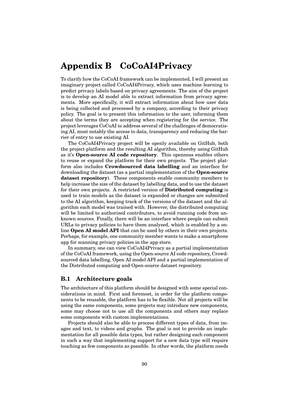# <span id="page-99-0"></span>**Appendix B CoCoAI4Privacy**

To clarify how the CoCoAI framework can be implemented, I will present an imaginary project called CoCoAI4Privacy, which uses machine learning to predict privacy labels based on privacy agreements. The aim of the project is to develop an AI model able to extract information from privacy agreements. More specifically, it will extract information about how user data is being collected and processed by a company, according to their privacy policy. The goal is to present this information to the user, informing them about the terms they are accepting when registering for the service. The project leverages CoCoAI to address several of the challenges of democratising AI, most notably the access to data, transparency and reducing the barrier of entry to use existing AI.

The CoCoAI4Privacy project will be openly available on GitHub, both the project platform and the resulting AI algorithm, thereby using GitHub as it's **Open-source AI code repository**. This openness enables others to reuse or expand the platform for their own projects. The project platform also includes **Crowdsourced data labelling** and an interface for downloading the dataset (as a partial implementation of the **Open-source dataset repository**). These components enable community members to help increase the size of the dataset by labelling data, and to use the dataset for their own projects. A restricted version of **Distributed computing** is used to train models as the dataset is expanded or changes are submitted to the AI algorithm, keeping track of the versions of the dataset and the algorithm each model was trained with. However, the distributed computing will be limited to authorised contributors, to avoid running code from unknown sources. Finally, there will be an interface where people can submit URLs to privacy policies to have them analysed, which is enabled by a online **Open AI model API** that can be used by others in their own projects. Perhaps, for example, one community member wants to make a smartphone app for scanning privacy policies in the app store.

In summary, one can view CoCoAI4Privacy as a partial implementation of the CoCoAI framework, using the Open-source AI code repository, Crowdsourced data labelling, Open AI model API and a partial implementation of the Distributed computing and Open-source dataset repository.

#### **B.1 Architecture goals**

The architecture of this platform should be designed with some special considerations in mind. First and foremost, in order for the platform components to be reusable, the platform has to be flexible. Not all projects will be using the same components, some projects may introduce new components, some may choose not to use all the components and others may replace some components with custom implementations.

Projects should also be able to process different types of data, from images and text, to videos and graphs. The goal is not to provide an implementation for all possible data types, but rather designing each component in such a way that implementing support for a new data type will require touching as few components as possible. In other words, the platform needs